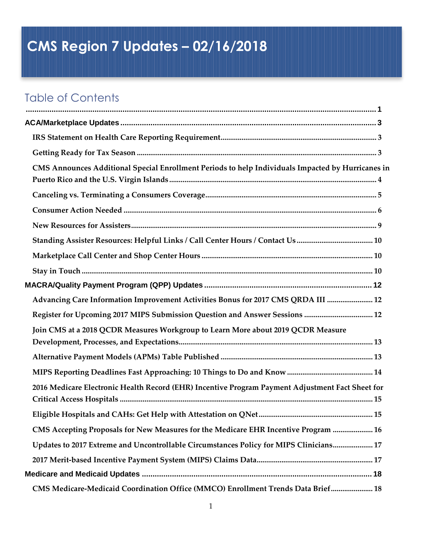# <span id="page-0-0"></span>**CMS Region 7 Updates – 02/16/2018**

## Table of Contents

| CMS Announces Additional Special Enrollment Periods to help Individuals Impacted by Hurricanes in |  |
|---------------------------------------------------------------------------------------------------|--|
|                                                                                                   |  |
|                                                                                                   |  |
|                                                                                                   |  |
| Standing Assister Resources: Helpful Links / Call Center Hours / Contact Us  10                   |  |
|                                                                                                   |  |
|                                                                                                   |  |
|                                                                                                   |  |
| Advancing Care Information Improvement Activities Bonus for 2017 CMS QRDA III  12                 |  |
| Register for Upcoming 2017 MIPS Submission Question and Answer Sessions  12                       |  |
| Join CMS at a 2018 QCDR Measures Workgroup to Learn More about 2019 QCDR Measure                  |  |
|                                                                                                   |  |
|                                                                                                   |  |
| 2016 Medicare Electronic Health Record (EHR) Incentive Program Payment Adjustment Fact Sheet for  |  |
| 15                                                                                                |  |
| 16 CMS Accepting Proposals for New Measures for the Medicare EHR Incentive Program  16            |  |
| Updates to 2017 Extreme and Uncontrollable Circumstances Policy for MIPS Clinicians 17            |  |
|                                                                                                   |  |
|                                                                                                   |  |
| CMS Medicare-Medicaid Coordination Office (MMCO) Enrollment Trends Data Brief 18                  |  |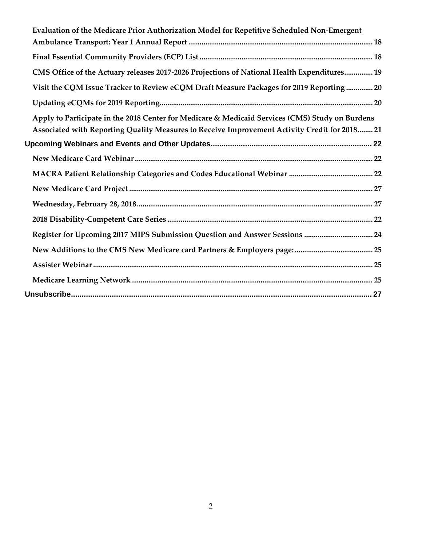<span id="page-1-0"></span>

| Evaluation of the Medicare Prior Authorization Model for Repetitive Scheduled Non-Emergent                                                                                                       |
|--------------------------------------------------------------------------------------------------------------------------------------------------------------------------------------------------|
|                                                                                                                                                                                                  |
|                                                                                                                                                                                                  |
| CMS Office of the Actuary releases 2017-2026 Projections of National Health Expenditures 19                                                                                                      |
| Visit the CQM Issue Tracker to Review eCQM Draft Measure Packages for 2019 Reporting 20                                                                                                          |
|                                                                                                                                                                                                  |
| Apply to Participate in the 2018 Center for Medicare & Medicaid Services (CMS) Study on Burdens<br>Associated with Reporting Quality Measures to Receive Improvement Activity Credit for 2018 21 |
|                                                                                                                                                                                                  |
|                                                                                                                                                                                                  |
|                                                                                                                                                                                                  |
|                                                                                                                                                                                                  |
|                                                                                                                                                                                                  |
|                                                                                                                                                                                                  |
| Register for Upcoming 2017 MIPS Submission Question and Answer Sessions  24                                                                                                                      |
|                                                                                                                                                                                                  |
|                                                                                                                                                                                                  |
|                                                                                                                                                                                                  |
|                                                                                                                                                                                                  |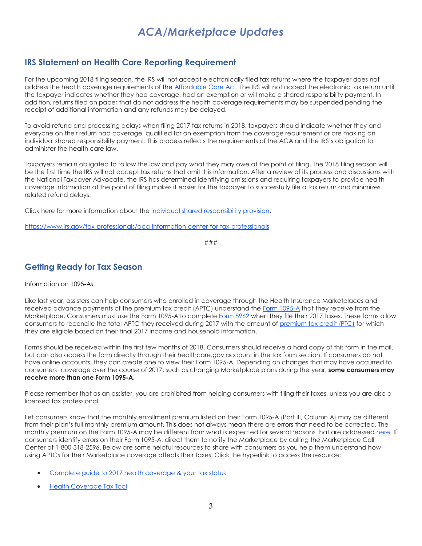## *ACA/Marketplace Updates*

### <span id="page-2-0"></span>**IRS Statement on Health Care Reporting Requirement**

For the upcoming 2018 filing season, the IRS will not accept electronically filed tax returns where the taxpayer does not address the health coverage requirements of the [Affordable Care Act.](http://links.govdelivery.com/track?type=click&enid=ZWFzPTEmbXNpZD0mYXVpZD0mbWFpbGluZ2lkPTIwMTgwMjE0Ljg1MzgwOTkxJm1lc3NhZ2VpZD1NREItUFJELUJVTC0yMDE4MDIxNC44NTM4MDk5MSZkYXRhYmFzZWlkPTEwMDEmc2VyaWFsPTE4MjI3Mzg2JmVtYWlsaWQ9bG9yZWxlaS5zY2hpZWZlcmRlY2tlckBjbXMuaGhzLmdvdiZ1c2VyaWQ9bG9yZWxlaS5zY2hpZWZlcmRlY2tlckBjbXMuaGhzLmdvdiZ0YXJnZXRpZD0mZmw9JmV4dHJhPU11bHRpdmFyaWF0ZUlkPSYmJg==&&&100&&&https://www.irs.gov/affordable-care-act) The IRS will not accept the electronic tax return until the taxpayer indicates whether they had coverage, had an exemption or will make a shared responsibility payment. In addition, returns filed on paper that do not address the health coverage requirements may be suspended pending the receipt of additional information and any refunds may be delayed.

To avoid refund and processing delays when filing 2017 tax returns in 2018, taxpayers should indicate whether they and everyone on their return had coverage, qualified for an exemption from the coverage requirement or are making an individual shared responsibility payment. This process reflects the requirements of the ACA and the IRS's obligation to administer the health care law.

Taxpayers remain obligated to follow the law and pay what they may owe at the point of filing. The 2018 filing season will be the first time the IRS will not accept tax returns that omit this information. After a review of its process and discussions with the National Taxpayer Advocate, the IRS has determined identifying omissions and requiring taxpayers to provide health coverage information at the point of filing makes it easier for the taxpayer to successfully file a tax return and minimizes related refund delays.

Click here for more information about the [individual shared responsibility provision.](http://links.govdelivery.com/track?type=click&enid=ZWFzPTEmbXNpZD0mYXVpZD0mbWFpbGluZ2lkPTIwMTgwMjE0Ljg1MzgwOTkxJm1lc3NhZ2VpZD1NREItUFJELUJVTC0yMDE4MDIxNC44NTM4MDk5MSZkYXRhYmFzZWlkPTEwMDEmc2VyaWFsPTE4MjI3Mzg2JmVtYWlsaWQ9bG9yZWxlaS5zY2hpZWZlcmRlY2tlckBjbXMuaGhzLmdvdiZ1c2VyaWQ9bG9yZWxlaS5zY2hpZWZlcmRlY2tlckBjbXMuaGhzLmdvdiZ0YXJnZXRpZD0mZmw9JmV4dHJhPU11bHRpdmFyaWF0ZUlkPSYmJg==&&&101&&&https://www.irs.gov/affordable-care-act/individuals-and-families/individual-shared-responsibility-provision)

[https://www.irs.gov/tax-professionals/aca-information-center-for-tax-professionals](http://links.govdelivery.com/track?type=click&enid=ZWFzPTEmbXNpZD0mYXVpZD0mbWFpbGluZ2lkPTIwMTgwMjE0Ljg1MzgwOTkxJm1lc3NhZ2VpZD1NREItUFJELUJVTC0yMDE4MDIxNC44NTM4MDk5MSZkYXRhYmFzZWlkPTEwMDEmc2VyaWFsPTE4MjI3Mzg2JmVtYWlsaWQ9bG9yZWxlaS5zY2hpZWZlcmRlY2tlckBjbXMuaGhzLmdvdiZ1c2VyaWQ9bG9yZWxlaS5zY2hpZWZlcmRlY2tlckBjbXMuaGhzLmdvdiZ0YXJnZXRpZD0mZmw9JmV4dHJhPU11bHRpdmFyaWF0ZUlkPSYmJg==&&&102&&&https://www.irs.gov/tax-professionals/aca-information-center-for-tax-professionals)

###

### <span id="page-2-1"></span>**Getting Ready for Tax Season**

### Information on 1095-As

Like last year, assisters can help consumers who enrolled in coverage through the Health Insurance Marketplaces and received advance payments of the premium tax credit (APTC) understand the [Form 1095-A](http://links.govdelivery.com/track?type=click&enid=ZWFzPTEmbXNpZD0mYXVpZD0mbWFpbGluZ2lkPTIwMTgwMjE0Ljg1MzgwOTkxJm1lc3NhZ2VpZD1NREItUFJELUJVTC0yMDE4MDIxNC44NTM4MDk5MSZkYXRhYmFzZWlkPTEwMDEmc2VyaWFsPTE4MjI3Mzg2JmVtYWlsaWQ9bG9yZWxlaS5zY2hpZWZlcmRlY2tlckBjbXMuaGhzLmdvdiZ1c2VyaWQ9bG9yZWxlaS5zY2hpZWZlcmRlY2tlckBjbXMuaGhzLmdvdiZ0YXJnZXRpZD0mZmw9JmV4dHJhPU11bHRpdmFyaWF0ZUlkPSYmJg==&&&103&&&https://www.irs.gov/uac/About-Form-1095-A) that they receive from the Marketplace. Consumers must use the Form 1095-A to complete [Form 8962](http://links.govdelivery.com/track?type=click&enid=ZWFzPTEmbXNpZD0mYXVpZD0mbWFpbGluZ2lkPTIwMTgwMjE0Ljg1MzgwOTkxJm1lc3NhZ2VpZD1NREItUFJELUJVTC0yMDE4MDIxNC44NTM4MDk5MSZkYXRhYmFzZWlkPTEwMDEmc2VyaWFsPTE4MjI3Mzg2JmVtYWlsaWQ9bG9yZWxlaS5zY2hpZWZlcmRlY2tlckBjbXMuaGhzLmdvdiZ1c2VyaWQ9bG9yZWxlaS5zY2hpZWZlcmRlY2tlckBjbXMuaGhzLmdvdiZ0YXJnZXRpZD0mZmw9JmV4dHJhPU11bHRpdmFyaWF0ZUlkPSYmJg==&&&104&&&https://www.irs.gov/uac/About-Form-8962) when they file their 2017 taxes. These forms allow consumers to reconcile the total APTC they received during 2017 with the amount of [premium tax credit \(PTC\)](http://links.govdelivery.com/track?type=click&enid=ZWFzPTEmbXNpZD0mYXVpZD0mbWFpbGluZ2lkPTIwMTgwMjE0Ljg1MzgwOTkxJm1lc3NhZ2VpZD1NREItUFJELUJVTC0yMDE4MDIxNC44NTM4MDk5MSZkYXRhYmFzZWlkPTEwMDEmc2VyaWFsPTE4MjI3Mzg2JmVtYWlsaWQ9bG9yZWxlaS5zY2hpZWZlcmRlY2tlckBjbXMuaGhzLmdvdiZ1c2VyaWQ9bG9yZWxlaS5zY2hpZWZlcmRlY2tlckBjbXMuaGhzLmdvdiZ0YXJnZXRpZD0mZmw9JmV4dHJhPU11bHRpdmFyaWF0ZUlkPSYmJg==&&&105&&&https://www.irs.gov/Affordable-Care-Act/Individuals-and-Families/The-Premium-Tax-Credit) for which they are eligible based on their final 2017 income and household information.

Forms should be received within the first few months of 2018. Consumers should receive a hard copy of this form in the mail, but can also access the form directly through their healthcare.gov account in the tax form section. If consumers do not have online accounts, they can create one to view their Form 1095-A. Depending on changes that may have occurred to consumers' coverage over the course of 2017, such as changing Marketplace plans during the year, **some consumers may receive more than one Form 1095-A.**

Please remember that as an assister, you are prohibited from helping consumers with filing their taxes, unless you are also a licensed tax professional.

Let consumers know that the monthly enrollment premium listed on their Form 1095-A (Part III, Column A) may be different from their plan's full monthly premium amount. This does not always mean there are errors that need to be corrected. The monthly premium on the Form 1095-A may be different from what is expected for several reasons that are addressed [here.](http://links.govdelivery.com/track?type=click&enid=ZWFzPTEmbXNpZD0mYXVpZD0mbWFpbGluZ2lkPTIwMTgwMjE0Ljg1MzgwOTkxJm1lc3NhZ2VpZD1NREItUFJELUJVTC0yMDE4MDIxNC44NTM4MDk5MSZkYXRhYmFzZWlkPTEwMDEmc2VyaWFsPTE4MjI3Mzg2JmVtYWlsaWQ9bG9yZWxlaS5zY2hpZWZlcmRlY2tlckBjbXMuaGhzLmdvdiZ1c2VyaWQ9bG9yZWxlaS5zY2hpZWZlcmRlY2tlckBjbXMuaGhzLmdvdiZ0YXJnZXRpZD0mZmw9JmV4dHJhPU11bHRpdmFyaWF0ZUlkPSYmJg==&&&106&&&https://www.healthcare.gov/tax-form-1095/) If consumers identify errors on their Form 1095-A, direct them to notify the Marketplace by calling the Marketplace Call Center at 1-800-318-2596. Below are some helpful resources to share with consumers as you help them understand how using APTCs for their Marketplace coverage affects their taxes. Click the hyperlink to access the resource:

- [Complete guide to 2017 health coverage & your tax status](http://links.govdelivery.com/track?type=click&enid=ZWFzPTEmbXNpZD0mYXVpZD0mbWFpbGluZ2lkPTIwMTgwMjE0Ljg1MzgwOTkxJm1lc3NhZ2VpZD1NREItUFJELUJVTC0yMDE4MDIxNC44NTM4MDk5MSZkYXRhYmFzZWlkPTEwMDEmc2VyaWFsPTE4MjI3Mzg2JmVtYWlsaWQ9bG9yZWxlaS5zY2hpZWZlcmRlY2tlckBjbXMuaGhzLmdvdiZ1c2VyaWQ9bG9yZWxlaS5zY2hpZWZlcmRlY2tlckBjbXMuaGhzLmdvdiZ0YXJnZXRpZD0mZmw9JmV4dHJhPU11bHRpdmFyaWF0ZUlkPSYmJg==&&&107&&&https://www.healthcare.gov/taxes/)
- [Health Coverage Tax Tool](http://links.govdelivery.com/track?type=click&enid=ZWFzPTEmbXNpZD0mYXVpZD0mbWFpbGluZ2lkPTIwMTgwMjE0Ljg1MzgwOTkxJm1lc3NhZ2VpZD1NREItUFJELUJVTC0yMDE4MDIxNC44NTM4MDk5MSZkYXRhYmFzZWlkPTEwMDEmc2VyaWFsPTE4MjI3Mzg2JmVtYWlsaWQ9bG9yZWxlaS5zY2hpZWZlcmRlY2tlckBjbXMuaGhzLmdvdiZ1c2VyaWQ9bG9yZWxlaS5zY2hpZWZlcmRlY2tlckBjbXMuaGhzLmdvdiZ0YXJnZXRpZD0mZmw9JmV4dHJhPU11bHRpdmFyaWF0ZUlkPSYmJg==&&&108&&&https://www.healthcare.gov/tax-tool/)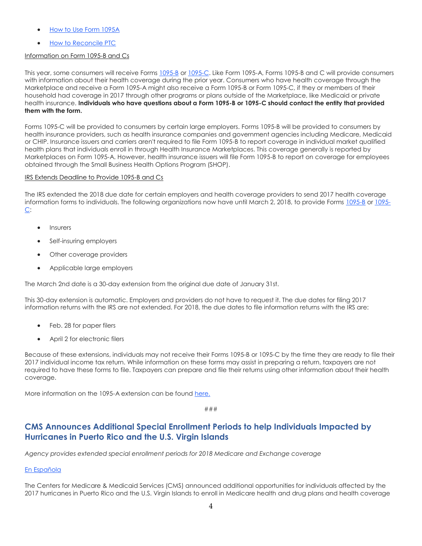- [How to Use Form 1095A](http://links.govdelivery.com/track?type=click&enid=ZWFzPTEmbXNpZD0mYXVpZD0mbWFpbGluZ2lkPTIwMTgwMjE0Ljg1MzgwOTkxJm1lc3NhZ2VpZD1NREItUFJELUJVTC0yMDE4MDIxNC44NTM4MDk5MSZkYXRhYmFzZWlkPTEwMDEmc2VyaWFsPTE4MjI3Mzg2JmVtYWlsaWQ9bG9yZWxlaS5zY2hpZWZlcmRlY2tlckBjbXMuaGhzLmdvdiZ1c2VyaWQ9bG9yZWxlaS5zY2hpZWZlcmRlY2tlckBjbXMuaGhzLmdvdiZ0YXJnZXRpZD0mZmw9JmV4dHJhPU11bHRpdmFyaWF0ZUlkPSYmJg==&&&109&&&https://www.healthcare.gov/tax-form-1095/)
- [How to Reconcile PTC](http://links.govdelivery.com/track?type=click&enid=ZWFzPTEmbXNpZD0mYXVpZD0mbWFpbGluZ2lkPTIwMTgwMjE0Ljg1MzgwOTkxJm1lc3NhZ2VpZD1NREItUFJELUJVTC0yMDE4MDIxNC44NTM4MDk5MSZkYXRhYmFzZWlkPTEwMDEmc2VyaWFsPTE4MjI3Mzg2JmVtYWlsaWQ9bG9yZWxlaS5zY2hpZWZlcmRlY2tlckBjbXMuaGhzLmdvdiZ1c2VyaWQ9bG9yZWxlaS5zY2hpZWZlcmRlY2tlckBjbXMuaGhzLmdvdiZ0YXJnZXRpZD0mZmw9JmV4dHJhPU11bHRpdmFyaWF0ZUlkPSYmJg==&&&110&&&https://www.healthcare.gov/taxes-reconciling/)

### Information on Form 1095-B and Cs

This year, some consumers will receive Forms [1095-B](http://links.govdelivery.com/track?type=click&enid=ZWFzPTEmbXNpZD0mYXVpZD0mbWFpbGluZ2lkPTIwMTgwMjE0Ljg1MzgwOTkxJm1lc3NhZ2VpZD1NREItUFJELUJVTC0yMDE4MDIxNC44NTM4MDk5MSZkYXRhYmFzZWlkPTEwMDEmc2VyaWFsPTE4MjI3Mzg2JmVtYWlsaWQ9bG9yZWxlaS5zY2hpZWZlcmRlY2tlckBjbXMuaGhzLmdvdiZ1c2VyaWQ9bG9yZWxlaS5zY2hpZWZlcmRlY2tlckBjbXMuaGhzLmdvdiZ0YXJnZXRpZD0mZmw9JmV4dHJhPU11bHRpdmFyaWF0ZUlkPSYmJg==&&&111&&&https://www.irs.gov/uac/About-Form-1095-B) or [1095-C.](http://links.govdelivery.com/track?type=click&enid=ZWFzPTEmbXNpZD0mYXVpZD0mbWFpbGluZ2lkPTIwMTgwMjE0Ljg1MzgwOTkxJm1lc3NhZ2VpZD1NREItUFJELUJVTC0yMDE4MDIxNC44NTM4MDk5MSZkYXRhYmFzZWlkPTEwMDEmc2VyaWFsPTE4MjI3Mzg2JmVtYWlsaWQ9bG9yZWxlaS5zY2hpZWZlcmRlY2tlckBjbXMuaGhzLmdvdiZ1c2VyaWQ9bG9yZWxlaS5zY2hpZWZlcmRlY2tlckBjbXMuaGhzLmdvdiZ0YXJnZXRpZD0mZmw9JmV4dHJhPU11bHRpdmFyaWF0ZUlkPSYmJg==&&&112&&&https://www.irs.gov/uac/About-Form-1095-C) Like Form 1095-A, Forms 1095-B and C will provide consumers with information about their health coverage during the prior year. Consumers who have health coverage through the Marketplace and receive a Form 1095-A might also receive a Form 1095-B or Form 1095-C, if they or members of their household had coverage in 2017 through other programs or plans outside of the Marketplace, like Medicaid or private health insurance. **Individuals who have questions about a Form 1095-B or 1095-C should contact the entity that provided them with the form.**

Forms 1095-C will be provided to consumers by certain large employers. Forms 1095-B will be provided to consumers by health insurance providers, such as health insurance companies and government agencies including Medicare, Medicaid or CHIP. Insurance issuers and carriers aren't required to file Form 1095-B to report coverage in individual market qualified health plans that individuals enroll in through Health Insurance Marketplaces. This coverage generally is reported by Marketplaces on Form 1095-A. However, health insurance issuers will file Form 1095-B to report on coverage for employees obtained through the Small Business Health Options Program (SHOP).

#### IRS Extends Deadline to Provide 1095-B and Cs

The IRS extended the 2018 due date for certain employers and health coverage providers to send 2017 health coverage information forms to individuals. The following organizations now have until March 2, 2018, to provide Forms [1095-B](http://links.govdelivery.com/track?type=click&enid=ZWFzPTEmbXNpZD0mYXVpZD0mbWFpbGluZ2lkPTIwMTgwMjE0Ljg1MzgwOTkxJm1lc3NhZ2VpZD1NREItUFJELUJVTC0yMDE4MDIxNC44NTM4MDk5MSZkYXRhYmFzZWlkPTEwMDEmc2VyaWFsPTE4MjI3Mzg2JmVtYWlsaWQ9bG9yZWxlaS5zY2hpZWZlcmRlY2tlckBjbXMuaGhzLmdvdiZ1c2VyaWQ9bG9yZWxlaS5zY2hpZWZlcmRlY2tlckBjbXMuaGhzLmdvdiZ0YXJnZXRpZD0mZmw9JmV4dHJhPU11bHRpdmFyaWF0ZUlkPSYmJg==&&&113&&&https://www.irs.gov/forms-pubs/about-form-1095-b) o[r 1095-](http://links.govdelivery.com/track?type=click&enid=ZWFzPTEmbXNpZD0mYXVpZD0mbWFpbGluZ2lkPTIwMTgwMjE0Ljg1MzgwOTkxJm1lc3NhZ2VpZD1NREItUFJELUJVTC0yMDE4MDIxNC44NTM4MDk5MSZkYXRhYmFzZWlkPTEwMDEmc2VyaWFsPTE4MjI3Mzg2JmVtYWlsaWQ9bG9yZWxlaS5zY2hpZWZlcmRlY2tlckBjbXMuaGhzLmdvdiZ1c2VyaWQ9bG9yZWxlaS5zY2hpZWZlcmRlY2tlckBjbXMuaGhzLmdvdiZ0YXJnZXRpZD0mZmw9JmV4dHJhPU11bHRpdmFyaWF0ZUlkPSYmJg==&&&114&&&https://www.irs.gov/forms-pubs/about-form-1095-c) [C:](http://links.govdelivery.com/track?type=click&enid=ZWFzPTEmbXNpZD0mYXVpZD0mbWFpbGluZ2lkPTIwMTgwMjE0Ljg1MzgwOTkxJm1lc3NhZ2VpZD1NREItUFJELUJVTC0yMDE4MDIxNC44NTM4MDk5MSZkYXRhYmFzZWlkPTEwMDEmc2VyaWFsPTE4MjI3Mzg2JmVtYWlsaWQ9bG9yZWxlaS5zY2hpZWZlcmRlY2tlckBjbXMuaGhzLmdvdiZ1c2VyaWQ9bG9yZWxlaS5zY2hpZWZlcmRlY2tlckBjbXMuaGhzLmdvdiZ0YXJnZXRpZD0mZmw9JmV4dHJhPU11bHRpdmFyaWF0ZUlkPSYmJg==&&&114&&&https://www.irs.gov/forms-pubs/about-form-1095-c)

- Insurers
- Self-insuring employers
- Other coverage providers
- Applicable large employers

The March 2nd date is a 30-day extension from the original due date of January 31st.

This 30-day extension is automatic. Employers and providers do not have to request it. The due dates for filing 2017 information returns with the IRS are not extended. For 2018, the due dates to file information returns with the IRS are:

- Feb. 28 for paper filers
- April 2 for electronic filers

Because of these extensions, individuals may not receive their Forms 1095-B or 1095-C by the time they are ready to file their 2017 individual income tax return. While information on these forms may assist in preparing a return, taxpayers are not required to have these forms to file. Taxpayers can prepare and file their returns using other information about their health coverage.

More information on the 1095-A extension can be foun[d here.](http://links.govdelivery.com/track?type=click&enid=ZWFzPTEmbXNpZD0mYXVpZD0mbWFpbGluZ2lkPTIwMTgwMjE0Ljg1MzgwOTkxJm1lc3NhZ2VpZD1NREItUFJELUJVTC0yMDE4MDIxNC44NTM4MDk5MSZkYXRhYmFzZWlkPTEwMDEmc2VyaWFsPTE4MjI3Mzg2JmVtYWlsaWQ9bG9yZWxlaS5zY2hpZWZlcmRlY2tlckBjbXMuaGhzLmdvdiZ1c2VyaWQ9bG9yZWxlaS5zY2hpZWZlcmRlY2tlckBjbXMuaGhzLmdvdiZ0YXJnZXRpZD0mZmw9JmV4dHJhPU11bHRpdmFyaWF0ZUlkPSYmJg==&&&115&&&https://www.irs.gov/pub/irs-drop/n-18-06.pdf)

###

### <span id="page-3-0"></span>**CMS Announces Additional Special Enrollment Periods to help Individuals Impacted by Hurricanes in Puerto Rico and the U.S. Virgin Islands**

*Agency provides extended special enrollment periods for 2018 Medicare and Exchange coverage*

### [En Española](http://links.govdelivery.com/track?type=click&enid=ZWFzPTEmbXNpZD0mYXVpZD0mbWFpbGluZ2lkPTIwMTgwMjE0Ljg1MzgwOTkxJm1lc3NhZ2VpZD1NREItUFJELUJVTC0yMDE4MDIxNC44NTM4MDk5MSZkYXRhYmFzZWlkPTEwMDEmc2VyaWFsPTE4MjI3Mzg2JmVtYWlsaWQ9bG9yZWxlaS5zY2hpZWZlcmRlY2tlckBjbXMuaGhzLmdvdiZ1c2VyaWQ9bG9yZWxlaS5zY2hpZWZlcmRlY2tlckBjbXMuaGhzLmdvdiZ0YXJnZXRpZD0mZmw9JmV4dHJhPU11bHRpdmFyaWF0ZUlkPSYmJg==&&&116&&&https://www.cms.gov/Newsroom/MediaReleaseDatabase/Press-releases-en-espanol-items/2018-01-17.html)

The Centers for Medicare & Medicaid Services (CMS) announced additional opportunities for individuals affected by the 2017 hurricanes in Puerto Rico and the U.S. Virgin Islands to enroll in Medicare health and drug plans and health coverage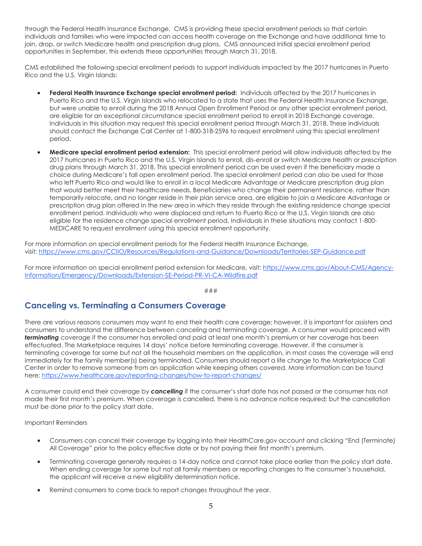through the Federal Health Insurance Exchange. CMS is providing these special enrollment periods so that certain individuals and families who were impacted can access health coverage on the Exchange and have additional time to join, drop, or switch Medicare health and prescription drug plans. CMS announced initial special enrollment period opportunities in September, this extends these opportunities through March 31, 2018.

CMS established the following special enrollment periods to support individuals impacted by the 2017 hurricanes in Puerto Rico and the U.S. Virgin Islands:

- **Federal Health Insurance Exchange special enrollment period:** Individuals affected by the 2017 hurricanes in Puerto Rico and the U.S. Virgin Islands who relocated to a state that uses the Federal Health Insurance Exchange, but were unable to enroll during the 2018 Annual Open Enrollment Period or any other special enrollment period, are eligible for an exceptional circumstance special enrollment period to enroll in 2018 Exchange coverage. Individuals in this situation may request this special enrollment period through March 31, 2018. These individuals should contact the Exchange Call Center at 1-800-318-2596 to request enrollment using this special enrollment period.
- **Medicare special enrollment period extension:** This special enrollment period will allow individuals affected by the 2017 hurricanes in Puerto Rico and the U.S. Virgin Islands to enroll, dis-enroll or switch Medicare health or prescription drug plans through March 31, 2018. This special enrollment period can be used even if the beneficiary made a choice during Medicare's fall open enrollment period. The special enrollment period can also be used for those who left Puerto Rico and would like to enroll in a local Medicare Advantage or Medicare prescription drug plan that would better meet their healthcare needs. Beneficiaries who change their permanent residence, rather than temporarily relocate, and no longer reside in their plan service area, are eligible to join a Medicare Advantage or prescription drug plan offered in the new area in which they reside through the existing residence change special enrollment period. Individuals who were displaced and return to Puerto Rico or the U.S. Virgin Islands are also eligible for the residence change special enrollment period. Individuals in these situations may contact 1-800- MEDICARE to request enrollment using this special enrollment opportunity.

For more information on special enrollment periods for the Federal Health Insurance Exchange, visit: [https://www.cms.gov/CCIIO/Resources/Regulations-and-Guidance/Downloads/Territories-SEP-Guidance.pdf](http://links.govdelivery.com/track?type=click&enid=ZWFzPTEmbXNpZD0mYXVpZD0mbWFpbGluZ2lkPTIwMTgwMjE0Ljg1MzgwOTkxJm1lc3NhZ2VpZD1NREItUFJELUJVTC0yMDE4MDIxNC44NTM4MDk5MSZkYXRhYmFzZWlkPTEwMDEmc2VyaWFsPTE4MjI3Mzg2JmVtYWlsaWQ9bG9yZWxlaS5zY2hpZWZlcmRlY2tlckBjbXMuaGhzLmdvdiZ1c2VyaWQ9bG9yZWxlaS5zY2hpZWZlcmRlY2tlckBjbXMuaGhzLmdvdiZ0YXJnZXRpZD0mZmw9JmV4dHJhPU11bHRpdmFyaWF0ZUlkPSYmJg==&&&117&&&https://www.cms.gov/CCIIO/Resources/Regulations-and-Guidance/Downloads/Territories-SEP-Guidance.pdf)

For more information on special enrollment period extension for Medicare, visit: [https://www.cms.gov/About-CMS/Agency-](http://links.govdelivery.com/track?type=click&enid=ZWFzPTEmbXNpZD0mYXVpZD0mbWFpbGluZ2lkPTIwMTgwMjE0Ljg1MzgwOTkxJm1lc3NhZ2VpZD1NREItUFJELUJVTC0yMDE4MDIxNC44NTM4MDk5MSZkYXRhYmFzZWlkPTEwMDEmc2VyaWFsPTE4MjI3Mzg2JmVtYWlsaWQ9bG9yZWxlaS5zY2hpZWZlcmRlY2tlckBjbXMuaGhzLmdvdiZ1c2VyaWQ9bG9yZWxlaS5zY2hpZWZlcmRlY2tlckBjbXMuaGhzLmdvdiZ0YXJnZXRpZD0mZmw9JmV4dHJhPU11bHRpdmFyaWF0ZUlkPSYmJg==&&&118&&&https://www.cms.gov/About-CMS/Agency-Information/Emergency/Downloads/Extension-SE-Period-PR-VI-CA-Wildfire.pdf)[Information/Emergency/Downloads/Extension-SE-Period-PR-VI-CA-Wildfire.pdf](http://links.govdelivery.com/track?type=click&enid=ZWFzPTEmbXNpZD0mYXVpZD0mbWFpbGluZ2lkPTIwMTgwMjE0Ljg1MzgwOTkxJm1lc3NhZ2VpZD1NREItUFJELUJVTC0yMDE4MDIxNC44NTM4MDk5MSZkYXRhYmFzZWlkPTEwMDEmc2VyaWFsPTE4MjI3Mzg2JmVtYWlsaWQ9bG9yZWxlaS5zY2hpZWZlcmRlY2tlckBjbXMuaGhzLmdvdiZ1c2VyaWQ9bG9yZWxlaS5zY2hpZWZlcmRlY2tlckBjbXMuaGhzLmdvdiZ0YXJnZXRpZD0mZmw9JmV4dHJhPU11bHRpdmFyaWF0ZUlkPSYmJg==&&&118&&&https://www.cms.gov/About-CMS/Agency-Information/Emergency/Downloads/Extension-SE-Period-PR-VI-CA-Wildfire.pdf)

###

### <span id="page-4-0"></span>**Canceling vs. Terminating a Consumers Coverage**

There are various reasons consumers may want to end their health care coverage; however, it is important for assisters and consumers to understand the difference between canceling and terminating coverage. A consumer would proceed with *terminating* coverage if the consumer has enrolled and paid at least one month's premium or her coverage has been effectuated. The Marketplace requires 14 days' notice before terminating coverage. However, if the consumer is terminating coverage for some but not all the household members on the application, in most cases the coverage will end immediately for the family member(s) being terminated. Consumers should report a life change to the Marketplace Call Center in order to remove someone from an application while keeping others covered. More information can be found here: [https://www.healthcare.gov/reporting-changes/how-to-report-changes/](http://links.govdelivery.com/track?type=click&enid=ZWFzPTEmbXNpZD0mYXVpZD0mbWFpbGluZ2lkPTIwMTgwMjE0Ljg1MzgwOTkxJm1lc3NhZ2VpZD1NREItUFJELUJVTC0yMDE4MDIxNC44NTM4MDk5MSZkYXRhYmFzZWlkPTEwMDEmc2VyaWFsPTE4MjI3Mzg2JmVtYWlsaWQ9bG9yZWxlaS5zY2hpZWZlcmRlY2tlckBjbXMuaGhzLmdvdiZ1c2VyaWQ9bG9yZWxlaS5zY2hpZWZlcmRlY2tlckBjbXMuaGhzLmdvdiZ0YXJnZXRpZD0mZmw9JmV4dHJhPU11bHRpdmFyaWF0ZUlkPSYmJg==&&&119&&&https://www.healthcare.gov/reporting-changes/how-to-report-changes/)

A consumer could end their coverage by *cancelling* if the consumer's start date has not passed or the consumer has not made their first month's premium. When coverage is cancelled, there is no advance notice required; but the cancellation must be done prior to the policy start date.

Important Reminders

- Consumers can cancel their coverage by logging into their HealthCare.gov account and clicking "End (Terminate) All Coverage" prior to the policy effective date or by not paying their first month's premium.
- Terminating coverage generally requires a 14-day notice and cannot take place earlier than the policy start date. When ending coverage for some but not all family members or reporting changes to the consumer's household, the applicant will receive a new eligibility determination notice.
- Remind consumers to come back to report changes throughout the year.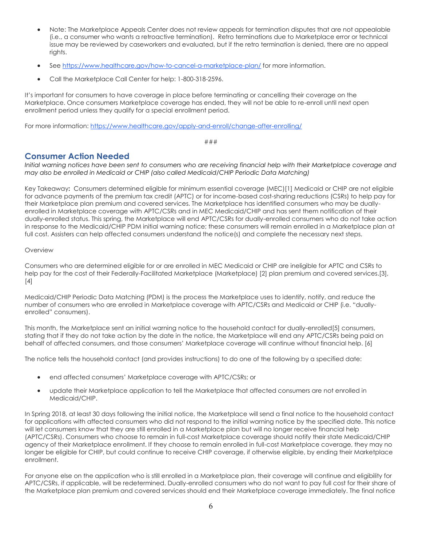- Note: The Marketplace Appeals Center does not review appeals for termination disputes that are not appealable (i.e., a consumer who wants a retroactive termination). Retro terminations due to Marketplace error or technical issue may be reviewed by caseworkers and evaluated, but if the retro termination is denied, there are no appeal rights.
- Se[e https://www.healthcare.gov/how-to-cancel-a-marketplace-plan/](http://links.govdelivery.com/track?type=click&enid=ZWFzPTEmbXNpZD0mYXVpZD0mbWFpbGluZ2lkPTIwMTgwMjE0Ljg1MzgwOTkxJm1lc3NhZ2VpZD1NREItUFJELUJVTC0yMDE4MDIxNC44NTM4MDk5MSZkYXRhYmFzZWlkPTEwMDEmc2VyaWFsPTE4MjI3Mzg2JmVtYWlsaWQ9bG9yZWxlaS5zY2hpZWZlcmRlY2tlckBjbXMuaGhzLmdvdiZ1c2VyaWQ9bG9yZWxlaS5zY2hpZWZlcmRlY2tlckBjbXMuaGhzLmdvdiZ0YXJnZXRpZD0mZmw9JmV4dHJhPU11bHRpdmFyaWF0ZUlkPSYmJg==&&&120&&&https://www.healthcare.gov/how-to-cancel-a-marketplace-plan/) for more information.
- Call the Marketplace Call Center for help: 1-800-318-2596.

It's important for consumers to have coverage in place before terminating or cancelling their coverage on the Marketplace. Once consumers Marketplace coverage has ended, they will not be able to re-enroll until next open enrollment period unless they qualify for a special enrollment period.

For more information: [https://www.healthcare.gov/apply-and-enroll/change-after-enrolling/](http://links.govdelivery.com/track?type=click&enid=ZWFzPTEmbXNpZD0mYXVpZD0mbWFpbGluZ2lkPTIwMTgwMjE0Ljg1MzgwOTkxJm1lc3NhZ2VpZD1NREItUFJELUJVTC0yMDE4MDIxNC44NTM4MDk5MSZkYXRhYmFzZWlkPTEwMDEmc2VyaWFsPTE4MjI3Mzg2JmVtYWlsaWQ9bG9yZWxlaS5zY2hpZWZlcmRlY2tlckBjbXMuaGhzLmdvdiZ1c2VyaWQ9bG9yZWxlaS5zY2hpZWZlcmRlY2tlckBjbXMuaGhzLmdvdiZ0YXJnZXRpZD0mZmw9JmV4dHJhPU11bHRpdmFyaWF0ZUlkPSYmJg==&&&121&&&https://www.healthcare.gov/apply-and-enroll/change-after-enrolling/)

###

### <span id="page-5-0"></span>**Consumer Action Needed**

*Initial warning notices have been sent to consumers who are receiving financial help with their Marketplace coverage and may also be enrolled in Medicaid or CHIP (also called Medicaid/CHIP Periodic Data Matching)*

Key Takeaway**:** Consumers determined eligible for minimum essential coverage (MEC)[1] Medicaid or CHIP are not eligible for advance payments of the premium tax credit (APTC) or for income-based cost-sharing reductions (CSRs) to help pay for their Marketplace plan premium and covered services. The Marketplace has identified consumers who may be duallyenrolled in Marketplace coverage with APTC/CSRs and in MEC Medicaid/CHIP and has sent them notification of their dually-enrolled status. This spring, the Marketplace will end APTC/CSRs for dually-enrolled consumers who do not take action in response to the Medicaid/CHIP PDM initial warning notice; these consumers will remain enrolled in a Marketplace plan at full cost. Assisters can help affected consumers understand the notice(s) and complete the necessary next steps.

### Overview

Consumers who are determined eligible for or are enrolled in MEC Medicaid or CHIP are ineligible for APTC and CSRs to help pay for the cost of their Federally-Facilitated Marketplace (Marketplace) [2] plan premium and covered services.[3], [4]

Medicaid/CHIP Periodic Data Matching (PDM) is the process the Marketplace uses to identify, notify, and reduce the number of consumers who are enrolled in Marketplace coverage with APTC/CSRs and Medicaid or CHIP (i.e. "duallyenrolled" consumers).

This month, the Marketplace sent an initial warning notice to the household contact for dually-enrolled[5] consumers, stating that if they do not take action by the date in the notice, the Marketplace will end any APTC/CSRs being paid on behalf of affected consumers, and those consumers' Marketplace coverage will continue without financial help. [6]

The notice tells the household contact (and provides instructions) to do one of the following by a specified date:

- end affected consumers' Marketplace coverage with APTC/CSRs; or
- update their Marketplace application to tell the Marketplace that affected consumers are not enrolled in Medicaid/CHIP.

In Spring 2018, at least 30 days following the initial notice, the Marketplace will send a final notice to the household contact for applications with affected consumers who did not respond to the initial warning notice by the specified date. This notice will let consumers know that they are still enrolled in a Marketplace plan but will no longer receive financial help (APTC/CSRs). Consumers who choose to remain in full-cost Marketplace coverage should notify their state Medicaid/CHIP agency of their Marketplace enrollment. If they choose to remain enrolled in full-cost Marketplace coverage, they may no longer be eligible for CHIP, but could continue to receive CHIP coverage, if otherwise eligible, by ending their Marketplace enrollment.

For anyone else on the application who is still enrolled in a Marketplace plan, their coverage will continue and eligibility for APTC/CSRs, if applicable, will be redetermined. Dually-enrolled consumers who do not want to pay full cost for their share of the Marketplace plan premium and covered services should end their Marketplace coverage immediately. The final notice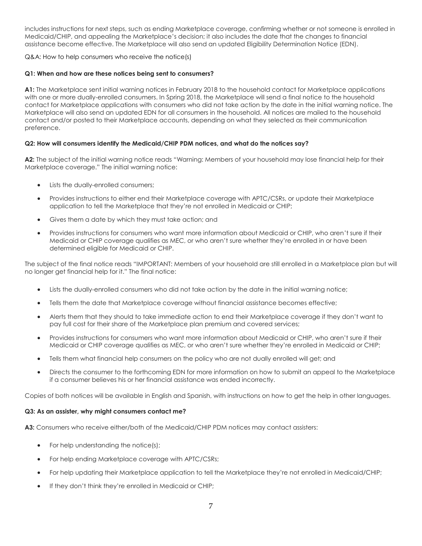includes instructions for next steps, such as ending Marketplace coverage, confirming whether or not someone is enrolled in Medicaid/CHIP, and appealing the Marketplace's decision; it also includes the date that the changes to financial assistance become effective. The Marketplace will also send an updated Eligibility Determination Notice (EDN).

Q&A: How to help consumers who receive the notice(s)

### **Q1: When and how are these notices being sent to consumers?**

**A1:** The Marketplace sent initial warning notices in February 2018 to the household contact for Marketplace applications with one or more dually-enrolled consumers. In Spring 2018, the Marketplace will send a final notice to the household contact for Marketplace applications with consumers who did not take action by the date in the initial warning notice. The Marketplace will also send an updated EDN for all consumers in the household. All notices are mailed to the household contact and/or posted to their Marketplace accounts, depending on what they selected as their communication preference.

### **Q2: How will consumers identify the Medicaid/CHIP PDM notices, and what do the notices say?**

**A2:** The subject of the initial warning notice reads "Warning: Members of your household may lose financial help for their Marketplace coverage." The initial warning notice:

- Lists the dually-enrolled consumers;
- Provides instructions to either end their Marketplace coverage with APTC/CSRs, or update their Marketplace application to tell the Marketplace that they're not enrolled in Medicaid or CHIP;
- Gives them a date by which they must take action; and
- Provides instructions for consumers who want more information about Medicaid or CHIP, who aren't sure if their Medicaid or CHIP coverage qualifies as MEC, or who aren't sure whether they're enrolled in or have been determined eligible for Medicaid or CHIP.

The subject of the final notice reads "IMPORTANT: Members of your household are still enrolled in a Marketplace plan but will no longer get financial help for it." The final notice:

- Lists the dually-enrolled consumers who did not take action by the date in the initial warning notice;
- Tells them the date that Marketplace coverage without financial assistance becomes effective;
- Alerts them that they should to take immediate action to end their Marketplace coverage if they don't want to pay full cost for their share of the Marketplace plan premium and covered services;
- Provides instructions for consumers who want more information about Medicaid or CHIP, who aren't sure if their Medicaid or CHIP coverage qualifies as MEC, or who aren't sure whether they're enrolled in Medicaid or CHIP;
- Tells them what financial help consumers on the policy who are not dually enrolled will get; and
- Directs the consumer to the forthcoming EDN for more information on how to submit an appeal to the Marketplace if a consumer believes his or her financial assistance was ended incorrectly.

Copies of both notices will be available in English and Spanish, with instructions on how to get the help in other languages.

### **Q3: As an assister, why might consumers contact me?**

**A3:** Consumers who receive either/both of the Medicaid/CHIP PDM notices may contact assisters:

- For help understanding the notice(s);
- For help ending Marketplace coverage with APTC/CSRs;
- For help updating their Marketplace application to tell the Marketplace they're not enrolled in Medicaid/CHIP;
- If they don't think they're enrolled in Medicaid or CHIP;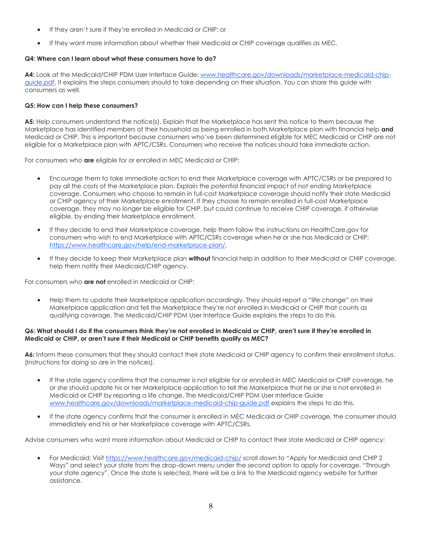- If they aren't sure if they're enrolled in Medicaid or CHIP; or
- If they want more information about whether their Medicaid or CHIP coverage qualifies as MEC.

### **Q4: Where can I learn about what these consumers have to do?**

**A4:** Look at the Medicaid/CHIP PDM User Interface Guide: [www.healthcare.gov/downloads/marketplace-medicaid-chip](http://links.govdelivery.com/track?type=click&enid=ZWFzPTEmbXNpZD0mYXVpZD0mbWFpbGluZ2lkPTIwMTgwMjE0Ljg1MzgwOTkxJm1lc3NhZ2VpZD1NREItUFJELUJVTC0yMDE4MDIxNC44NTM4MDk5MSZkYXRhYmFzZWlkPTEwMDEmc2VyaWFsPTE4MjI3Mzg2JmVtYWlsaWQ9bG9yZWxlaS5zY2hpZWZlcmRlY2tlckBjbXMuaGhzLmdvdiZ1c2VyaWQ9bG9yZWxlaS5zY2hpZWZlcmRlY2tlckBjbXMuaGhzLmdvdiZ0YXJnZXRpZD0mZmw9JmV4dHJhPU11bHRpdmFyaWF0ZUlkPSYmJg==&&&122&&&http://www.healthcare.gov/downloads/marketplace-medicaid-chip-guide.pdf)[guide.pdf.](http://links.govdelivery.com/track?type=click&enid=ZWFzPTEmbXNpZD0mYXVpZD0mbWFpbGluZ2lkPTIwMTgwMjE0Ljg1MzgwOTkxJm1lc3NhZ2VpZD1NREItUFJELUJVTC0yMDE4MDIxNC44NTM4MDk5MSZkYXRhYmFzZWlkPTEwMDEmc2VyaWFsPTE4MjI3Mzg2JmVtYWlsaWQ9bG9yZWxlaS5zY2hpZWZlcmRlY2tlckBjbXMuaGhzLmdvdiZ1c2VyaWQ9bG9yZWxlaS5zY2hpZWZlcmRlY2tlckBjbXMuaGhzLmdvdiZ0YXJnZXRpZD0mZmw9JmV4dHJhPU11bHRpdmFyaWF0ZUlkPSYmJg==&&&122&&&http://www.healthcare.gov/downloads/marketplace-medicaid-chip-guide.pdf) It explains the steps consumers should to take depending on their situation. You can share this guide with consumers as well.

### **Q5: How can I help these consumers?**

**A5:** Help consumers understand the notice(s). Explain that the Marketplace has sent this notice to them because the Marketplace has identified members of their household as being enrolled in both Marketplace plan with financial help **and** Medicaid or CHIP. This is important because consumers who've been determined eligible for MEC Medicaid or CHIP are not eligible for a Marketplace plan with APTC/CSRs. Consumers who receive the notices should take immediate action.

For consumers who **are** eligible for or enrolled in MEC Medicaid or CHIP:

- Encourage them to take immediate action to end their Marketplace coverage with APTC/CSRs or be prepared to pay all the costs of the Marketplace plan. Explain the potential financial impact of not ending Marketplace coverage. Consumers who choose to remain in full-cost Marketplace coverage should notify their state Medicaid or CHIP agency of their Marketplace enrollment. If they choose to remain enrolled in full-cost Marketplace coverage, they may no longer be eligible for CHIP, but could continue to receive CHIP coverage, if otherwise eligible, by ending their Marketplace enrollment.
- If they decide to end their Marketplace coverage, help them follow the instructions on HealthCare.gov for consumers who wish to end Marketplace with APTC/CSRs coverage when he or she has Medicaid or CHIP: [https://www.healthcare.gov/help/end-marketplace-plan/.](http://links.govdelivery.com/track?type=click&enid=ZWFzPTEmbXNpZD0mYXVpZD0mbWFpbGluZ2lkPTIwMTgwMjE0Ljg1MzgwOTkxJm1lc3NhZ2VpZD1NREItUFJELUJVTC0yMDE4MDIxNC44NTM4MDk5MSZkYXRhYmFzZWlkPTEwMDEmc2VyaWFsPTE4MjI3Mzg2JmVtYWlsaWQ9bG9yZWxlaS5zY2hpZWZlcmRlY2tlckBjbXMuaGhzLmdvdiZ1c2VyaWQ9bG9yZWxlaS5zY2hpZWZlcmRlY2tlckBjbXMuaGhzLmdvdiZ0YXJnZXRpZD0mZmw9JmV4dHJhPU11bHRpdmFyaWF0ZUlkPSYmJg==&&&123&&&https://www.healthcare.gov/help/end-marketplace-plan/)
- If they decide to keep their Marketplace plan **without** financial help in addition to their Medicaid or CHIP coverage, help them notify their Medicaid/CHIP agency.

For consumers who **are not** enrolled in Medicaid or CHIP:

 Help them to update their Marketplace application accordingly. They should report a "life change" on their Marketplace application and tell the Marketplace they're not enrolled in Medicaid or CHIP that counts as qualifying coverage. The Medicaid/CHIP PDM User Interface Guide explains the steps to do this.

#### **Q6: What should I do if the consumers think they're not enrolled in Medicaid or CHIP, aren't sure if they're enrolled in Medicaid or CHIP, or aren't sure if their Medicaid or CHIP benefits qualify as MEC?**

**A6:** Inform these consumers that they should contact their state Medicaid or CHIP agency to confirm their enrollment status. (Instructions for doing so are in the notices).

- If the state agency confirms that the consumer is not eligible for or enrolled in MEC Medicaid or CHIP coverage, he or she should update his or her Marketplace application to tell the Marketplace that he or she is not enrolled in Medicaid or CHIP by reporting a life change. The Medicaid/CHIP PDM User Interface Guide [www.healthcare.gov/downloads/marketplace-medicaid-chip-guide.pdf](http://links.govdelivery.com/track?type=click&enid=ZWFzPTEmbXNpZD0mYXVpZD0mbWFpbGluZ2lkPTIwMTgwMjE0Ljg1MzgwOTkxJm1lc3NhZ2VpZD1NREItUFJELUJVTC0yMDE4MDIxNC44NTM4MDk5MSZkYXRhYmFzZWlkPTEwMDEmc2VyaWFsPTE4MjI3Mzg2JmVtYWlsaWQ9bG9yZWxlaS5zY2hpZWZlcmRlY2tlckBjbXMuaGhzLmdvdiZ1c2VyaWQ9bG9yZWxlaS5zY2hpZWZlcmRlY2tlckBjbXMuaGhzLmdvdiZ0YXJnZXRpZD0mZmw9JmV4dHJhPU11bHRpdmFyaWF0ZUlkPSYmJg==&&&124&&&http://www.healthcare.gov/downloads/marketplace-medicaid-chip-guide.pdf) explains the steps to do this.
- If the state agency confirms that the consumer is enrolled in MEC Medicaid or CHIP coverage, the consumer should immediately end his or her Marketplace coverage with APTC/CSRs.

Advise consumers who want more information about Medicaid or CHIP to contact their state Medicaid or CHIP agency:

 For Medicaid: Visit [https://www.healthcare.gov/medicaid-chip/](http://links.govdelivery.com/track?type=click&enid=ZWFzPTEmbXNpZD0mYXVpZD0mbWFpbGluZ2lkPTIwMTgwMjE0Ljg1MzgwOTkxJm1lc3NhZ2VpZD1NREItUFJELUJVTC0yMDE4MDIxNC44NTM4MDk5MSZkYXRhYmFzZWlkPTEwMDEmc2VyaWFsPTE4MjI3Mzg2JmVtYWlsaWQ9bG9yZWxlaS5zY2hpZWZlcmRlY2tlckBjbXMuaGhzLmdvdiZ1c2VyaWQ9bG9yZWxlaS5zY2hpZWZlcmRlY2tlckBjbXMuaGhzLmdvdiZ0YXJnZXRpZD0mZmw9JmV4dHJhPU11bHRpdmFyaWF0ZUlkPSYmJg==&&&125&&&https://www.healthcare.gov/medicaid-chip/) scroll down to "Apply for Medicaid and CHIP 2 Ways" and select your state from the drop-down menu under the second option to apply for coverage, "Through your state agency". Once the state is selected, there will be a link to the Medicaid agency website for further assistance.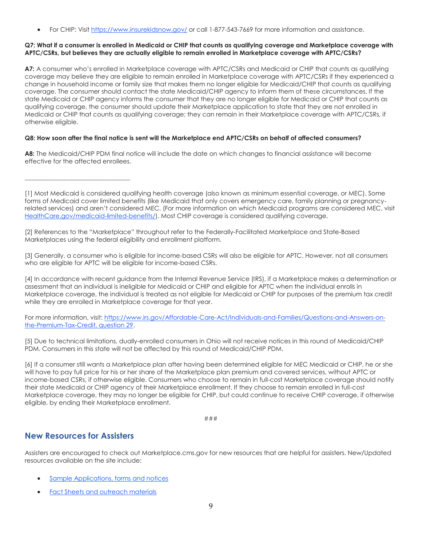For CHIP: Visit [https://www.insurekidsnow.gov/](http://links.govdelivery.com/track?type=click&enid=ZWFzPTEmbXNpZD0mYXVpZD0mbWFpbGluZ2lkPTIwMTgwMjE0Ljg1MzgwOTkxJm1lc3NhZ2VpZD1NREItUFJELUJVTC0yMDE4MDIxNC44NTM4MDk5MSZkYXRhYmFzZWlkPTEwMDEmc2VyaWFsPTE4MjI3Mzg2JmVtYWlsaWQ9bG9yZWxlaS5zY2hpZWZlcmRlY2tlckBjbXMuaGhzLmdvdiZ1c2VyaWQ9bG9yZWxlaS5zY2hpZWZlcmRlY2tlckBjbXMuaGhzLmdvdiZ0YXJnZXRpZD0mZmw9JmV4dHJhPU11bHRpdmFyaWF0ZUlkPSYmJg==&&&126&&&https://www.insurekidsnow.gov/) or call 1-877-543-7669 for more information and assistance.

### **Q7: What if a consumer is enrolled in Medicaid or CHIP that counts as qualifying coverage and Marketplace coverage with APTC/CSRs, but believes they are actually eligible to remain enrolled in Marketplace coverage with APTC/CSRs?**

**A7:** A consumer who's enrolled in Marketplace coverage with APTC/CSRs and Medicaid or CHIP that counts as qualifying coverage may believe they are eligible to remain enrolled in Marketplace coverage with APTC/CSRs if they experienced a change in household income or family size that makes them no longer eligible for Medicaid/CHIP that counts as qualifying coverage. The consumer should contact the state Medicaid/CHIP agency to inform them of these circumstances. If the state Medicaid or CHIP agency informs the consumer that they are no longer eligible for Medicaid or CHIP that counts as qualifying coverage, the consumer should update their Marketplace application to state that they are not enrolled in Medicaid or CHIP that counts as qualifying coverage; they can remain in their Marketplace coverage with APTC/CSRs, if otherwise eligible.

### **Q8: How soon after the final notice is sent will the Marketplace end APTC/CSRs on behalf of affected consumers?**

A8: The Medicaid/CHIP PDM final notice will include the date on which changes to financial assistance will become effective for the affected enrollees.

[1] Most Medicaid is considered qualifying health coverage (also known as minimum essential coverage, or MEC). Some forms of Medicaid cover limited benefits (like Medicaid that only covers emergency care, family planning or pregnancyrelated services) and aren't considered MEC. (For more information on which Medicaid programs are considered MEC, visit [HealthCare.gov/medicaid-limited-benefits/\)](http://links.govdelivery.com/track?type=click&enid=ZWFzPTEmbXNpZD0mYXVpZD0mbWFpbGluZ2lkPTIwMTgwMjE0Ljg1MzgwOTkxJm1lc3NhZ2VpZD1NREItUFJELUJVTC0yMDE4MDIxNC44NTM4MDk5MSZkYXRhYmFzZWlkPTEwMDEmc2VyaWFsPTE4MjI3Mzg2JmVtYWlsaWQ9bG9yZWxlaS5zY2hpZWZlcmRlY2tlckBjbXMuaGhzLmdvdiZ1c2VyaWQ9bG9yZWxlaS5zY2hpZWZlcmRlY2tlckBjbXMuaGhzLmdvdiZ0YXJnZXRpZD0mZmw9JmV4dHJhPU11bHRpdmFyaWF0ZUlkPSYmJg==&&&127&&&http://www.healthcare.gov/medicaid-limited-benefits/). Most CHIP coverage is considered qualifying coverage.

[2] References to the "Marketplace" throughout refer to the Federally-Facilitated Marketplace and State-Based Marketplaces using the federal eligibility and enrollment platform.

[3] Generally, a consumer who is eligible for income-based CSRs will also be eligible for APTC. However, not all consumers who are eligible for APTC will be eligible for income-based CSRs.

[4] In accordance with recent guidance from the Internal Revenue Service (IRS), if a Marketplace makes a determination or assessment that an individual is ineligible for Medicaid or CHIP and eligible for APTC when the individual enrolls in Marketplace coverage, the individual is treated as not eligible for Medicaid or CHIP for purposes of the premium tax credit while they are enrolled in Marketplace coverage for that year.

For more information, visit: [https://www.irs.gov/Affordable-Care-Act/Individuals-and-Families/Questions-and-Answers-on](http://links.govdelivery.com/track?type=click&enid=ZWFzPTEmbXNpZD0mYXVpZD0mbWFpbGluZ2lkPTIwMTgwMjE0Ljg1MzgwOTkxJm1lc3NhZ2VpZD1NREItUFJELUJVTC0yMDE4MDIxNC44NTM4MDk5MSZkYXRhYmFzZWlkPTEwMDEmc2VyaWFsPTE4MjI3Mzg2JmVtYWlsaWQ9bG9yZWxlaS5zY2hpZWZlcmRlY2tlckBjbXMuaGhzLmdvdiZ1c2VyaWQ9bG9yZWxlaS5zY2hpZWZlcmRlY2tlckBjbXMuaGhzLmdvdiZ0YXJnZXRpZD0mZmw9JmV4dHJhPU11bHRpdmFyaWF0ZUlkPSYmJg==&&&128&&&https://www.irs.gov/Affordable-Care-Act/Individuals-and-Families/Questions-and-Answers-on-the-Premium-Tax-Credit)[the-Premium-Tax-Credit, question 29.](http://links.govdelivery.com/track?type=click&enid=ZWFzPTEmbXNpZD0mYXVpZD0mbWFpbGluZ2lkPTIwMTgwMjE0Ljg1MzgwOTkxJm1lc3NhZ2VpZD1NREItUFJELUJVTC0yMDE4MDIxNC44NTM4MDk5MSZkYXRhYmFzZWlkPTEwMDEmc2VyaWFsPTE4MjI3Mzg2JmVtYWlsaWQ9bG9yZWxlaS5zY2hpZWZlcmRlY2tlckBjbXMuaGhzLmdvdiZ1c2VyaWQ9bG9yZWxlaS5zY2hpZWZlcmRlY2tlckBjbXMuaGhzLmdvdiZ0YXJnZXRpZD0mZmw9JmV4dHJhPU11bHRpdmFyaWF0ZUlkPSYmJg==&&&128&&&https://www.irs.gov/Affordable-Care-Act/Individuals-and-Families/Questions-and-Answers-on-the-Premium-Tax-Credit)

[5] Due to technical limitations, dually-enrolled consumers in Ohio will not receive notices in this round of Medicaid/CHIP PDM. Consumers in this state will not be affected by this round of Medicaid/CHIP PDM.

[6] If a consumer still wants a Marketplace plan after having been determined eligible for MEC Medicaid or CHIP, he or she will have to pay full price for his or her share of the Marketplace plan premium and covered services, without APTC or income-based CSRs, if otherwise eligible. Consumers who choose to remain in full-cost Marketplace coverage should notify their state Medicaid or CHIP agency of their Marketplace enrollment. If they choose to remain enrolled in full-cost Marketplace coverage, they may no longer be eligible for CHIP, but could continue to receive CHIP coverage, if otherwise eligible, by ending their Marketplace enrollment.

###

### <span id="page-8-0"></span>**New Resources for Assisters**

 $\overline{\phantom{a}}$  , which is a set of the set of the set of the set of the set of the set of the set of the set of the set of the set of the set of the set of the set of the set of the set of the set of the set of the set of th

Assisters are encouraged to check out Marketplace.cms.gov for new resources that are helpful for assisters. New/Updated resources available on the site include:

- [Sample Applications, forms and notices](http://links.govdelivery.com/track?type=click&enid=ZWFzPTEmbXNpZD0mYXVpZD0mbWFpbGluZ2lkPTIwMTgwMjE0Ljg1MzgwOTkxJm1lc3NhZ2VpZD1NREItUFJELUJVTC0yMDE4MDIxNC44NTM4MDk5MSZkYXRhYmFzZWlkPTEwMDEmc2VyaWFsPTE4MjI3Mzg2JmVtYWlsaWQ9bG9yZWxlaS5zY2hpZWZlcmRlY2tlckBjbXMuaGhzLmdvdiZ1c2VyaWQ9bG9yZWxlaS5zY2hpZWZlcmRlY2tlckBjbXMuaGhzLmdvdiZ0YXJnZXRpZD0mZmw9JmV4dHJhPU11bHRpdmFyaWF0ZUlkPSYmJg==&&&129&&&https://marketplace.cms.gov/applications-and-forms/applications-and-forms.html)
- [Fact Sheets and outreach materials](http://links.govdelivery.com/track?type=click&enid=ZWFzPTEmbXNpZD0mYXVpZD0mbWFpbGluZ2lkPTIwMTgwMjE0Ljg1MzgwOTkxJm1lc3NhZ2VpZD1NREItUFJELUJVTC0yMDE4MDIxNC44NTM4MDk5MSZkYXRhYmFzZWlkPTEwMDEmc2VyaWFsPTE4MjI3Mzg2JmVtYWlsaWQ9bG9yZWxlaS5zY2hpZWZlcmRlY2tlckBjbXMuaGhzLmdvdiZ1c2VyaWQ9bG9yZWxlaS5zY2hpZWZlcmRlY2tlckBjbXMuaGhzLmdvdiZ0YXJnZXRpZD0mZmw9JmV4dHJhPU11bHRpdmFyaWF0ZUlkPSYmJg==&&&130&&&https://marketplace.cms.gov/outreach-and-education/outreach-and-education.html)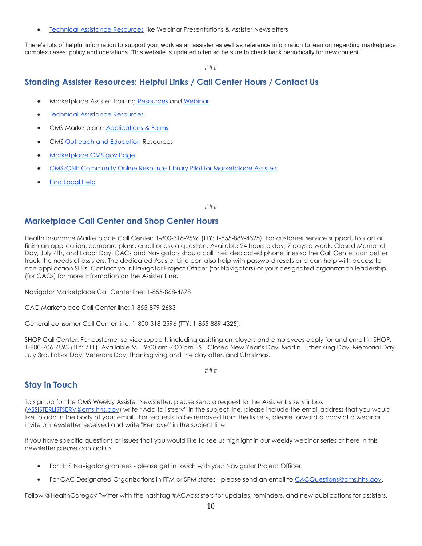[Technical Assistance Resources](http://links.govdelivery.com/track?type=click&enid=ZWFzPTEmbXNpZD0mYXVpZD0mbWFpbGluZ2lkPTIwMTgwMjE0Ljg1MzgwOTkxJm1lc3NhZ2VpZD1NREItUFJELUJVTC0yMDE4MDIxNC44NTM4MDk5MSZkYXRhYmFzZWlkPTEwMDEmc2VyaWFsPTE4MjI3Mzg2JmVtYWlsaWQ9bG9yZWxlaS5zY2hpZWZlcmRlY2tlckBjbXMuaGhzLmdvdiZ1c2VyaWQ9bG9yZWxlaS5zY2hpZWZlcmRlY2tlckBjbXMuaGhzLmdvdiZ0YXJnZXRpZD0mZmw9JmV4dHJhPU11bHRpdmFyaWF0ZUlkPSYmJg==&&&131&&&https://marketplace.cms.gov/technical-assistance-resources/technical-assistance-resources.html) like Webinar Presentations & Assister Newsletters

There's lots of helpful information to support your work as an assister as well as reference information to lean on regarding marketplace complex cases, policy and operations. This website is updated often so be sure to check back periodically for new content.

###

### <span id="page-9-0"></span>**Standing Assister Resources: Helpful Links / Call Center Hours / Contact Us**

- Marketplace Assister Trainin[g Resources](http://links.govdelivery.com/track?type=click&enid=ZWFzPTEmbXNpZD0mYXVpZD0mbWFpbGluZ2lkPTIwMTgwMjE0Ljg1MzgwOTkxJm1lc3NhZ2VpZD1NREItUFJELUJVTC0yMDE4MDIxNC44NTM4MDk5MSZkYXRhYmFzZWlkPTEwMDEmc2VyaWFsPTE4MjI3Mzg2JmVtYWlsaWQ9bG9yZWxlaS5zY2hpZWZlcmRlY2tlckBjbXMuaGhzLmdvdiZ1c2VyaWQ9bG9yZWxlaS5zY2hpZWZlcmRlY2tlckBjbXMuaGhzLmdvdiZ0YXJnZXRpZD0mZmw9JmV4dHJhPU11bHRpdmFyaWF0ZUlkPSYmJg==&&&132&&&https://marketplace.cms.gov/technical-assistance-resources/training-materials/training.html) an[d Webinar](http://links.govdelivery.com/track?type=click&enid=ZWFzPTEmbXNpZD0mYXVpZD0mbWFpbGluZ2lkPTIwMTgwMjE0Ljg1MzgwOTkxJm1lc3NhZ2VpZD1NREItUFJELUJVTC0yMDE4MDIxNC44NTM4MDk5MSZkYXRhYmFzZWlkPTEwMDEmc2VyaWFsPTE4MjI3Mzg2JmVtYWlsaWQ9bG9yZWxlaS5zY2hpZWZlcmRlY2tlckBjbXMuaGhzLmdvdiZ1c2VyaWQ9bG9yZWxlaS5zY2hpZWZlcmRlY2tlckBjbXMuaGhzLmdvdiZ0YXJnZXRpZD0mZmw9JmV4dHJhPU11bHRpdmFyaWF0ZUlkPSYmJg==&&&133&&&https://marketplace.cms.gov/technical-assistance-resources/training-materials/2017-launch-ffm-assister-training.pdf)
- [Technical Assistance Resources](http://links.govdelivery.com/track?type=click&enid=ZWFzPTEmbXNpZD0mYXVpZD0mbWFpbGluZ2lkPTIwMTgwMjE0Ljg1MzgwOTkxJm1lc3NhZ2VpZD1NREItUFJELUJVTC0yMDE4MDIxNC44NTM4MDk5MSZkYXRhYmFzZWlkPTEwMDEmc2VyaWFsPTE4MjI3Mzg2JmVtYWlsaWQ9bG9yZWxlaS5zY2hpZWZlcmRlY2tlckBjbXMuaGhzLmdvdiZ1c2VyaWQ9bG9yZWxlaS5zY2hpZWZlcmRlY2tlckBjbXMuaGhzLmdvdiZ0YXJnZXRpZD0mZmw9JmV4dHJhPU11bHRpdmFyaWF0ZUlkPSYmJg==&&&134&&&http://marketplace.cms.gov/technical-assistance-resources/technical-assistance-resources.html)
- CMS Marketplace [Applications &](http://links.govdelivery.com/track?type=click&enid=ZWFzPTEmbXNpZD0mYXVpZD0mbWFpbGluZ2lkPTIwMTgwMjE0Ljg1MzgwOTkxJm1lc3NhZ2VpZD1NREItUFJELUJVTC0yMDE4MDIxNC44NTM4MDk5MSZkYXRhYmFzZWlkPTEwMDEmc2VyaWFsPTE4MjI3Mzg2JmVtYWlsaWQ9bG9yZWxlaS5zY2hpZWZlcmRlY2tlckBjbXMuaGhzLmdvdiZ1c2VyaWQ9bG9yZWxlaS5zY2hpZWZlcmRlY2tlckBjbXMuaGhzLmdvdiZ0YXJnZXRpZD0mZmw9JmV4dHJhPU11bHRpdmFyaWF0ZUlkPSYmJg==&&&135&&&http://marketplace.cms.gov/applications-and-forms/applications-and-forms.html) Forms
- CM[S Outreach and Education](http://links.govdelivery.com/track?type=click&enid=ZWFzPTEmbXNpZD0mYXVpZD0mbWFpbGluZ2lkPTIwMTgwMjE0Ljg1MzgwOTkxJm1lc3NhZ2VpZD1NREItUFJELUJVTC0yMDE4MDIxNC44NTM4MDk5MSZkYXRhYmFzZWlkPTEwMDEmc2VyaWFsPTE4MjI3Mzg2JmVtYWlsaWQ9bG9yZWxlaS5zY2hpZWZlcmRlY2tlckBjbXMuaGhzLmdvdiZ1c2VyaWQ9bG9yZWxlaS5zY2hpZWZlcmRlY2tlckBjbXMuaGhzLmdvdiZ0YXJnZXRpZD0mZmw9JmV4dHJhPU11bHRpdmFyaWF0ZUlkPSYmJg==&&&136&&&http://marketplace.cms.gov/outreach-and-education/outreach-and-education.html) Resources
- [Marketplace.CMS.gov Page](http://links.govdelivery.com/track?type=click&enid=ZWFzPTEmbXNpZD0mYXVpZD0mbWFpbGluZ2lkPTIwMTgwMjE0Ljg1MzgwOTkxJm1lc3NhZ2VpZD1NREItUFJELUJVTC0yMDE4MDIxNC44NTM4MDk5MSZkYXRhYmFzZWlkPTEwMDEmc2VyaWFsPTE4MjI3Mzg2JmVtYWlsaWQ9bG9yZWxlaS5zY2hpZWZlcmRlY2tlckBjbXMuaGhzLmdvdiZ1c2VyaWQ9bG9yZWxlaS5zY2hpZWZlcmRlY2tlckBjbXMuaGhzLmdvdiZ0YXJnZXRpZD0mZmw9JmV4dHJhPU11bHRpdmFyaWF0ZUlkPSYmJg==&&&137&&&http://marketplace.cms.gov/)
- [CMSzONE Community Online Resource Library Pilot for Marketplace Assisters](http://links.govdelivery.com/track?type=click&enid=ZWFzPTEmbXNpZD0mYXVpZD0mbWFpbGluZ2lkPTIwMTgwMjE0Ljg1MzgwOTkxJm1lc3NhZ2VpZD1NREItUFJELUJVTC0yMDE4MDIxNC44NTM4MDk5MSZkYXRhYmFzZWlkPTEwMDEmc2VyaWFsPTE4MjI3Mzg2JmVtYWlsaWQ9bG9yZWxlaS5zY2hpZWZlcmRlY2tlckBjbXMuaGhzLmdvdiZ1c2VyaWQ9bG9yZWxlaS5zY2hpZWZlcmRlY2tlckBjbXMuaGhzLmdvdiZ0YXJnZXRpZD0mZmw9JmV4dHJhPU11bHRpdmFyaWF0ZUlkPSYmJg==&&&138&&&https://eidm.cms.gov/EIDMLoginApp/login.jsp?authn_try_count=0&contextType=external&username=string&OverrideRetryLimit=3&contextValue=%2Foam&password=sercure_string&challenge_url=https%3A%2F%2Feidm.cms.gov%2FEIDMLoginApp%2Flogin.jsp&ssoCookie=Secure&request_id=-6833210853098298504&locale=en_US&resource_url=https%253A%252F%252Fzone.cms.gov%252F)
- [Find Local Help](http://links.govdelivery.com/track?type=click&enid=ZWFzPTEmbXNpZD0mYXVpZD0mbWFpbGluZ2lkPTIwMTgwMjE0Ljg1MzgwOTkxJm1lc3NhZ2VpZD1NREItUFJELUJVTC0yMDE4MDIxNC44NTM4MDk5MSZkYXRhYmFzZWlkPTEwMDEmc2VyaWFsPTE4MjI3Mzg2JmVtYWlsaWQ9bG9yZWxlaS5zY2hpZWZlcmRlY2tlckBjbXMuaGhzLmdvdiZ1c2VyaWQ9bG9yZWxlaS5zY2hpZWZlcmRlY2tlckBjbXMuaGhzLmdvdiZ0YXJnZXRpZD0mZmw9JmV4dHJhPU11bHRpdmFyaWF0ZUlkPSYmJg==&&&139&&&https://localhelp.healthcare.gov/)

###

### <span id="page-9-1"></span>**Marketplace Call Center and Shop Center Hours**

Health Insurance Marketplace Call Center: 1-800-318-2596 (TTY: 1-855-889-4325). For customer service support, to start or finish an application, compare plans, enroll or ask a question. Available 24 hours a day, 7 days a week. Closed Memorial Day, July 4th, and Labor Day. CACs and Navigators should call their dedicated phone lines so the Call Center can better track the needs of assisters. The dedicated Assister Line can also help with password resets and can help with access to non-application SEPs. Contact your Navigator Project Officer (for Navigators) or your designated organization leadership (for CACs) for more information on the Assister Line.

Navigator Marketplace Call Center line: 1-855-868-4678

CAC Marketplace Call Center line: 1-855-879-2683

General consumer Call Center line: 1-800-318-2596 (TTY: 1-855-889-4325).

SHOP Call Center: For customer service support, including assisting employers and employees apply for and enroll in SHOP. 1-800-706-7893 (TTY: 711). Available M-F 9:00 am-7:00 pm EST. Closed New Year's Day, Martin Luther King Day, Memorial Day, July 3rd, Labor Day, Veterans Day, Thanksgiving and the day after, and Christmas.

###

### <span id="page-9-2"></span>**Stay in Touch**

To sign up for the CMS Weekly Assister Newsletter, please send a request to the Assister Listserv inbox [\(ASSISTERLISTSERV@cms.hhs.gov\)](http://links.govdelivery.com/track?type=click&enid=ZWFzPTEmbXNpZD0mYXVpZD0mbWFpbGluZ2lkPTIwMTgwMjE0Ljg1MzgwOTkxJm1lc3NhZ2VpZD1NREItUFJELUJVTC0yMDE4MDIxNC44NTM4MDk5MSZkYXRhYmFzZWlkPTEwMDEmc2VyaWFsPTE4MjI3Mzg2JmVtYWlsaWQ9bG9yZWxlaS5zY2hpZWZlcmRlY2tlckBjbXMuaGhzLmdvdiZ1c2VyaWQ9bG9yZWxlaS5zY2hpZWZlcmRlY2tlckBjbXMuaGhzLmdvdiZ0YXJnZXRpZD0mZmw9JmV4dHJhPU11bHRpdmFyaWF0ZUlkPSYmJg==&&&140&&&https://owa.hhs.gov/owa/14.3.224.2/scripts/premium/redir.aspx?SURL=yhphqoPhNWr6wM78EggD24r5_CYUkB4RaT0YgRkVVpc66Tt5HmbSCG0AYQBpAGwAdABvADoAQQBTAFMASQBTAFQARQBSAEwASQBTAFQAUwBFAFIAVgBAAGMAbQBzAC4AaABoAHMALgBnAG8AdgA.&URL=mailto%3aASSISTERLISTSERV%40cms.hhs.gov) write "Add to listserv" in the subject line, please include the email address that you would like to add in the body of your email. For requests to be removed from the listserv, please forward a copy of a webinar invite or newsletter received and write "Remove" in the subject line.

If you have specific questions or issues that you would like to see us highlight in our weekly webinar series or here in this newsletter please contact us.

- For HHS Navigator grantees please get in touch with your Navigator Project Officer.
- For CAC Designated Organizations in FFM or SPM states please send an email to [CACQuestions@cms.hhs.gov.](http://links.govdelivery.com/track?type=click&enid=ZWFzPTEmbXNpZD0mYXVpZD0mbWFpbGluZ2lkPTIwMTgwMjE0Ljg1MzgwOTkxJm1lc3NhZ2VpZD1NREItUFJELUJVTC0yMDE4MDIxNC44NTM4MDk5MSZkYXRhYmFzZWlkPTEwMDEmc2VyaWFsPTE4MjI3Mzg2JmVtYWlsaWQ9bG9yZWxlaS5zY2hpZWZlcmRlY2tlckBjbXMuaGhzLmdvdiZ1c2VyaWQ9bG9yZWxlaS5zY2hpZWZlcmRlY2tlckBjbXMuaGhzLmdvdiZ0YXJnZXRpZD0mZmw9JmV4dHJhPU11bHRpdmFyaWF0ZUlkPSYmJg==&&&141&&&https://owa.hhs.gov/owa/14.3.224.2/scripts/premium/redir.aspx?SURL=thM_2RZ88Urepena2n1xKGo-uQ7WWRzXShixxvjCvKY66Tt5HmbSCG0AYQBpAGwAdABvADoAQwBBAEMAUQB1AGUAcwB0AGkAbwBuAHMAQABjAG0AcwAuAGgAaABzAC4AZwBvAHYA&URL=mailto%3aCACQuestions%40cms.hhs.gov)

Follow @HealthCaregov Twitter with the hashtag #ACAassisters for updates, reminders, and new publications for assisters.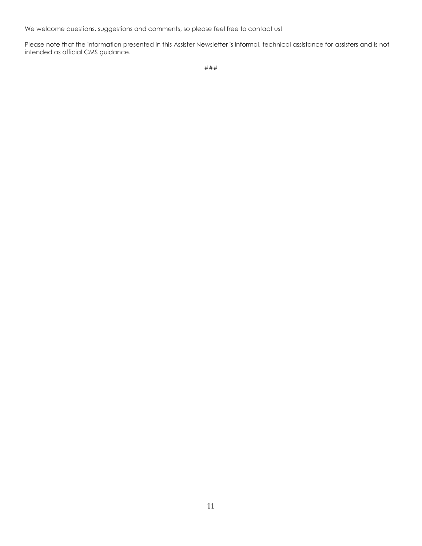We welcome questions, suggestions and comments, so please feel free to contact us!

Please note that the information presented in this Assister Newsletter is informal, technical assistance for assisters and is not intended as official CMS guidance.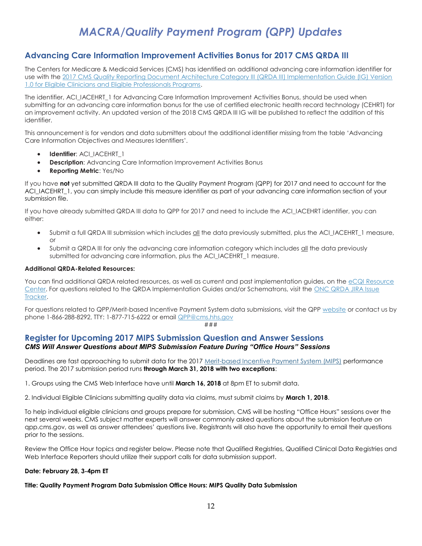## *MACRA/Quality Payment Program (QPP) Updates*

### <span id="page-11-1"></span><span id="page-11-0"></span>**Advancing Care Information Improvement Activities Bonus for 2017 CMS QRDA III**

The Centers for Medicare & Medicaid Services (CMS) has identified an additional advancing care information identifier for use with the 2017 CMS Quality Reporting Document Architecture Category III (QRDA III) Implementation Guide (IG) Version [1.0 for Eligible Clinicians and Eligible Professionals Programs.](http://links.govdelivery.com/track?type=click&enid=ZWFzPTEmbXNpZD0mYXVpZD0mbWFpbGluZ2lkPTIwMTgwMjEzLjg1Mjk0MzAxJm1lc3NhZ2VpZD1NREItUFJELUJVTC0yMDE4MDIxMy44NTI5NDMwMSZkYXRhYmFzZWlkPTEwMDEmc2VyaWFsPTE4MjI1NjIxJmVtYWlsaWQ9bG9yZWxlaS5zY2hpZWZlcmRlY2tlckBjbXMuaGhzLmdvdiZ1c2VyaWQ9bG9yZWxlaS5zY2hpZWZlcmRlY2tlckBjbXMuaGhzLmdvdiZ0YXJnZXRpZD0mZmw9JmV4dHJhPU11bHRpdmFyaWF0ZUlkPSYmJg==&&&100&&&https://ecqi.healthit.gov/system/files/eCQM_QRDA_EC-508_0.pdf)

The identifier, ACI\_IACEHRT\_1 for Advancing Care Information Improvement Activities Bonus, should be used when submitting for an advancing care information bonus for the use of certified electronic health record technology (CEHRT) for an improvement activity. An updated version of the 2018 CMS QRDA III IG will be published to reflect the addition of this identifier.

This announcement is for vendors and data submitters about the additional identifier missing from the table 'Advancing Care Information Objectives and Measures Identifiers'.

- **Identifier**: ACI\_IACEHRT\_1
- **Description:** Advancing Care Information Improvement Activities Bonus
- **Reporting Metric**: Yes/No

If you have **not** yet submitted QRDA III data to the Quality Payment Program (QPP) for 2017 and need to account for the ACI\_IACEHRT\_1, you can simply include this measure identifier as part of your advancing care information section of your submission file.

If you have already submitted QRDA III data to QPP for 2017 and need to include the ACI\_IACEHRT identifier, you can either:

- Submit a full QRDA III submission which includes all the data previously submitted, plus the ACI\_IACEHRT\_1 measure, or
- Submit a QRDA III for only the advancing care information category which includes all the data previously submitted for advancing care information, plus the ACI\_IACEHRT\_1 measure.

### **Additional QRDA-Related Resources:**

You can find additional QRDA related resources, as well as current and past implementation guides, on the eCQI Resource [Center.](http://links.govdelivery.com/track?type=click&enid=ZWFzPTEmbXNpZD0mYXVpZD0mbWFpbGluZ2lkPTIwMTgwMjEzLjg1Mjk0MzAxJm1lc3NhZ2VpZD1NREItUFJELUJVTC0yMDE4MDIxMy44NTI5NDMwMSZkYXRhYmFzZWlkPTEwMDEmc2VyaWFsPTE4MjI1NjIxJmVtYWlsaWQ9bG9yZWxlaS5zY2hpZWZlcmRlY2tlckBjbXMuaGhzLmdvdiZ1c2VyaWQ9bG9yZWxlaS5zY2hpZWZlcmRlY2tlckBjbXMuaGhzLmdvdiZ0YXJnZXRpZD0mZmw9JmV4dHJhPU11bHRpdmFyaWF0ZUlkPSYmJg==&&&101&&&https://ecqi.healthit.gov/) For questions related to the QRDA Implementation Guides and/or Schematrons, visit th[e ONC QRDA JIRA Issue](http://links.govdelivery.com/track?type=click&enid=ZWFzPTEmbXNpZD0mYXVpZD0mbWFpbGluZ2lkPTIwMTgwMjEzLjg1Mjk0MzAxJm1lc3NhZ2VpZD1NREItUFJELUJVTC0yMDE4MDIxMy44NTI5NDMwMSZkYXRhYmFzZWlkPTEwMDEmc2VyaWFsPTE4MjI1NjIxJmVtYWlsaWQ9bG9yZWxlaS5zY2hpZWZlcmRlY2tlckBjbXMuaGhzLmdvdiZ1c2VyaWQ9bG9yZWxlaS5zY2hpZWZlcmRlY2tlckBjbXMuaGhzLmdvdiZ0YXJnZXRpZD0mZmw9JmV4dHJhPU11bHRpdmFyaWF0ZUlkPSYmJg==&&&102&&&https://oncprojectracking.healthit.gov/support/browse/QRDA)  [Tracker.](http://links.govdelivery.com/track?type=click&enid=ZWFzPTEmbXNpZD0mYXVpZD0mbWFpbGluZ2lkPTIwMTgwMjEzLjg1Mjk0MzAxJm1lc3NhZ2VpZD1NREItUFJELUJVTC0yMDE4MDIxMy44NTI5NDMwMSZkYXRhYmFzZWlkPTEwMDEmc2VyaWFsPTE4MjI1NjIxJmVtYWlsaWQ9bG9yZWxlaS5zY2hpZWZlcmRlY2tlckBjbXMuaGhzLmdvdiZ1c2VyaWQ9bG9yZWxlaS5zY2hpZWZlcmRlY2tlckBjbXMuaGhzLmdvdiZ0YXJnZXRpZD0mZmw9JmV4dHJhPU11bHRpdmFyaWF0ZUlkPSYmJg==&&&102&&&https://oncprojectracking.healthit.gov/support/browse/QRDA)

For questions related to QPP/Merit-based Incentive Payment System data submissions, visit the QPP [website](http://links.govdelivery.com/track?type=click&enid=ZWFzPTEmbXNpZD0mYXVpZD0mbWFpbGluZ2lkPTIwMTgwMjEzLjg1Mjk0MzAxJm1lc3NhZ2VpZD1NREItUFJELUJVTC0yMDE4MDIxMy44NTI5NDMwMSZkYXRhYmFzZWlkPTEwMDEmc2VyaWFsPTE4MjI1NjIxJmVtYWlsaWQ9bG9yZWxlaS5zY2hpZWZlcmRlY2tlckBjbXMuaGhzLmdvdiZ1c2VyaWQ9bG9yZWxlaS5zY2hpZWZlcmRlY2tlckBjbXMuaGhzLmdvdiZ0YXJnZXRpZD0mZmw9JmV4dHJhPU11bHRpdmFyaWF0ZUlkPSYmJg==&&&103&&&https://qpp.cms.gov/) or contact us by phone 1-866-288-8292, TTY: 1-877-715-6222 or email [QPP@cms.hhs.gov](mailto:QPP@cms.hhs.gov)

#### ###

### <span id="page-11-2"></span>**Register for Upcoming 2017 MIPS Submission Question and Answer Sessions** *CMS Will Answer Questions about MIPS Submission Feature During "Office Hours" Sessions*

Deadlines are fast approaching to submit data for the 2017 [Merit-based Incentive Payment System \(MIPS\)](http://links.govdelivery.com/track?type=click&enid=ZWFzPTEmbXNpZD0mYXVpZD0mbWFpbGluZ2lkPTIwMTgwMjEzLjg1MjkwMTYxJm1lc3NhZ2VpZD1NREItUFJELUJVTC0yMDE4MDIxMy44NTI5MDE2MSZkYXRhYmFzZWlkPTEwMDEmc2VyaWFsPTE4MjI1NTM1JmVtYWlsaWQ9bG9yZWxlaS5zY2hpZWZlcmRlY2tlckBjbXMuaGhzLmdvdiZ1c2VyaWQ9bG9yZWxlaS5zY2hpZWZlcmRlY2tlckBjbXMuaGhzLmdvdiZ0YXJnZXRpZD0mZmw9JmV4dHJhPU11bHRpdmFyaWF0ZUlkPSYmJg==&&&115&&&https://qpp.cms.gov/mips/overview) performance period. The 2017 submission period runs **through March 31, 2018 with two exceptions**:

1. Groups using the CMS Web Interface have until **March 16, 2018** at 8pm ET to submit data.

2. Individual Eligible Clinicians submitting quality data via claims, must submit claims by **March 1, 2018**.

To help individual eligible clinicians and groups prepare for submission, CMS will be hosting "Office Hours" sessions over the next several weeks. CMS subject matter experts will answer commonly asked questions about the submission feature on qpp.cms.gov, as well as answer attendees' questions live. Registrants will also have the opportunity to email their questions prior to the sessions.

Review the Office Hour topics and register below. Please note that Qualified Registries, Qualified Clinical Data Registries and Web Interface Reporters should utilize their support calls for data submission support.

### **Date: February 28, 3-4pm ET**

### **Title: Quality Payment Program Data Submission Office Hours: MIPS Quality Data Submission**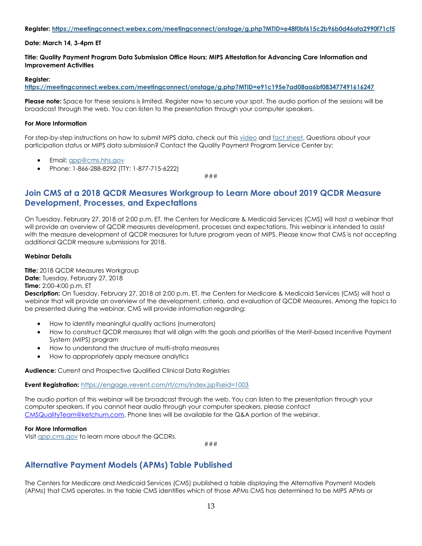#### **Register: [https://meetingconnect.webex.com/meetingconnect/onstage/g.php?MTID=e48f0bf615c2b96b0d46afa2990f71cf5](http://links.govdelivery.com/track?type=click&enid=ZWFzPTEmbXNpZD0mYXVpZD0mbWFpbGluZ2lkPTIwMTgwMjEzLjg1MjkwMTYxJm1lc3NhZ2VpZD1NREItUFJELUJVTC0yMDE4MDIxMy44NTI5MDE2MSZkYXRhYmFzZWlkPTEwMDEmc2VyaWFsPTE4MjI1NTM1JmVtYWlsaWQ9bG9yZWxlaS5zY2hpZWZlcmRlY2tlckBjbXMuaGhzLmdvdiZ1c2VyaWQ9bG9yZWxlaS5zY2hpZWZlcmRlY2tlckBjbXMuaGhzLmdvdiZ0YXJnZXRpZD0mZmw9JmV4dHJhPU11bHRpdmFyaWF0ZUlkPSYmJg==&&&116&&&https://meetingconnect.webex.com/meetingconnect/onstage/g.php?MTID=e48f0bf615c2b96b0d46afa2990f71cf5)**

### **Date: March 14, 3-4pm ET**

#### **Title: Quality Payment Program Data Submission Office Hours: MIPS Attestation for Advancing Care Information and Improvement Activities**

#### **Register:**

**[https://meetingconnect.webex.com/meetingconnect/onstage/g.php?MTID=e91c195e7ad08aa6bf083477491616247](http://links.govdelivery.com/track?type=click&enid=ZWFzPTEmbXNpZD0mYXVpZD0mbWFpbGluZ2lkPTIwMTgwMjEzLjg1MjkwMTYxJm1lc3NhZ2VpZD1NREItUFJELUJVTC0yMDE4MDIxMy44NTI5MDE2MSZkYXRhYmFzZWlkPTEwMDEmc2VyaWFsPTE4MjI1NTM1JmVtYWlsaWQ9bG9yZWxlaS5zY2hpZWZlcmRlY2tlckBjbXMuaGhzLmdvdiZ1c2VyaWQ9bG9yZWxlaS5zY2hpZWZlcmRlY2tlckBjbXMuaGhzLmdvdiZ0YXJnZXRpZD0mZmw9JmV4dHJhPU11bHRpdmFyaWF0ZUlkPSYmJg==&&&117&&&https://meetingconnect.webex.com/meetingconnect/onstage/g.php?MTID=e91c195e7ad08aa6bf083477491616247)**

**Please note:** Space for these sessions is limited. Register now to secure your spot. The audio portion of the sessions will be broadcast through the web. You can listen to the presentation through your computer speakers.

#### **For More Information**

For step-by-step instructions on how to submit MIPS data, check out this [video](http://links.govdelivery.com/track?type=click&enid=ZWFzPTEmbXNpZD0mYXVpZD0mbWFpbGluZ2lkPTIwMTgwMjEzLjg1MjkwMTYxJm1lc3NhZ2VpZD1NREItUFJELUJVTC0yMDE4MDIxMy44NTI5MDE2MSZkYXRhYmFzZWlkPTEwMDEmc2VyaWFsPTE4MjI1NTM1JmVtYWlsaWQ9bG9yZWxlaS5zY2hpZWZlcmRlY2tlckBjbXMuaGhzLmdvdiZ1c2VyaWQ9bG9yZWxlaS5zY2hpZWZlcmRlY2tlckBjbXMuaGhzLmdvdiZ0YXJnZXRpZD0mZmw9JmV4dHJhPU11bHRpdmFyaWF0ZUlkPSYmJg==&&&118&&&https://www.youtube.com/watch?v=q0Cvke6fnrg) an[d fact sheet.](http://links.govdelivery.com/track?type=click&enid=ZWFzPTEmbXNpZD0mYXVpZD0mbWFpbGluZ2lkPTIwMTgwMjEzLjg1MjkwMTYxJm1lc3NhZ2VpZD1NREItUFJELUJVTC0yMDE4MDIxMy44NTI5MDE2MSZkYXRhYmFzZWlkPTEwMDEmc2VyaWFsPTE4MjI1NTM1JmVtYWlsaWQ9bG9yZWxlaS5zY2hpZWZlcmRlY2tlckBjbXMuaGhzLmdvdiZ1c2VyaWQ9bG9yZWxlaS5zY2hpZWZlcmRlY2tlckBjbXMuaGhzLmdvdiZ0YXJnZXRpZD0mZmw9JmV4dHJhPU11bHRpdmFyaWF0ZUlkPSYmJg==&&&119&&&https://www.cms.gov/Medicare/Quality-Payment-Program/Resource-Library/QPP-2017-Data-Submission-Factsheet.pdf) Questions about your participation status or MIPS data submission? Contact the Quality Payment Program Service Center by:

- Email: [qpp@cms.hhs.gov](mailto:qpp@cms.hhs.gov)
- Phone: 1-866-288-8292 (TTY: 1-877-715-6222)

###

### <span id="page-12-0"></span>**Join CMS at a 2018 QCDR Measures Workgroup to Learn More about 2019 QCDR Measure Development, Processes, and Expectations**

On Tuesday, February 27, 2018 at 2:00 p.m. ET, the Centers for Medicare & Medicaid Services (CMS) will host a webinar that will provide an overview of QCDR measures development, processes and expectations. This webinar is intended to assist with the measure development of QCDR measures for future program years of MIPS. Please know that CMS is not accepting additional QCDR measure submissions for 2018.

#### **Webinar Details**

**Title:** 2018 QCDR Measures Workgroup **Date:** Tuesday, February 27, 2018 **Time:** 2:00-4:00 p.m. ET

**Description:** On Tuesday, February 27, 2018 at 2:00 p.m. ET, the Centers for Medicare & Medicaid Services (CMS) will host a webinar that will provide an overview of the development, criteria, and evaluation of QCDR Measures. Among the topics to be presented during the webinar, CMS will provide information regarding:

- How to identify meaningful quality actions (numerators)
- How to construct QCDR measures that will align with the goals and priorities of the Merit-based Incentive Payment System (MIPS) program
- How to understand the structure of multi-strata measures
- How to appropriately apply measure analytics

**Audience:** Current and Prospective Qualified Clinical Data Registries

**Event Registration:** [https://engage.vevent.com/rt/cms/index.jsp?seid=1003](http://links.govdelivery.com/track?type=click&enid=ZWFzPTEmbXNpZD0mYXVpZD0mbWFpbGluZ2lkPTIwMTgwMjEzLjg1MjkwMTYxJm1lc3NhZ2VpZD1NREItUFJELUJVTC0yMDE4MDIxMy44NTI5MDE2MSZkYXRhYmFzZWlkPTEwMDEmc2VyaWFsPTE4MjI1NTM1JmVtYWlsaWQ9bG9yZWxlaS5zY2hpZWZlcmRlY2tlckBjbXMuaGhzLmdvdiZ1c2VyaWQ9bG9yZWxlaS5zY2hpZWZlcmRlY2tlckBjbXMuaGhzLmdvdiZ0YXJnZXRpZD0mZmw9JmV4dHJhPU11bHRpdmFyaWF0ZUlkPSYmJg==&&&113&&&https://engage.vevent.com/rt/cms/index.jsp?seid=1003)

The audio portion of this webinar will be broadcast through the web. You can listen to the presentation through your computer speakers. If you cannot hear audio through your computer speakers, please contact [CMSQualityTeam@ketchum.com.](mailto:CMSQualityTeam@ketchum.com) Phone lines will be available for the Q&A portion of the webinar.

#### **For More Information**

Visit **app.cms.gov** to learn more about the QCDRs.

###

### <span id="page-12-1"></span>**Alternative Payment Models (APMs) Table Published**

The Centers for Medicare and Medicaid Services (CMS) published a table displaying the Alternative Payment Models (APMs) that CMS operates. In the table CMS identifies which of those APMs CMS has determined to be MIPS APMs or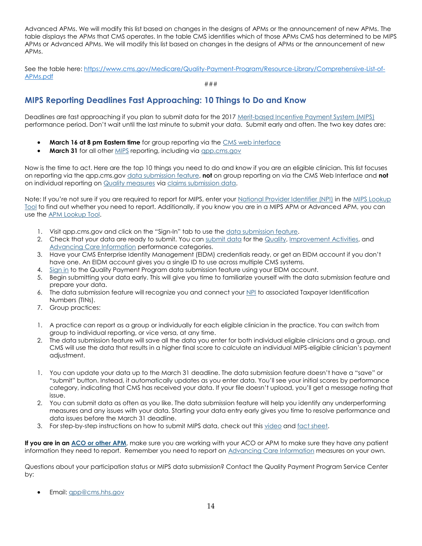Advanced APMs. We will modify this list based on changes in the designs of APMs or the announcement of new APMs. The table displays the APMs that CMS operates. In the table CMS identifies which of those APMs CMS has determined to be MIPS APMs or Advanced APMs. We will modify this list based on changes in the designs of APMs or the announcement of new APMs.

See the table here: [https://www.cms.gov/Medicare/Quality-Payment-Program/Resource-Library/Comprehensive-List-of-](https://www.cms.gov/Medicare/Quality-Payment-Program/Resource-Library/Comprehensive-List-of-APMs.pdf)[APMs.pdf](https://www.cms.gov/Medicare/Quality-Payment-Program/Resource-Library/Comprehensive-List-of-APMs.pdf)

###

### <span id="page-13-0"></span>**MIPS Reporting Deadlines Fast Approaching: 10 Things to Do and Know**

Deadlines are fast approaching if you plan to submit data for the 201[7 Merit-based Incentive Payment System \(MIPS\)](http://links.govdelivery.com/track?type=click&enid=ZWFzPTEmbXNpZD0mYXVpZD0mbWFpbGluZ2lkPTIwMTgwMjA4Ljg1MDQzOTYxJm1lc3NhZ2VpZD1NREItUFJELUJVTC0yMDE4MDIwOC44NTA0Mzk2MSZkYXRhYmFzZWlkPTEwMDEmc2VyaWFsPTE4MjIwNDY1JmVtYWlsaWQ9bG9yZWxlaS5zY2hpZWZlcmRlY2tlckBjbXMuaGhzLmdvdiZ1c2VyaWQ9bG9yZWxlaS5zY2hpZWZlcmRlY2tlckBjbXMuaGhzLmdvdiZ0YXJnZXRpZD0mZmw9JmV4dHJhPU11bHRpdmFyaWF0ZUlkPSYmJg==&&&100&&&https://qpp.cms.gov/mips/overview) performance period. Don't wait until the last minute to submit your data. Submit early and often. The two key dates are:

- **March 16 at 8 pm Eastern time** for group reporting via the [CMS web interface](http://links.govdelivery.com/track?type=click&enid=ZWFzPTEmbXNpZD0mYXVpZD0mbWFpbGluZ2lkPTIwMTgwMjA4Ljg1MDQzOTYxJm1lc3NhZ2VpZD1NREItUFJELUJVTC0yMDE4MDIwOC44NTA0Mzk2MSZkYXRhYmFzZWlkPTEwMDEmc2VyaWFsPTE4MjIwNDY1JmVtYWlsaWQ9bG9yZWxlaS5zY2hpZWZlcmRlY2tlckBjbXMuaGhzLmdvdiZ1c2VyaWQ9bG9yZWxlaS5zY2hpZWZlcmRlY2tlckBjbXMuaGhzLmdvdiZ0YXJnZXRpZD0mZmw9JmV4dHJhPU11bHRpdmFyaWF0ZUlkPSYmJg==&&&101&&&https://qpp.cms.gov/mips/individual-or-group-participation/about-group-registration)
- **March 31** for all other [MIPS](http://links.govdelivery.com/track?type=click&enid=ZWFzPTEmbXNpZD0mYXVpZD0mbWFpbGluZ2lkPTIwMTgwMjA4Ljg1MDQzOTYxJm1lc3NhZ2VpZD1NREItUFJELUJVTC0yMDE4MDIwOC44NTA0Mzk2MSZkYXRhYmFzZWlkPTEwMDEmc2VyaWFsPTE4MjIwNDY1JmVtYWlsaWQ9bG9yZWxlaS5zY2hpZWZlcmRlY2tlckBjbXMuaGhzLmdvdiZ1c2VyaWQ9bG9yZWxlaS5zY2hpZWZlcmRlY2tlckBjbXMuaGhzLmdvdiZ0YXJnZXRpZD0mZmw9JmV4dHJhPU11bHRpdmFyaWF0ZUlkPSYmJg==&&&102&&&https://qpp.cms.gov/mips/overview) reporting, including via app.cms.gov

Now is the time to act. Here are the top 10 things you need to do and know if you are an eligible clinician. This list focuses on reporting via the qpp.cms.gov [data submission feature,](http://links.govdelivery.com/track?type=click&enid=ZWFzPTEmbXNpZD0mYXVpZD0mbWFpbGluZ2lkPTIwMTgwMjA4Ljg1MDQzOTYxJm1lc3NhZ2VpZD1NREItUFJELUJVTC0yMDE4MDIwOC44NTA0Mzk2MSZkYXRhYmFzZWlkPTEwMDEmc2VyaWFsPTE4MjIwNDY1JmVtYWlsaWQ9bG9yZWxlaS5zY2hpZWZlcmRlY2tlckBjbXMuaGhzLmdvdiZ1c2VyaWQ9bG9yZWxlaS5zY2hpZWZlcmRlY2tlckBjbXMuaGhzLmdvdiZ0YXJnZXRpZD0mZmw9JmV4dHJhPU11bHRpdmFyaWF0ZUlkPSYmJg==&&&104&&&https://qpp.cms.gov/login) **not** on group reporting on via the CMS Web Interface and **not** on individual reporting on [Quality measures](http://links.govdelivery.com/track?type=click&enid=ZWFzPTEmbXNpZD0mYXVpZD0mbWFpbGluZ2lkPTIwMTgwMjA4Ljg1MDQzOTYxJm1lc3NhZ2VpZD1NREItUFJELUJVTC0yMDE4MDIwOC44NTA0Mzk2MSZkYXRhYmFzZWlkPTEwMDEmc2VyaWFsPTE4MjIwNDY1JmVtYWlsaWQ9bG9yZWxlaS5zY2hpZWZlcmRlY2tlckBjbXMuaGhzLmdvdiZ1c2VyaWQ9bG9yZWxlaS5zY2hpZWZlcmRlY2tlckBjbXMuaGhzLmdvdiZ0YXJnZXRpZD0mZmw9JmV4dHJhPU11bHRpdmFyaWF0ZUlkPSYmJg==&&&105&&&https://qpp.cms.gov/mips/quality-measures) via [claims submission data.](http://links.govdelivery.com/track?type=click&enid=ZWFzPTEmbXNpZD0mYXVpZD0mbWFpbGluZ2lkPTIwMTgwMjA4Ljg1MDQzOTYxJm1lc3NhZ2VpZD1NREItUFJELUJVTC0yMDE4MDIwOC44NTA0Mzk2MSZkYXRhYmFzZWlkPTEwMDEmc2VyaWFsPTE4MjIwNDY1JmVtYWlsaWQ9bG9yZWxlaS5zY2hpZWZlcmRlY2tlckBjbXMuaGhzLmdvdiZ1c2VyaWQ9bG9yZWxlaS5zY2hpZWZlcmRlY2tlckBjbXMuaGhzLmdvdiZ0YXJnZXRpZD0mZmw9JmV4dHJhPU11bHRpdmFyaWF0ZUlkPSYmJg==&&&106&&&https://www.cms.gov/Medicare/Quality-Payment-Program/Resource-Library/Claims-Data-Submission-Fact-Sheet.pdf)

Note: If you're not sure if you are required to report for MIPS, enter your [National Provider Identifier \(NPI\)](http://links.govdelivery.com/track?type=click&enid=ZWFzPTEmbXNpZD0mYXVpZD0mbWFpbGluZ2lkPTIwMTgwMjA4Ljg1MDQzOTYxJm1lc3NhZ2VpZD1NREItUFJELUJVTC0yMDE4MDIwOC44NTA0Mzk2MSZkYXRhYmFzZWlkPTEwMDEmc2VyaWFsPTE4MjIwNDY1JmVtYWlsaWQ9bG9yZWxlaS5zY2hpZWZlcmRlY2tlckBjbXMuaGhzLmdvdiZ1c2VyaWQ9bG9yZWxlaS5zY2hpZWZlcmRlY2tlckBjbXMuaGhzLmdvdiZ0YXJnZXRpZD0mZmw9JmV4dHJhPU11bHRpdmFyaWF0ZUlkPSYmJg==&&&107&&&https://npiregistry.cms.hhs.gov/) in the MIPS Lookup [Tool](http://links.govdelivery.com/track?type=click&enid=ZWFzPTEmbXNpZD0mYXVpZD0mbWFpbGluZ2lkPTIwMTgwMjA4Ljg1MDQzOTYxJm1lc3NhZ2VpZD1NREItUFJELUJVTC0yMDE4MDIwOC44NTA0Mzk2MSZkYXRhYmFzZWlkPTEwMDEmc2VyaWFsPTE4MjIwNDY1JmVtYWlsaWQ9bG9yZWxlaS5zY2hpZWZlcmRlY2tlckBjbXMuaGhzLmdvdiZ1c2VyaWQ9bG9yZWxlaS5zY2hpZWZlcmRlY2tlckBjbXMuaGhzLmdvdiZ0YXJnZXRpZD0mZmw9JmV4dHJhPU11bHRpdmFyaWF0ZUlkPSYmJg==&&&108&&&https://qpp.cms.gov/participation-lookup) to find out whether you need to report. Additionally, if you know you are in a MIPS APM or Advanced APM, you can use the [APM Lookup Tool.](http://links.govdelivery.com/track?type=click&enid=ZWFzPTEmbXNpZD0mYXVpZD0mbWFpbGluZ2lkPTIwMTgwMjA4Ljg1MDQzOTYxJm1lc3NhZ2VpZD1NREItUFJELUJVTC0yMDE4MDIwOC44NTA0Mzk2MSZkYXRhYmFzZWlkPTEwMDEmc2VyaWFsPTE4MjIwNDY1JmVtYWlsaWQ9bG9yZWxlaS5zY2hpZWZlcmRlY2tlckBjbXMuaGhzLmdvdiZ1c2VyaWQ9bG9yZWxlaS5zY2hpZWZlcmRlY2tlckBjbXMuaGhzLmdvdiZ0YXJnZXRpZD0mZmw9JmV4dHJhPU11bHRpdmFyaWF0ZUlkPSYmJg==&&&109&&&https://data.cms.gov/qplookup)

- 1. Visit qpp.cms.gov and click on the "Sign-In" tab to use the [data submission feature.](http://links.govdelivery.com/track?type=click&enid=ZWFzPTEmbXNpZD0mYXVpZD0mbWFpbGluZ2lkPTIwMTgwMjA4Ljg1MDQzOTYxJm1lc3NhZ2VpZD1NREItUFJELUJVTC0yMDE4MDIwOC44NTA0Mzk2MSZkYXRhYmFzZWlkPTEwMDEmc2VyaWFsPTE4MjIwNDY1JmVtYWlsaWQ9bG9yZWxlaS5zY2hpZWZlcmRlY2tlckBjbXMuaGhzLmdvdiZ1c2VyaWQ9bG9yZWxlaS5zY2hpZWZlcmRlY2tlckBjbXMuaGhzLmdvdiZ0YXJnZXRpZD0mZmw9JmV4dHJhPU11bHRpdmFyaWF0ZUlkPSYmJg==&&&110&&&https://qpp.cms.gov/login)
- 2. Check that your data are ready to submit. You can [submit data](http://links.govdelivery.com/track?type=click&enid=ZWFzPTEmbXNpZD0mYXVpZD0mbWFpbGluZ2lkPTIwMTgwMjA4Ljg1MDQzOTYxJm1lc3NhZ2VpZD1NREItUFJELUJVTC0yMDE4MDIwOC44NTA0Mzk2MSZkYXRhYmFzZWlkPTEwMDEmc2VyaWFsPTE4MjIwNDY1JmVtYWlsaWQ9bG9yZWxlaS5zY2hpZWZlcmRlY2tlckBjbXMuaGhzLmdvdiZ1c2VyaWQ9bG9yZWxlaS5zY2hpZWZlcmRlY2tlckBjbXMuaGhzLmdvdiZ0YXJnZXRpZD0mZmw9JmV4dHJhPU11bHRpdmFyaWF0ZUlkPSYmJg==&&&111&&&https://www.cms.gov/Medicare/Quality-Payment-Program/Resource-Library/QPP-2017-Data-Submission-Factsheet.pdf) for the [Quality,](http://links.govdelivery.com/track?type=click&enid=ZWFzPTEmbXNpZD0mYXVpZD0mbWFpbGluZ2lkPTIwMTgwMjA4Ljg1MDQzOTYxJm1lc3NhZ2VpZD1NREItUFJELUJVTC0yMDE4MDIwOC44NTA0Mzk2MSZkYXRhYmFzZWlkPTEwMDEmc2VyaWFsPTE4MjIwNDY1JmVtYWlsaWQ9bG9yZWxlaS5zY2hpZWZlcmRlY2tlckBjbXMuaGhzLmdvdiZ1c2VyaWQ9bG9yZWxlaS5zY2hpZWZlcmRlY2tlckBjbXMuaGhzLmdvdiZ0YXJnZXRpZD0mZmw9JmV4dHJhPU11bHRpdmFyaWF0ZUlkPSYmJg==&&&112&&&https://qpp.cms.gov/mips/quality-measures) [Improvement Activities,](http://links.govdelivery.com/track?type=click&enid=ZWFzPTEmbXNpZD0mYXVpZD0mbWFpbGluZ2lkPTIwMTgwMjA4Ljg1MDQzOTYxJm1lc3NhZ2VpZD1NREItUFJELUJVTC0yMDE4MDIwOC44NTA0Mzk2MSZkYXRhYmFzZWlkPTEwMDEmc2VyaWFsPTE4MjIwNDY1JmVtYWlsaWQ9bG9yZWxlaS5zY2hpZWZlcmRlY2tlckBjbXMuaGhzLmdvdiZ1c2VyaWQ9bG9yZWxlaS5zY2hpZWZlcmRlY2tlckBjbXMuaGhzLmdvdiZ0YXJnZXRpZD0mZmw9JmV4dHJhPU11bHRpdmFyaWF0ZUlkPSYmJg==&&&113&&&https://qpp.cms.gov/mips/improvement-activities) and [Advancing Care Information](http://links.govdelivery.com/track?type=click&enid=ZWFzPTEmbXNpZD0mYXVpZD0mbWFpbGluZ2lkPTIwMTgwMjA4Ljg1MDQzOTYxJm1lc3NhZ2VpZD1NREItUFJELUJVTC0yMDE4MDIwOC44NTA0Mzk2MSZkYXRhYmFzZWlkPTEwMDEmc2VyaWFsPTE4MjIwNDY1JmVtYWlsaWQ9bG9yZWxlaS5zY2hpZWZlcmRlY2tlckBjbXMuaGhzLmdvdiZ1c2VyaWQ9bG9yZWxlaS5zY2hpZWZlcmRlY2tlckBjbXMuaGhzLmdvdiZ0YXJnZXRpZD0mZmw9JmV4dHJhPU11bHRpdmFyaWF0ZUlkPSYmJg==&&&114&&&https://qpp.cms.gov/mips/advancing-care-information) performance categories.
- 3. Have your CMS Enterprise Identity Management (EIDM) credentials ready, or get an EIDM account if you don't have one. An EIDM account gives you a single ID to use across multiple CMS systems.
- 4. [Sign in](http://links.govdelivery.com/track?type=click&enid=ZWFzPTEmbXNpZD0mYXVpZD0mbWFpbGluZ2lkPTIwMTgwMjA4Ljg1MDQzOTYxJm1lc3NhZ2VpZD1NREItUFJELUJVTC0yMDE4MDIwOC44NTA0Mzk2MSZkYXRhYmFzZWlkPTEwMDEmc2VyaWFsPTE4MjIwNDY1JmVtYWlsaWQ9bG9yZWxlaS5zY2hpZWZlcmRlY2tlckBjbXMuaGhzLmdvdiZ1c2VyaWQ9bG9yZWxlaS5zY2hpZWZlcmRlY2tlckBjbXMuaGhzLmdvdiZ0YXJnZXRpZD0mZmw9JmV4dHJhPU11bHRpdmFyaWF0ZUlkPSYmJg==&&&115&&&https://qpp.cms.gov/login) to the Quality Payment Program data submission feature using your EIDM account.
- 5. Begin submitting your data early. This will give you time to familiarize yourself with the data submission feature and prepare your data.
- 6. The data submission feature will recognize you and connect your [NPI](http://links.govdelivery.com/track?type=click&enid=ZWFzPTEmbXNpZD0mYXVpZD0mbWFpbGluZ2lkPTIwMTgwMjA4Ljg1MDQzOTYxJm1lc3NhZ2VpZD1NREItUFJELUJVTC0yMDE4MDIwOC44NTA0Mzk2MSZkYXRhYmFzZWlkPTEwMDEmc2VyaWFsPTE4MjIwNDY1JmVtYWlsaWQ9bG9yZWxlaS5zY2hpZWZlcmRlY2tlckBjbXMuaGhzLmdvdiZ1c2VyaWQ9bG9yZWxlaS5zY2hpZWZlcmRlY2tlckBjbXMuaGhzLmdvdiZ0YXJnZXRpZD0mZmw9JmV4dHJhPU11bHRpdmFyaWF0ZUlkPSYmJg==&&&116&&&https://npiregistry.cms.hhs.gov/) to associated Taxpayer Identification Numbers (TINs).
- 7. Group practices:
- 1. A practice can report as a group or individually for each eligible clinician in the practice. You can switch from group to individual reporting, or vice versa, at any time.
- 2. The data submission feature will save all the data you enter for both individual eligible clinicians and a group, and CMS will use the data that results in a higher final score to calculate an individual MIPS-eligible clinician's payment adjustment.
- 1. You can update your data up to the March 31 deadline. The data submission feature doesn't have a "save" or "submit" button. Instead, it automatically updates as you enter data. You'll see your initial scores by performance category, indicating that CMS has received your data. If your file doesn't upload, you'll get a message noting that issue.
- 2. You can submit data as often as you like. The data submission feature will help you identify any underperforming measures and any issues with your data. Starting your data entry early gives you time to resolve performance and data issues before the March 31 deadline.
- 3. For step-by-step instructions on how to submit MIPS data, check out this [video](http://links.govdelivery.com/track?type=click&enid=ZWFzPTEmbXNpZD0mYXVpZD0mbWFpbGluZ2lkPTIwMTgwMjA4Ljg1MDQzOTYxJm1lc3NhZ2VpZD1NREItUFJELUJVTC0yMDE4MDIwOC44NTA0Mzk2MSZkYXRhYmFzZWlkPTEwMDEmc2VyaWFsPTE4MjIwNDY1JmVtYWlsaWQ9bG9yZWxlaS5zY2hpZWZlcmRlY2tlckBjbXMuaGhzLmdvdiZ1c2VyaWQ9bG9yZWxlaS5zY2hpZWZlcmRlY2tlckBjbXMuaGhzLmdvdiZ0YXJnZXRpZD0mZmw9JmV4dHJhPU11bHRpdmFyaWF0ZUlkPSYmJg==&&&117&&&https://www.youtube.com/watch?v=q0Cvke6fnrg) an[d fact sheet.](http://links.govdelivery.com/track?type=click&enid=ZWFzPTEmbXNpZD0mYXVpZD0mbWFpbGluZ2lkPTIwMTgwMjA4Ljg1MDQzOTYxJm1lc3NhZ2VpZD1NREItUFJELUJVTC0yMDE4MDIwOC44NTA0Mzk2MSZkYXRhYmFzZWlkPTEwMDEmc2VyaWFsPTE4MjIwNDY1JmVtYWlsaWQ9bG9yZWxlaS5zY2hpZWZlcmRlY2tlckBjbXMuaGhzLmdvdiZ1c2VyaWQ9bG9yZWxlaS5zY2hpZWZlcmRlY2tlckBjbXMuaGhzLmdvdiZ0YXJnZXRpZD0mZmw9JmV4dHJhPU11bHRpdmFyaWF0ZUlkPSYmJg==&&&118&&&https://www.cms.gov/Medicare/Quality-Payment-Program/Resource-Library/QPP-2017-Data-Submission-Factsheet.pdf)

**If you are in a[n ACO or other APM](http://links.govdelivery.com/track?type=click&enid=ZWFzPTEmbXNpZD0mYXVpZD0mbWFpbGluZ2lkPTIwMTgwMjA4Ljg1MDQzOTYxJm1lc3NhZ2VpZD1NREItUFJELUJVTC0yMDE4MDIwOC44NTA0Mzk2MSZkYXRhYmFzZWlkPTEwMDEmc2VyaWFsPTE4MjIwNDY1JmVtYWlsaWQ9bG9yZWxlaS5zY2hpZWZlcmRlY2tlckBjbXMuaGhzLmdvdiZ1c2VyaWQ9bG9yZWxlaS5zY2hpZWZlcmRlY2tlckBjbXMuaGhzLmdvdiZ0YXJnZXRpZD0mZmw9JmV4dHJhPU11bHRpdmFyaWF0ZUlkPSYmJg==&&&119&&&https://qpp.cms.gov/apms/overview)**, make sure you are working with your ACO or APM to make sure they have any patient information they need to report. Remember you need to report on [Advancing Care Information](http://links.govdelivery.com/track?type=click&enid=ZWFzPTEmbXNpZD0mYXVpZD0mbWFpbGluZ2lkPTIwMTgwMjA4Ljg1MDQzOTYxJm1lc3NhZ2VpZD1NREItUFJELUJVTC0yMDE4MDIwOC44NTA0Mzk2MSZkYXRhYmFzZWlkPTEwMDEmc2VyaWFsPTE4MjIwNDY1JmVtYWlsaWQ9bG9yZWxlaS5zY2hpZWZlcmRlY2tlckBjbXMuaGhzLmdvdiZ1c2VyaWQ9bG9yZWxlaS5zY2hpZWZlcmRlY2tlckBjbXMuaGhzLmdvdiZ0YXJnZXRpZD0mZmw9JmV4dHJhPU11bHRpdmFyaWF0ZUlkPSYmJg==&&&120&&&https://qpp.cms.gov/mips/advancing-care-information) measures on your own.

Questions about your participation status or MIPS data submission? Contact the Quality Payment Program Service Center by:

Email: [qpp@cms.hhs.gov](mailto:qpp@cms.hhs.gov)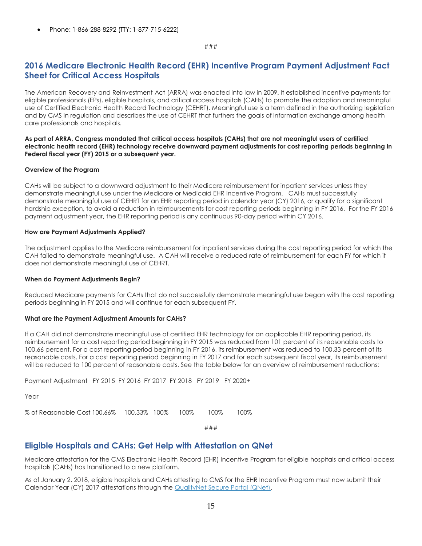Phone: 1-866-288-8292 (TTY: 1-877-715-6222)

### ###

### <span id="page-14-0"></span>**2016 Medicare Electronic Health Record (EHR) Incentive Program Payment Adjustment Fact Sheet for Critical Access Hospitals**

The American Recovery and Reinvestment Act (ARRA) was enacted into law in 2009. It established incentive payments for eligible professionals (EPs), eligible hospitals, and critical access hospitals (CAHs) to promote the adoption and meaningful use of Certified Electronic Health Record Technology (CEHRT). Meaningful use is a term defined in the authorizing legislation and by CMS in regulation and describes the use of CEHRT that furthers the goals of information exchange among health care professionals and hospitals.

### **As part of ARRA, Congress mandated that critical access hospitals (CAHs) that are not meaningful users of certified electronic health record (EHR) technology receive downward payment adjustments for cost reporting periods beginning in Federal fiscal year (FY) 2015 or a subsequent year.**

#### **Overview of the Program**

CAHs will be subject to a downward adjustment to their Medicare reimbursement for inpatient services unless they demonstrate meaningful use under the Medicare or Medicaid EHR Incentive Program. CAHs must successfully demonstrate meaningful use of CEHRT for an EHR reporting period in calendar year (CY) 2016, or qualify for a significant hardship exception, to avoid a reduction in reimbursements for cost reporting periods beginning in FY 2016. For the FY 2016 payment adjustment year, the EHR reporting period is any continuous 90-day period within CY 2016.

#### **How are Payment Adjustments Applied?**

The adjustment applies to the Medicare reimbursement for inpatient services during the cost reporting period for which the CAH failed to demonstrate meaningful use. A CAH will receive a reduced rate of reimbursement for each FY for which it does not demonstrate meaningful use of CEHRT.

### **When do Payment Adjustments Begin?**

Reduced Medicare payments for CAHs that do not successfully demonstrate meaningful use began with the cost reporting periods beginning in FY 2015 and will continue for each subsequent FY.

### **What are the Payment Adjustment Amounts for CAHs?**

If a CAH did not demonstrate meaningful use of certified EHR technology for an applicable EHR reporting period, its reimbursement for a cost reporting period beginning in FY 2015 was reduced from 101 percent of its reasonable costs to 100.66 percent. For a cost reporting period beginning in FY 2016, its reimbursement was reduced to 100.33 percent of its reasonable costs. For a cost reporting period beginning in FY 2017 and for each subsequent fiscal year, its reimbursement will be reduced to 100 percent of reasonable costs. See the table below for an overview of reimbursement reductions:

Payment Adjustment FY 2015 FY 2016 FY 2017 FY 2018 FY 2019 FY 2020+

Year

% of Reasonable Cost 100.66% 100.33% 100% 100% 100% 100%

###

### <span id="page-14-1"></span>**Eligible Hospitals and CAHs: Get Help with Attestation on QNet**

Medicare attestation for the CMS Electronic Health Record (EHR) Incentive Program for eligible hospitals and critical access hospitals (CAHs) has transitioned to a new platform.

As of January 2, 2018, eligible hospitals and CAHs attesting to CMS for the EHR Incentive Program must now submit their Calendar Year (CY) 2017 attestations through the [QualityNet Secure Portal \(QNet\).](http://links.govdelivery.com/track?type=click&enid=ZWFzPTEmbXNpZD0mYXVpZD0mbWFpbGluZ2lkPTIwMTgwMTI5Ljg0NDMzMTYxJm1lc3NhZ2VpZD1NREItUFJELUJVTC0yMDE4MDEyOS44NDQzMzE2MSZkYXRhYmFzZWlkPTEwMDEmc2VyaWFsPTE4MjA5MTgzJmVtYWlsaWQ9bG9yZWxlaS5zY2hpZWZlcmRlY2tlckBjbXMuaGhzLmdvdiZ1c2VyaWQ9bG9yZWxlaS5zY2hpZWZlcmRlY2tlckBjbXMuaGhzLmdvdiZ0YXJnZXRpZD0mZmw9JmV4dHJhPU11bHRpdmFyaWF0ZUlkPSYmJg==&&&100&&&https://www.qualitynet.org/)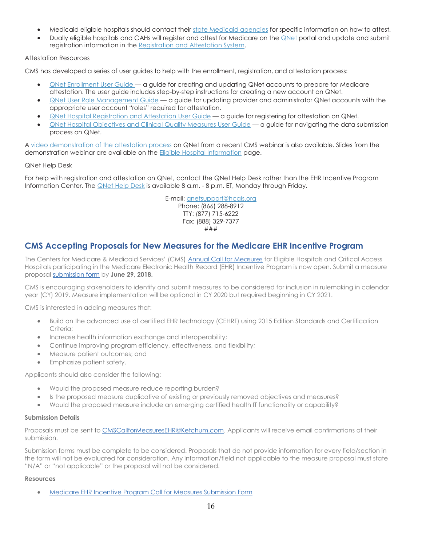- Medicaid eligible hospitals should contact their [state Medicaid agencies](http://links.govdelivery.com/track?type=click&enid=ZWFzPTEmbXNpZD0mYXVpZD0mbWFpbGluZ2lkPTIwMTgwMTI5Ljg0NDMzMTYxJm1lc3NhZ2VpZD1NREItUFJELUJVTC0yMDE4MDEyOS44NDQzMzE2MSZkYXRhYmFzZWlkPTEwMDEmc2VyaWFsPTE4MjA5MTgzJmVtYWlsaWQ9bG9yZWxlaS5zY2hpZWZlcmRlY2tlckBjbXMuaGhzLmdvdiZ1c2VyaWQ9bG9yZWxlaS5zY2hpZWZlcmRlY2tlckBjbXMuaGhzLmdvdiZ0YXJnZXRpZD0mZmw9JmV4dHJhPU11bHRpdmFyaWF0ZUlkPSYmJg==&&&101&&&https://www.cms.gov/Regulations-and-Guidance/Legislation/EHRIncentivePrograms/MedicaidStateInfo.html) for specific information on how to attest.
- Dually eligible hospitals and CAHs will register and attest for Medicare on th[e QNet](http://links.govdelivery.com/track?type=click&enid=ZWFzPTEmbXNpZD0mYXVpZD0mbWFpbGluZ2lkPTIwMTgwMTI5Ljg0NDMzMTYxJm1lc3NhZ2VpZD1NREItUFJELUJVTC0yMDE4MDEyOS44NDQzMzE2MSZkYXRhYmFzZWlkPTEwMDEmc2VyaWFsPTE4MjA5MTgzJmVtYWlsaWQ9bG9yZWxlaS5zY2hpZWZlcmRlY2tlckBjbXMuaGhzLmdvdiZ1c2VyaWQ9bG9yZWxlaS5zY2hpZWZlcmRlY2tlckBjbXMuaGhzLmdvdiZ0YXJnZXRpZD0mZmw9JmV4dHJhPU11bHRpdmFyaWF0ZUlkPSYmJg==&&&102&&&https://www.qualitynet.org/) portal and update and submit registration information in the [Registration and Attestation System.](http://links.govdelivery.com/track?type=click&enid=ZWFzPTEmbXNpZD0mYXVpZD0mbWFpbGluZ2lkPTIwMTgwMTI5Ljg0NDMzMTYxJm1lc3NhZ2VpZD1NREItUFJELUJVTC0yMDE4MDEyOS44NDQzMzE2MSZkYXRhYmFzZWlkPTEwMDEmc2VyaWFsPTE4MjA5MTgzJmVtYWlsaWQ9bG9yZWxlaS5zY2hpZWZlcmRlY2tlckBjbXMuaGhzLmdvdiZ1c2VyaWQ9bG9yZWxlaS5zY2hpZWZlcmRlY2tlckBjbXMuaGhzLmdvdiZ0YXJnZXRpZD0mZmw9JmV4dHJhPU11bHRpdmFyaWF0ZUlkPSYmJg==&&&103&&&https://ehrincentives.cms.gov/hitech/login.action)

### Attestation Resources

CMS has developed a series of user guides to help with the enrollment, registration, and attestation process:

- [QNet Enrollment User Guide](http://links.govdelivery.com/track?type=click&enid=ZWFzPTEmbXNpZD0mYXVpZD0mbWFpbGluZ2lkPTIwMTgwMTI5Ljg0NDMzMTYxJm1lc3NhZ2VpZD1NREItUFJELUJVTC0yMDE4MDEyOS44NDQzMzE2MSZkYXRhYmFzZWlkPTEwMDEmc2VyaWFsPTE4MjA5MTgzJmVtYWlsaWQ9bG9yZWxlaS5zY2hpZWZlcmRlY2tlckBjbXMuaGhzLmdvdiZ1c2VyaWQ9bG9yZWxlaS5zY2hpZWZlcmRlY2tlckBjbXMuaGhzLmdvdiZ0YXJnZXRpZD0mZmw9JmV4dHJhPU11bHRpdmFyaWF0ZUlkPSYmJg==&&&104&&&https://www.cms.gov/Regulations-and-Guidance/Legislation/EHRIncentivePrograms/Downloads/QualityNetUserGuide.pdf) a guide for creating and updating QNet accounts to prepare for Medicare attestation. The user guide includes step-by-step instructions for creating a new account on QNet.
- [QNet User Role Management Guide](http://links.govdelivery.com/track?type=click&enid=ZWFzPTEmbXNpZD0mYXVpZD0mbWFpbGluZ2lkPTIwMTgwMTI5Ljg0NDMzMTYxJm1lc3NhZ2VpZD1NREItUFJELUJVTC0yMDE4MDEyOS44NDQzMzE2MSZkYXRhYmFzZWlkPTEwMDEmc2VyaWFsPTE4MjA5MTgzJmVtYWlsaWQ9bG9yZWxlaS5zY2hpZWZlcmRlY2tlckBjbXMuaGhzLmdvdiZ1c2VyaWQ9bG9yZWxlaS5zY2hpZWZlcmRlY2tlckBjbXMuaGhzLmdvdiZ0YXJnZXRpZD0mZmw9JmV4dHJhPU11bHRpdmFyaWF0ZUlkPSYmJg==&&&105&&&https://www.cms.gov/Regulations-and-Guidance/Legislation/EHRIncentivePrograms/Downloads/UserGuide_QNetRoleManagement.pdf) a guide for updating provider and administrator QNet accounts with the appropriate user account "roles" required for attestation.
- [QNet Hospital Registration and Attestation](http://links.govdelivery.com/track?type=click&enid=ZWFzPTEmbXNpZD0mYXVpZD0mbWFpbGluZ2lkPTIwMTgwMTI5Ljg0NDMzMTYxJm1lc3NhZ2VpZD1NREItUFJELUJVTC0yMDE4MDEyOS44NDQzMzE2MSZkYXRhYmFzZWlkPTEwMDEmc2VyaWFsPTE4MjA5MTgzJmVtYWlsaWQ9bG9yZWxlaS5zY2hpZWZlcmRlY2tlckBjbXMuaGhzLmdvdiZ1c2VyaWQ9bG9yZWxlaS5zY2hpZWZlcmRlY2tlckBjbXMuaGhzLmdvdiZ0YXJnZXRpZD0mZmw9JmV4dHJhPU11bHRpdmFyaWF0ZUlkPSYmJg==&&&106&&&https://www.cms.gov/Regulations-and-Guidance/Legislation/EHRIncentivePrograms/Downloads/UserGuide_QNetHospitalRegistrationAttestation.pdf) User Guide a guide for registering for attestation on QNet.
- QNet Hospital [Objectives and Clinical Quality Measures](http://links.govdelivery.com/track?type=click&enid=ZWFzPTEmbXNpZD0mYXVpZD0mbWFpbGluZ2lkPTIwMTgwMTI5Ljg0NDMzMTYxJm1lc3NhZ2VpZD1NREItUFJELUJVTC0yMDE4MDEyOS44NDQzMzE2MSZkYXRhYmFzZWlkPTEwMDEmc2VyaWFsPTE4MjA5MTgzJmVtYWlsaWQ9bG9yZWxlaS5zY2hpZWZlcmRlY2tlckBjbXMuaGhzLmdvdiZ1c2VyaWQ9bG9yZWxlaS5zY2hpZWZlcmRlY2tlckBjbXMuaGhzLmdvdiZ0YXJnZXRpZD0mZmw9JmV4dHJhPU11bHRpdmFyaWF0ZUlkPSYmJg==&&&107&&&https://www.cms.gov/Regulations-and-Guidance/Legislation/EHRIncentivePrograms/Downloads/UserGuide_QNetHospitalObjectivesCQMs.pdf) User Guide a guide for navigating the data submission process on QNet.

A [video demonstration of the attestation process](http://links.govdelivery.com/track?type=click&enid=ZWFzPTEmbXNpZD0mYXVpZD0mbWFpbGluZ2lkPTIwMTgwMTI5Ljg0NDMzMTYxJm1lc3NhZ2VpZD1NREItUFJELUJVTC0yMDE4MDEyOS44NDQzMzE2MSZkYXRhYmFzZWlkPTEwMDEmc2VyaWFsPTE4MjA5MTgzJmVtYWlsaWQ9bG9yZWxlaS5zY2hpZWZlcmRlY2tlckBjbXMuaGhzLmdvdiZ1c2VyaWQ9bG9yZWxlaS5zY2hpZWZlcmRlY2tlckBjbXMuaGhzLmdvdiZ0YXJnZXRpZD0mZmw9JmV4dHJhPU11bHRpdmFyaWF0ZUlkPSYmJg==&&&108&&&https://meetingconnect.webex.com/ec3100/eventcenter/recording/recordAction.do?theAction=poprecord&siteurl=meetingconnect&entappname=url3100&internalRecordTicket=4832534b000000049383fd5e817ae1cae2252397504b1f9b01ee4cf4493fa8b16c8452634b318733&renewticket=0&isurlact=true&format=short&rnd=7154482439&RCID=b94c455bcc5cd6f5d09b2f6e14088ed4&rID=117672232&needFilter=false&recordID=117672232&apiname=lsr.php&AT=pb&actappname=ec3100&&SP=EC&entactname=%2FnbrRecordingURL.do&actname=%2Feventcenter%2Fframe%2Fg.do) on QNet from a recent CMS webinar is also available. Slides from the demonstration webinar are available on the [Eligible Hospital Information](http://links.govdelivery.com/track?type=click&enid=ZWFzPTEmbXNpZD0mYXVpZD0mbWFpbGluZ2lkPTIwMTgwMTI5Ljg0NDMzMTYxJm1lc3NhZ2VpZD1NREItUFJELUJVTC0yMDE4MDEyOS44NDQzMzE2MSZkYXRhYmFzZWlkPTEwMDEmc2VyaWFsPTE4MjA5MTgzJmVtYWlsaWQ9bG9yZWxlaS5zY2hpZWZlcmRlY2tlckBjbXMuaGhzLmdvdiZ1c2VyaWQ9bG9yZWxlaS5zY2hpZWZlcmRlY2tlckBjbXMuaGhzLmdvdiZ0YXJnZXRpZD0mZmw9JmV4dHJhPU11bHRpdmFyaWF0ZUlkPSYmJg==&&&109&&&https://www.cms.gov/Regulations-and-Guidance/Legislation/EHRIncentivePrograms/Eligible_Hospital_Information.html) page.

### QNet Help Desk

For help with registration and attestation on QNet, contact the QNet Help Desk rather than the EHR Incentive Program Information Center. The [QNet Help Desk](http://links.govdelivery.com/track?type=click&enid=ZWFzPTEmbXNpZD0mYXVpZD0mbWFpbGluZ2lkPTIwMTgwMTI5Ljg0NDMzMTYxJm1lc3NhZ2VpZD1NREItUFJELUJVTC0yMDE4MDEyOS44NDQzMzE2MSZkYXRhYmFzZWlkPTEwMDEmc2VyaWFsPTE4MjA5MTgzJmVtYWlsaWQ9bG9yZWxlaS5zY2hpZWZlcmRlY2tlckBjbXMuaGhzLmdvdiZ1c2VyaWQ9bG9yZWxlaS5zY2hpZWZlcmRlY2tlckBjbXMuaGhzLmdvdiZ0YXJnZXRpZD0mZmw9JmV4dHJhPU11bHRpdmFyaWF0ZUlkPSYmJg==&&&110&&&https://www.qualitynet.org/dcs/ContentServer?pagename=QnetPublic/Page/PageFooterContent&name=glh.ContactUs.pag) is available 8 a.m. - 8 p.m. ET, Monday through Friday.

> E-mail: anetsupport@hcais.org Phone: (866) 288-8912 TTY: (877) 715-6222 Fax: (888) 329-7377 ###

### <span id="page-15-0"></span>**CMS Accepting Proposals for New Measures for the Medicare EHR Incentive Program**

The Centers for Medicare & Medicaid Services' (CMS) [Annual Call for Measures](http://links.govdelivery.com/track?type=click&enid=ZWFzPTEmbXNpZD0mYXVpZD0mbWFpbGluZ2lkPTIwMTgwMjA4Ljg1MDM0NjExJm1lc3NhZ2VpZD1NREItUFJELUJVTC0yMDE4MDIwOC44NTAzNDYxMSZkYXRhYmFzZWlkPTEwMDEmc2VyaWFsPTE4MjIwMzcyJmVtYWlsaWQ9bG9yZWxlaS5zY2hpZWZlcmRlY2tlckBjbXMuaGhzLmdvdiZ1c2VyaWQ9bG9yZWxlaS5zY2hpZWZlcmRlY2tlckBjbXMuaGhzLmdvdiZ0YXJnZXRpZD0mZmw9JmV4dHJhPU11bHRpdmFyaWF0ZUlkPSYmJg==&&&100&&&https://www.cms.gov/Regulations-and-Guidance/Legislation/EHRIncentivePrograms/CallForMeasures.html) for Eligible Hospitals and Critical Access Hospitals participating in the Medicare Electronic Health Record (EHR) Incentive Program is now open. Submit a measure proposal [submission form](http://links.govdelivery.com/track?type=click&enid=ZWFzPTEmbXNpZD0mYXVpZD0mbWFpbGluZ2lkPTIwMTgwMjA4Ljg1MDM0NjExJm1lc3NhZ2VpZD1NREItUFJELUJVTC0yMDE4MDIwOC44NTAzNDYxMSZkYXRhYmFzZWlkPTEwMDEmc2VyaWFsPTE4MjIwMzcyJmVtYWlsaWQ9bG9yZWxlaS5zY2hpZWZlcmRlY2tlckBjbXMuaGhzLmdvdiZ1c2VyaWQ9bG9yZWxlaS5zY2hpZWZlcmRlY2tlckBjbXMuaGhzLmdvdiZ0YXJnZXRpZD0mZmw9JmV4dHJhPU11bHRpdmFyaWF0ZUlkPSYmJg==&&&101&&&https://www.cms.gov/Regulations-and-Guidance/Legislation/EHRIncentivePrograms/Downloads/CallForMeasuresForm.pdf) by **June 29, 2018.**

CMS is encouraging stakeholders to identify and submit measures to be considered for inclusion in rulemaking in calendar year (CY) 2019. Measure implementation will be optional in CY 2020 but required beginning in CY 2021.

CMS is interested in adding measures that:

- Build on the advanced use of certified EHR technology (CEHRT) using 2015 Edition Standards and Certification Criteria<sup>.</sup>
- Increase health information exchange and interoperability;
- Continue improving program efficiency, effectiveness, and flexibility;
- Measure patient outcomes; and
- Emphasize patient safety.

Applicants should also consider the following:

- Would the proposed measure reduce reporting burden?
- Is the proposed measure duplicative of existing or previously removed objectives and measures?
- Would the proposed measure include an emerging certified health IT functionality or capability?

### **Submission Details**

Proposals must be sent to [CMSCallforMeasuresEHR@Ketchum.com.](mailto:CMSCallforMeasuresEHR@Ketchum.com) Applicants will receive email confirmations of their submission.

Submission forms must be complete to be considered. Proposals that do not provide information for every field/section in the form will not be evaluated for consideration. Any information/field not applicable to the measure proposal must state "N/A" or "not applicable" or the proposal will not be considered.

### **Resources**

[Medicare EHR Incentive Program Call for Measures Submission Form](http://links.govdelivery.com/track?type=click&enid=ZWFzPTEmbXNpZD0mYXVpZD0mbWFpbGluZ2lkPTIwMTgwMjA4Ljg1MDM0NjExJm1lc3NhZ2VpZD1NREItUFJELUJVTC0yMDE4MDIwOC44NTAzNDYxMSZkYXRhYmFzZWlkPTEwMDEmc2VyaWFsPTE4MjIwMzcyJmVtYWlsaWQ9bG9yZWxlaS5zY2hpZWZlcmRlY2tlckBjbXMuaGhzLmdvdiZ1c2VyaWQ9bG9yZWxlaS5zY2hpZWZlcmRlY2tlckBjbXMuaGhzLmdvdiZ0YXJnZXRpZD0mZmw9JmV4dHJhPU11bHRpdmFyaWF0ZUlkPSYmJg==&&&102&&&https://www.cms.gov/Regulations-and-Guidance/Legislation/EHRIncentivePrograms/Downloads/CallForMeasuresForm.pdf)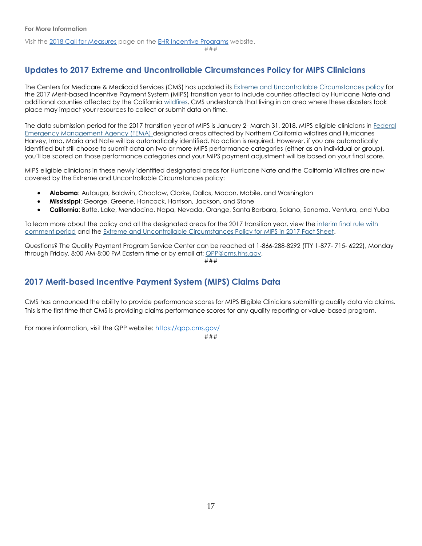Visit the [2018 Call for Measures](http://links.govdelivery.com/track?type=click&enid=ZWFzPTEmbXNpZD0mYXVpZD0mbWFpbGluZ2lkPTIwMTgwMjA4Ljg1MDM0NjExJm1lc3NhZ2VpZD1NREItUFJELUJVTC0yMDE4MDIwOC44NTAzNDYxMSZkYXRhYmFzZWlkPTEwMDEmc2VyaWFsPTE4MjIwMzcyJmVtYWlsaWQ9bG9yZWxlaS5zY2hpZWZlcmRlY2tlckBjbXMuaGhzLmdvdiZ1c2VyaWQ9bG9yZWxlaS5zY2hpZWZlcmRlY2tlckBjbXMuaGhzLmdvdiZ0YXJnZXRpZD0mZmw9JmV4dHJhPU11bHRpdmFyaWF0ZUlkPSYmJg==&&&103&&&https://www.cms.gov/Regulations-and-Guidance/Legislation/EHRIncentivePrograms/CallForMeasures.html) page on the [EHR Incentive Programs](http://links.govdelivery.com/track?type=click&enid=ZWFzPTEmbXNpZD0mYXVpZD0mbWFpbGluZ2lkPTIwMTgwMjA4Ljg1MDM0NjExJm1lc3NhZ2VpZD1NREItUFJELUJVTC0yMDE4MDIwOC44NTAzNDYxMSZkYXRhYmFzZWlkPTEwMDEmc2VyaWFsPTE4MjIwMzcyJmVtYWlsaWQ9bG9yZWxlaS5zY2hpZWZlcmRlY2tlckBjbXMuaGhzLmdvdiZ1c2VyaWQ9bG9yZWxlaS5zY2hpZWZlcmRlY2tlckBjbXMuaGhzLmdvdiZ0YXJnZXRpZD0mZmw9JmV4dHJhPU11bHRpdmFyaWF0ZUlkPSYmJg==&&&104&&&https://www.cms.gov/Regulations-and-Guidance/Legislation/EHRIncentivePrograms/index.html) website.

###

### <span id="page-16-0"></span>**Updates to 2017 Extreme and Uncontrollable Circumstances Policy for MIPS Clinicians**

The Centers for Medicare & Medicaid Services (CMS) has updated its [Extreme and Uncontrollable Circumstances policy](http://links.govdelivery.com/track?type=click&enid=ZWFzPTEmbXNpZD0mYXVpZD0mbWFpbGluZ2lkPTIwMTgwMTI5Ljg0NDM1MjQxJm1lc3NhZ2VpZD1NREItUFJELUJVTC0yMDE4MDEyOS44NDQzNTI0MSZkYXRhYmFzZWlkPTEwMDEmc2VyaWFsPTE4MjA5MjA0JmVtYWlsaWQ9bG9yZWxlaS5zY2hpZWZlcmRlY2tlckBjbXMuaGhzLmdvdiZ1c2VyaWQ9bG9yZWxlaS5zY2hpZWZlcmRlY2tlckBjbXMuaGhzLmdvdiZ0YXJnZXRpZD0mZmw9JmV4dHJhPU11bHRpdmFyaWF0ZUlkPSYmJg==&&&100&&&https://www.federalregister.gov/documents/2017/11/16/2017-24067/medicare-program-cy-2018-updates-to-the-quality-payment-program-and-quality-payment-program-extreme) for the 2017 Merit-based Incentive Payment System (MIPS) transition year to include counties affected by Hurricane Nate and additional counties affected by the California [wildfires.](http://links.govdelivery.com/track?type=click&enid=ZWFzPTEmbXNpZD0mYXVpZD0mbWFpbGluZ2lkPTIwMTgwMTI5Ljg0NDM1MjQxJm1lc3NhZ2VpZD1NREItUFJELUJVTC0yMDE4MDEyOS44NDQzNTI0MSZkYXRhYmFzZWlkPTEwMDEmc2VyaWFsPTE4MjA5MjA0JmVtYWlsaWQ9bG9yZWxlaS5zY2hpZWZlcmRlY2tlckBjbXMuaGhzLmdvdiZ1c2VyaWQ9bG9yZWxlaS5zY2hpZWZlcmRlY2tlckBjbXMuaGhzLmdvdiZ0YXJnZXRpZD0mZmw9JmV4dHJhPU11bHRpdmFyaWF0ZUlkPSYmJg==&&&101&&&https://www.cms.gov/About-CMS/Agency-Information/Emergency/Wildfires.html) CMS understands that living in an area where these disasters took place may impact your resources to collect or submit data on time.

The data submission period for the 2017 transition year of MIPS is January 2- March 31, 2018. MIPS eligible clinicians in [Federal](http://links.govdelivery.com/track?type=click&enid=ZWFzPTEmbXNpZD0mYXVpZD0mbWFpbGluZ2lkPTIwMTgwMTI5Ljg0NDM1MjQxJm1lc3NhZ2VpZD1NREItUFJELUJVTC0yMDE4MDEyOS44NDQzNTI0MSZkYXRhYmFzZWlkPTEwMDEmc2VyaWFsPTE4MjA5MjA0JmVtYWlsaWQ9bG9yZWxlaS5zY2hpZWZlcmRlY2tlckBjbXMuaGhzLmdvdiZ1c2VyaWQ9bG9yZWxlaS5zY2hpZWZlcmRlY2tlckBjbXMuaGhzLmdvdiZ0YXJnZXRpZD0mZmw9JmV4dHJhPU11bHRpdmFyaWF0ZUlkPSYmJg==&&&102&&&https://www.fema.gov/)  [Emergency Management Agency \(FEMA\)](http://links.govdelivery.com/track?type=click&enid=ZWFzPTEmbXNpZD0mYXVpZD0mbWFpbGluZ2lkPTIwMTgwMTI5Ljg0NDM1MjQxJm1lc3NhZ2VpZD1NREItUFJELUJVTC0yMDE4MDEyOS44NDQzNTI0MSZkYXRhYmFzZWlkPTEwMDEmc2VyaWFsPTE4MjA5MjA0JmVtYWlsaWQ9bG9yZWxlaS5zY2hpZWZlcmRlY2tlckBjbXMuaGhzLmdvdiZ1c2VyaWQ9bG9yZWxlaS5zY2hpZWZlcmRlY2tlckBjbXMuaGhzLmdvdiZ0YXJnZXRpZD0mZmw9JmV4dHJhPU11bHRpdmFyaWF0ZUlkPSYmJg==&&&102&&&https://www.fema.gov/) designated areas affected by Northern California wildfires and Hurricanes Harvey, Irma, Maria and Nate will be automatically identified. No action is required. However, if you are automatically identified but still choose to submit data on two or more MIPS performance categories (either as an individual or group), you'll be scored on those performance categories and your MIPS payment adjustment will be based on your final score.

MIPS eligible clinicians in these newly identified designated areas for Hurricane Nate and the California Wildfires are now covered by the Extreme and Uncontrollable Circumstances policy:

- **Alabama**: Autauga, Baldwin, Choctaw, Clarke, Dallas, Macon, Mobile, and Washington
- **Mississippi**: George, Greene, Hancock, Harrison, Jackson, and Stone
- **California**: Butte, Lake, Mendocino, Napa, Nevada, Orange, Santa Barbara, Solano, Sonoma, Ventura, and Yuba

To learn more about the policy and all the designated areas for the 2017 transition year, view the interim final rule with [comment period](http://links.govdelivery.com/track?type=click&enid=ZWFzPTEmbXNpZD0mYXVpZD0mbWFpbGluZ2lkPTIwMTgwMTI5Ljg0NDM1MjQxJm1lc3NhZ2VpZD1NREItUFJELUJVTC0yMDE4MDEyOS44NDQzNTI0MSZkYXRhYmFzZWlkPTEwMDEmc2VyaWFsPTE4MjA5MjA0JmVtYWlsaWQ9bG9yZWxlaS5zY2hpZWZlcmRlY2tlckBjbXMuaGhzLmdvdiZ1c2VyaWQ9bG9yZWxlaS5zY2hpZWZlcmRlY2tlckBjbXMuaGhzLmdvdiZ0YXJnZXRpZD0mZmw9JmV4dHJhPU11bHRpdmFyaWF0ZUlkPSYmJg==&&&103&&&https://www.federalregister.gov/documents/2017/11/16/2017-24067/medicare-program-cy-2018-updates-to-the-quality-payment-program-and-quality-payment-program-extreme) and th[e Extreme and Uncontrollable Circumstances Policy for MIPS in 2017 Fact Sheet.](http://links.govdelivery.com/track?type=click&enid=ZWFzPTEmbXNpZD0mYXVpZD0mbWFpbGluZ2lkPTIwMTgwMTI5Ljg0NDM1MjQxJm1lc3NhZ2VpZD1NREItUFJELUJVTC0yMDE4MDEyOS44NDQzNTI0MSZkYXRhYmFzZWlkPTEwMDEmc2VyaWFsPTE4MjA5MjA0JmVtYWlsaWQ9bG9yZWxlaS5zY2hpZWZlcmRlY2tlckBjbXMuaGhzLmdvdiZ1c2VyaWQ9bG9yZWxlaS5zY2hpZWZlcmRlY2tlckBjbXMuaGhzLmdvdiZ0YXJnZXRpZD0mZmw9JmV4dHJhPU11bHRpdmFyaWF0ZUlkPSYmJg==&&&104&&&https://www.cms.gov/Medicare/Quality-Payment-Program/Resource-Library/Interim-Final-Rule-with-Comment-fact-sheet.pdf)

Questions? The Quality Payment Program Service Center can be reached at 1-866-288-8292 (TTY 1-877- 715- 6222), Monday through Friday, 8:00 AM-8:00 PM Eastern time or by email at[: QPP@cms.hhs.gov.](mailto:QPP@cms.hhs.gov)

###

### <span id="page-16-1"></span>**2017 Merit-based Incentive Payment System (MIPS) Claims Data**

CMS has announced the ability to provide performance scores for MIPS Eligible Clinicians submitting quality data via claims. This is the first time that CMS is providing claims performance scores for any quality reporting or value-based program.

For more information, visit the QPP website:<https://qpp.cms.gov/>

###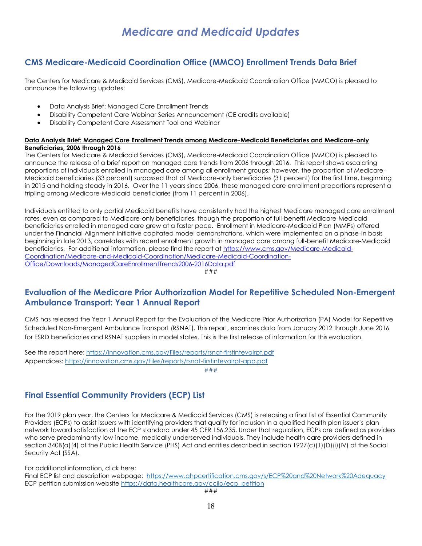### <span id="page-17-1"></span><span id="page-17-0"></span>**CMS Medicare-Medicaid Coordination Office (MMCO) Enrollment Trends Data Brief**

The Centers for Medicare & Medicaid Services (CMS), Medicare-Medicaid Coordination Office (MMCO) is pleased to announce the following updates:

- Data Analysis Brief: Managed Care Enrollment Trends
- Disability Competent Care Webinar Series Announcement (CE credits available)
- Disability Competent Care Assessment Tool and Webinar

### **Data Analysis Brief: Managed Care Enrollment Trends among Medicare-Medicaid Beneficiaries and Medicare-only Beneficiaries, 2006 through 2016**

The Centers for Medicare & Medicaid Services (CMS), Medicare-Medicaid Coordination Office (MMCO) is pleased to announce the release of a brief report on managed care trends from 2006 through 2016. This report shows escalating proportions of individuals enrolled in managed care among all enrollment groups; however, the proportion of Medicare-Medicaid beneficiaries (33 percent) surpassed that of Medicare-only beneficiaries (31 percent) for the first time, beginning in 2015 and holding steady in 2016. Over the 11 years since 2006, these managed care enrollment proportions represent a tripling among Medicare-Medicaid beneficiaries (from 11 percent in 2006).

Individuals entitled to only partial Medicaid benefits have consistently had the highest Medicare managed care enrollment rates, even as compared to Medicare-only beneficiaries, though the proportion of full-benefit Medicare-Medicaid beneficiaries enrolled in managed care grew at a faster pace. Enrollment in Medicare-Medicaid Plan (MMPs) offered under the Financial Alignment Initiative capitated model demonstrations, which were implemented on a phase-in basis beginning in late 2013, correlates with recent enrollment growth in managed care among full-benefit Medicare-Medicaid beneficiaries. For additional information, please find the report at [https://www.cms.gov/Medicare-Medicaid-](http://links.govdelivery.com/track?type=click&enid=ZWFzPTEmbXNpZD0mYXVpZD0mbWFpbGluZ2lkPTIwMTgwMjA5Ljg1MTIwNjAxJm1lc3NhZ2VpZD1NREItUFJELUJVTC0yMDE4MDIwOS44NTEyMDYwMSZkYXRhYmFzZWlkPTEwMDEmc2VyaWFsPTE4MjIxOTU2JmVtYWlsaWQ9bWVsaXNzYS5zaW1wc29uQGFjbC5oaHMuZ292JnVzZXJpZD1tZWxpc3NhLnNpbXBzb25AYWNsLmhocy5nb3YmdGFyZ2V0aWQ9JmZsPSZleHRyYT1NdWx0aXZhcmlhdGVJZD0mJiY=&&&100&&&https://www.cms.gov/Medicare-Medicaid-Coordination/Medicare-and-Medicaid-Coordination/Medicare-Medicaid-Coordination-Office/Downloads/ManagedCareEnrollmentTrends2006-2016Data.pdf)[Coordination/Medicare-and-Medicaid-Coordination/Medicare-Medicaid-Coordination-](http://links.govdelivery.com/track?type=click&enid=ZWFzPTEmbXNpZD0mYXVpZD0mbWFpbGluZ2lkPTIwMTgwMjA5Ljg1MTIwNjAxJm1lc3NhZ2VpZD1NREItUFJELUJVTC0yMDE4MDIwOS44NTEyMDYwMSZkYXRhYmFzZWlkPTEwMDEmc2VyaWFsPTE4MjIxOTU2JmVtYWlsaWQ9bWVsaXNzYS5zaW1wc29uQGFjbC5oaHMuZ292JnVzZXJpZD1tZWxpc3NhLnNpbXBzb25AYWNsLmhocy5nb3YmdGFyZ2V0aWQ9JmZsPSZleHRyYT1NdWx0aXZhcmlhdGVJZD0mJiY=&&&100&&&https://www.cms.gov/Medicare-Medicaid-Coordination/Medicare-and-Medicaid-Coordination/Medicare-Medicaid-Coordination-Office/Downloads/ManagedCareEnrollmentTrends2006-2016Data.pdf)[Office/Downloads/ManagedCareEnrollmentTrends2006-2016Data.pdf](http://links.govdelivery.com/track?type=click&enid=ZWFzPTEmbXNpZD0mYXVpZD0mbWFpbGluZ2lkPTIwMTgwMjA5Ljg1MTIwNjAxJm1lc3NhZ2VpZD1NREItUFJELUJVTC0yMDE4MDIwOS44NTEyMDYwMSZkYXRhYmFzZWlkPTEwMDEmc2VyaWFsPTE4MjIxOTU2JmVtYWlsaWQ9bWVsaXNzYS5zaW1wc29uQGFjbC5oaHMuZ292JnVzZXJpZD1tZWxpc3NhLnNpbXBzb25AYWNsLmhocy5nb3YmdGFyZ2V0aWQ9JmZsPSZleHRyYT1NdWx0aXZhcmlhdGVJZD0mJiY=&&&100&&&https://www.cms.gov/Medicare-Medicaid-Coordination/Medicare-and-Medicaid-Coordination/Medicare-Medicaid-Coordination-Office/Downloads/ManagedCareEnrollmentTrends2006-2016Data.pdf)

###

### <span id="page-17-2"></span>**Evaluation of the Medicare Prior Authorization Model for Repetitive Scheduled Non-Emergent Ambulance Transport: Year 1 Annual Report**

CMS has released the Year 1 Annual Report for the Evaluation of the Medicare Prior Authorization (PA) Model for Repetitive Scheduled Non-Emergent Ambulance Transport (RSNAT). This report, examines data from January 2012 through June 2016 for ESRD beneficiaries and RSNAT suppliers in model states. This is the first release of information for this evaluation.

See the report here:<https://innovation.cms.gov/Files/reports/rsnat-firstintevalrpt.pdf> Appendices:<https://innovation.cms.gov/Files/reports/rsnat-firstintevalrpt-app.pdf>

###

### <span id="page-17-3"></span>**Final Essential Community Providers (ECP) List**

For the 2019 plan year, the Centers for Medicare & Medicaid Services (CMS) is releasing a final list of Essential Community Providers (ECPs) to assist issuers with identifying providers that qualify for inclusion in a qualified health plan issuer's plan network toward satisfaction of the ECP standard under 45 CFR 156.235. Under that regulation, ECPs are defined as providers who serve predominantly low-income, medically underserved individuals. They include health care providers defined in section 340B(a)(4) of the Public Health Service (PHS) Act and entities described in section 1927(c)(1)(D)(i)(IV) of the Social Security Act (SSA).

For additional information, click here:

Final ECP list and description webpage: <https://www.qhpcertification.cms.gov/s/ECP%20and%20Network%20Adequacy> ECP petition submission websit[e https://data.healthcare.gov/cciio/ecp\\_petition](https://data.healthcare.gov/cciio/ecp_petition)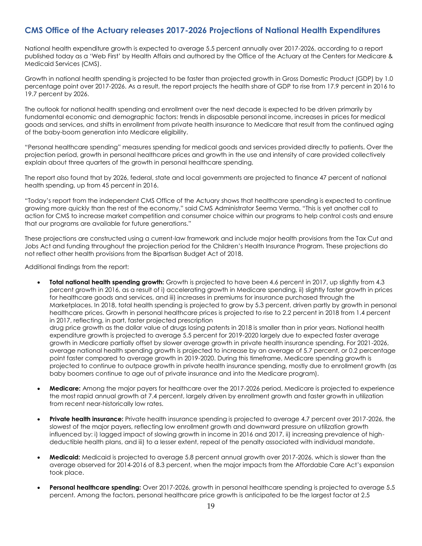### <span id="page-18-0"></span>**CMS Office of the Actuary releases 2017-2026 Projections of National Health Expenditures**

National health expenditure growth is expected to average 5.5 percent annually over 2017-2026, according to a report published today as a 'Web First' by Health Affairs and authored by the Office of the Actuary at the Centers for Medicare & Medicaid Services (CMS).

Growth in national health spending is projected to be faster than projected growth in Gross Domestic Product (GDP) by 1.0 percentage point over 2017-2026. As a result, the report projects the health share of GDP to rise from 17.9 percent in 2016 to 19.7 percent by 2026.

The outlook for national health spending and enrollment over the next decade is expected to be driven primarily by fundamental economic and demographic factors: trends in disposable personal income, increases in prices for medical goods and services, and shifts in enrollment from private health insurance to Medicare that result from the continued aging of the baby-boom generation into Medicare eligibility.

"Personal healthcare spending" measures spending for medical goods and services provided directly to patients. Over the projection period, growth in personal healthcare prices and growth in the use and intensity of care provided collectively explain about three quarters of the growth in personal healthcare spending.

The report also found that by 2026, federal, state and local governments are projected to finance 47 percent of national health spending, up from 45 percent in 2016.

"Today's report from the independent CMS Office of the Actuary shows that healthcare spending is expected to continue growing more quickly than the rest of the economy," said CMS Administrator Seema Verma. "This is yet another call to action for CMS to increase market competition and consumer choice within our programs to help control costs and ensure that our programs are available for future generations."

These projections are constructed using a current-law framework and include major health provisions from the Tax Cut and Jobs Act and funding throughout the projection period for the Children's Health Insurance Program. These projections do not reflect other health provisions from the Bipartisan Budget Act of 2018.

Additional findings from the report:

- **Total national health spending growth:** Growth is projected to have been 4.6 percent in 2017, up slightly from 4.3 percent growth in 2016, as a result of i) accelerating growth in Medicare spending, ii) slightly faster growth in prices for healthcare goods and services, and iii) increases in premiums for insurance purchased through the Marketplaces. In 2018, total health spending is projected to grow by 5.3 percent, driven partly by growth in personal healthcare prices. Growth in personal healthcare prices is projected to rise to 2.2 percent in 2018 from 1.4 percent in 2017, reflecting, in part, faster projected prescription drug price growth as the dollar value of drugs losing patents in 2018 is smaller than in prior years. National health expenditure growth is projected to average 5.5 percent for 2019-2020 largely due to expected faster average growth in Medicare partially offset by slower average growth in private health insurance spending. For 2021-2026, average national health spending growth is projected to increase by an average of 5.7 percent, or 0.2 percentage point faster compared to average growth in 2019-2020. During this timeframe, Medicare spending growth is projected to continue to outpace growth in private health insurance spending, mostly due to enrollment growth (as baby boomers continue to age out of private insurance and into the Medicare program).
- **Medicare:** Among the major payers for healthcare over the 2017-2026 period, Medicare is projected to experience the most rapid annual growth at 7.4 percent, largely driven by enrollment growth and faster growth in utilization from recent near-historically low rates.
- **Private health insurance:** Private health insurance spending is projected to average 4.7 percent over 2017-2026, the slowest of the major payers, reflecting low enrollment growth and downward pressure on utilization growth influenced by: i) lagged impact of slowing growth in income in 2016 and 2017, ii) increasing prevalence of highdeductible health plans, and iii) to a lesser extent, repeal of the penalty associated with individual mandate.
- **Medicaid:** Medicaid is projected to average 5.8 percent annual growth over 2017-2026, which is slower than the average observed for 2014-2016 of 8.3 percent, when the major impacts from the Affordable Care Act's expansion took place.
- **Personal healthcare spending:** Over 2017-2026, growth in personal healthcare spending is projected to average 5.5 percent. Among the factors, personal healthcare price growth is anticipated to be the largest factor at 2.5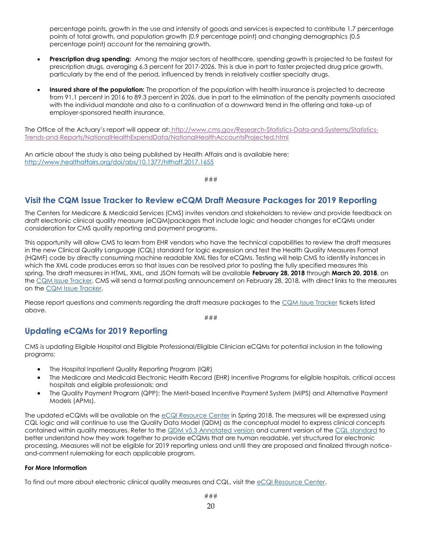percentage points, growth in the use and intensity of goods and services is expected to contribute 1.7 percentage points of total growth, and population growth (0.9 percentage point) and changing demographics (0.5 percentage point) account for the remaining growth.

- **Prescription drug spending:** Among the major sectors of healthcare, spending growth is projected to be fastest for prescription drugs, averaging 6.3 percent for 2017-2026. This is due in part to faster projected drug price growth, particularly by the end of the period, influenced by trends in relatively costlier specialty drugs.
- **Insured share of the population:** The proportion of the population with health insurance is projected to decrease from 91.1 percent in 2016 to 89.3 percent in 2026, due in part to the elimination of the penalty payments associated with the individual mandate and also to a continuation of a downward trend in the offering and take-up of employer-sponsored health insurance.

The Office of the Actuary's report will appear at: [http://www.cms.gov/Research-Statistics-Data-and-Systems/Statistics-](http://www.cms.gov/Research-Statistics-Data-and-Systems/Statistics-Trends-and-Reports/NationalHealthExpendData/NationalHealthAccountsProjected.html)[Trends-and-Reports/NationalHealthExpendData/NationalHealthAccountsProjected.html](http://www.cms.gov/Research-Statistics-Data-and-Systems/Statistics-Trends-and-Reports/NationalHealthExpendData/NationalHealthAccountsProjected.html)

An article about the study is also being published by Health Affairs and is available here: <http://www.healthaffairs.org/doi/abs/10.1377/hlthaff.2017.1655>

###

### <span id="page-19-0"></span>**Visit the CQM Issue Tracker to Review eCQM Draft Measure Packages for 2019 Reporting**

The Centers for Medicare & Medicaid Services (CMS) invites vendors and stakeholders to review and provide feedback on draft electronic clinical quality measure (eCQM)packages that include logic and header changes for eCQMs under consideration for CMS quality reporting and payment programs.

This opportunity will allow CMS to learn from EHR vendors who have the technical capabilities to review the draft measures in the new Clinical Quality Language (CQL) standard for logic expression and test the Health Quality Measures Format (HQMF) code by directly consuming machine readable XML files for eCQMs. Testing will help CMS to identify instances in which the XML code produces errors so that issues can be resolved prior to posting the fully specified measures this spring. The draft measures in HTML, XML, and JSON formats will be available **February 28, 2018** through **March 20, 2018**, on the [CQM Issue Tracker.](http://links.govdelivery.com/track?type=click&enid=ZWFzPTEmbXNpZD0mYXVpZD0mbWFpbGluZ2lkPTIwMTgwMjE1Ljg1NDE5OTExJm1lc3NhZ2VpZD1NREItUFJELUJVTC0yMDE4MDIxNS44NTQxOTkxMSZkYXRhYmFzZWlkPTEwMDEmc2VyaWFsPTE4MjI4MjYyJmVtYWlsaWQ9bG9yZWxlaS5zY2hpZWZlcmRlY2tlckBjbXMuaGhzLmdvdiZ1c2VyaWQ9bG9yZWxlaS5zY2hpZWZlcmRlY2tlckBjbXMuaGhzLmdvdiZ0YXJnZXRpZD0mZmw9JmV4dHJhPU11bHRpdmFyaWF0ZUlkPSYmJg==&&&100&&&https://oncprojectracking.healthit.gov/support/projects/CQM/issues/) CMS will send a formal posting announcement on February 28, 2018, with direct links to the measures on the [CQM Issue Tracker.](http://links.govdelivery.com/track?type=click&enid=ZWFzPTEmbXNpZD0mYXVpZD0mbWFpbGluZ2lkPTIwMTgwMjE1Ljg1NDE5OTExJm1lc3NhZ2VpZD1NREItUFJELUJVTC0yMDE4MDIxNS44NTQxOTkxMSZkYXRhYmFzZWlkPTEwMDEmc2VyaWFsPTE4MjI4MjYyJmVtYWlsaWQ9bG9yZWxlaS5zY2hpZWZlcmRlY2tlckBjbXMuaGhzLmdvdiZ1c2VyaWQ9bG9yZWxlaS5zY2hpZWZlcmRlY2tlckBjbXMuaGhzLmdvdiZ0YXJnZXRpZD0mZmw9JmV4dHJhPU11bHRpdmFyaWF0ZUlkPSYmJg==&&&101&&&https://oncprojectracking.healthit.gov/support/projects/CQM/issues/)

Please report questions and comments regarding the draft measure packages to the [CQM Issue Tracker](http://links.govdelivery.com/track?type=click&enid=ZWFzPTEmbXNpZD0mYXVpZD0mbWFpbGluZ2lkPTIwMTgwMjE1Ljg1NDE5OTExJm1lc3NhZ2VpZD1NREItUFJELUJVTC0yMDE4MDIxNS44NTQxOTkxMSZkYXRhYmFzZWlkPTEwMDEmc2VyaWFsPTE4MjI4MjYyJmVtYWlsaWQ9bG9yZWxlaS5zY2hpZWZlcmRlY2tlckBjbXMuaGhzLmdvdiZ1c2VyaWQ9bG9yZWxlaS5zY2hpZWZlcmRlY2tlckBjbXMuaGhzLmdvdiZ0YXJnZXRpZD0mZmw9JmV4dHJhPU11bHRpdmFyaWF0ZUlkPSYmJg==&&&102&&&https://oncprojectracking.healthit.gov/support/projects/CQM/issues/) tickets listed above.

###

### <span id="page-19-1"></span>**Updating eCQMs for 2019 Reporting**

CMS is updating Eligible Hospital and Eligible Professional/Eligible Clinician eCQMs for potential inclusion in the following programs:

- The Hospital Inpatient Quality Reporting Program (IQR)
- The Medicare and Medicaid Electronic Health Record (EHR) Incentive Programs for eligible hospitals, critical access hospitals and eligible professionals; and
- The Quality Payment Program (QPP): The Merit-based Incentive Payment System (MIPS) and Alternative Payment Models (APMs).

The updated eCQMs will be available on the [eCQI Resource Center](http://links.govdelivery.com/track?type=click&enid=ZWFzPTEmbXNpZD0mYXVpZD0mbWFpbGluZ2lkPTIwMTgwMjE1Ljg1NDE5OTExJm1lc3NhZ2VpZD1NREItUFJELUJVTC0yMDE4MDIxNS44NTQxOTkxMSZkYXRhYmFzZWlkPTEwMDEmc2VyaWFsPTE4MjI4MjYyJmVtYWlsaWQ9bG9yZWxlaS5zY2hpZWZlcmRlY2tlckBjbXMuaGhzLmdvdiZ1c2VyaWQ9bG9yZWxlaS5zY2hpZWZlcmRlY2tlckBjbXMuaGhzLmdvdiZ0YXJnZXRpZD0mZmw9JmV4dHJhPU11bHRpdmFyaWF0ZUlkPSYmJg==&&&103&&&https://ecqi.healthit.gov/) in Spring 2018. The measures will be expressed using CQL logic and will continue to use the Quality Data Model (QDM) as the conceptual model to express clinical concepts contained within quality measures. Refer to the [QDM v5.3 Annotated version](http://links.govdelivery.com/track?type=click&enid=ZWFzPTEmbXNpZD0mYXVpZD0mbWFpbGluZ2lkPTIwMTgwMjE1Ljg1NDE5OTExJm1lc3NhZ2VpZD1NREItUFJELUJVTC0yMDE4MDIxNS44NTQxOTkxMSZkYXRhYmFzZWlkPTEwMDEmc2VyaWFsPTE4MjI4MjYyJmVtYWlsaWQ9bG9yZWxlaS5zY2hpZWZlcmRlY2tlckBjbXMuaGhzLmdvdiZ1c2VyaWQ9bG9yZWxlaS5zY2hpZWZlcmRlY2tlckBjbXMuaGhzLmdvdiZ0YXJnZXRpZD0mZmw9JmV4dHJhPU11bHRpdmFyaWF0ZUlkPSYmJg==&&&104&&&https://ecqi.healthit.gov/system/files/QDM_5_3_ANNOTATED_2017August_508.pdf) and current version of the [CQL standard](http://links.govdelivery.com/track?type=click&enid=ZWFzPTEmbXNpZD0mYXVpZD0mbWFpbGluZ2lkPTIwMTgwMjE1Ljg1NDE5OTExJm1lc3NhZ2VpZD1NREItUFJELUJVTC0yMDE4MDIxNS44NTQxOTkxMSZkYXRhYmFzZWlkPTEwMDEmc2VyaWFsPTE4MjI4MjYyJmVtYWlsaWQ9bG9yZWxlaS5zY2hpZWZlcmRlY2tlckBjbXMuaGhzLmdvdiZ1c2VyaWQ9bG9yZWxlaS5zY2hpZWZlcmRlY2tlckBjbXMuaGhzLmdvdiZ0YXJnZXRpZD0mZmw9JmV4dHJhPU11bHRpdmFyaWF0ZUlkPSYmJg==&&&105&&&http://www.hl7.org/implement/standards/product_brief.cfm?product_id=400) to better understand how they work together to provide eCQMs that are human readable, yet structured for electronic processing. Measures will not be eligible for 2019 reporting unless and until they are proposed and finalized through noticeand-comment rulemaking for each applicable program.

### **For More Information**

To find out more about electronic clinical quality measures and CQL, visit the [eCQI Resource Center.](http://links.govdelivery.com/track?type=click&enid=ZWFzPTEmbXNpZD0mYXVpZD0mbWFpbGluZ2lkPTIwMTgwMjE1Ljg1NDE5OTExJm1lc3NhZ2VpZD1NREItUFJELUJVTC0yMDE4MDIxNS44NTQxOTkxMSZkYXRhYmFzZWlkPTEwMDEmc2VyaWFsPTE4MjI4MjYyJmVtYWlsaWQ9bG9yZWxlaS5zY2hpZWZlcmRlY2tlckBjbXMuaGhzLmdvdiZ1c2VyaWQ9bG9yZWxlaS5zY2hpZWZlcmRlY2tlckBjbXMuaGhzLmdvdiZ0YXJnZXRpZD0mZmw9JmV4dHJhPU11bHRpdmFyaWF0ZUlkPSYmJg==&&&106&&&https://ecqi.healthit.gov/)

###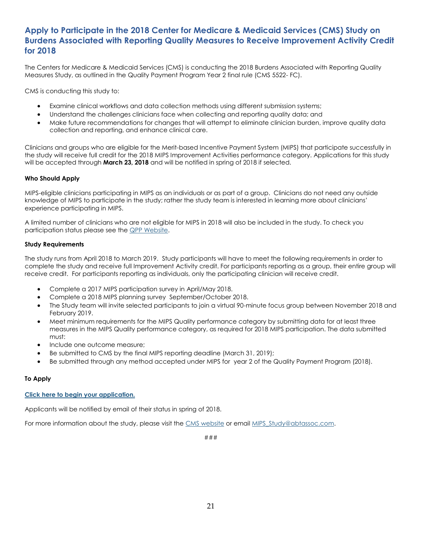### <span id="page-20-0"></span>**Apply to Participate in the 2018 Center for Medicare & Medicaid Services (CMS) Study on Burdens Associated with Reporting Quality Measures to Receive Improvement Activity Credit for 2018**

The Centers for Medicare & Medicaid Services (CMS) is conducting the 2018 Burdens Associated with Reporting Quality Measures Study, as outlined in the Quality Payment Program Year 2 final rule (CMS 5522- FC).

CMS is conducting this study to:

- Examine clinical workflows and data collection methods using different submission systems;
- Understand the challenges clinicians face when collecting and reporting quality data; and
- Make future recommendations for changes that will attempt to eliminate clinician burden, improve quality data collection and reporting, and enhance clinical care.

Clinicians and groups who are eligible for the Merit-based Incentive Payment System (MIPS) that participate successfully in the study will receive full credit for the 2018 MIPS Improvement Activities performance category. Applications for this study will be accepted through **March 23, 2018** and will be notified in spring of 2018 if selected.

#### **Who Should Apply**

MIPS-eligible clinicians participating in MIPS as an individuals or as part of a group. Clinicians do not need any outside knowledge of MIPS to participate in the study; rather the study team is interested in learning more about clinicians' experience participating in MIPS.

A limited number of clinicians who are not eligible for MIPS in 2018 will also be included in the study. To check you participation status please see the [QPP Website.](http://links.govdelivery.com/track?type=click&enid=ZWFzPTEmbXNpZD0mYXVpZD0mbWFpbGluZ2lkPTIwMTgwMjE1Ljg1NDE5OTExJm1lc3NhZ2VpZD1NREItUFJELUJVTC0yMDE4MDIxNS44NTQxOTkxMSZkYXRhYmFzZWlkPTEwMDEmc2VyaWFsPTE4MjI4MjYyJmVtYWlsaWQ9bG9yZWxlaS5zY2hpZWZlcmRlY2tlckBjbXMuaGhzLmdvdiZ1c2VyaWQ9bG9yZWxlaS5zY2hpZWZlcmRlY2tlckBjbXMuaGhzLmdvdiZ0YXJnZXRpZD0mZmw9JmV4dHJhPU11bHRpdmFyaWF0ZUlkPSYmJg==&&&107&&&https://qpp.cms.gov/participation-lookup?npi=)

#### **Study Requirements**

The study runs from April 2018 to March 2019. Study participants will have to meet the following requirements in order to complete the study and receive full Improvement Activity credit. For participants reporting as a group, their entire group will receive credit. For participants reporting as individuals, only the participating clinician will receive credit.

- Complete a 2017 MIPS participation survey in April/May 2018.
- Complete a 2018 MIPS planning survey September/October 2018.
- The Study team will invite selected participants to join a virtual 90-minute focus group between November 2018 and February 2019.
- Meet minimum requirements for the MIPS Quality performance category by submitting data for at least three measures in the MIPS Quality performance category, as required for 2018 MIPS participation. The data submitted must:
- Include one outcome measure;
- Be submitted to CMS by the final MIPS reporting deadline (March 31, 2019);
- Be submitted through any method accepted under MIPS for year 2 of the Quality Payment Program (2018).

### **To Apply**

#### **[Click here to begin your application.](http://links.govdelivery.com/track?type=click&enid=ZWFzPTEmbXNpZD0mYXVpZD0mbWFpbGluZ2lkPTIwMTgwMjE1Ljg1NDE5OTExJm1lc3NhZ2VpZD1NREItUFJELUJVTC0yMDE4MDIxNS44NTQxOTkxMSZkYXRhYmFzZWlkPTEwMDEmc2VyaWFsPTE4MjI4MjYyJmVtYWlsaWQ9bG9yZWxlaS5zY2hpZWZlcmRlY2tlckBjbXMuaGhzLmdvdiZ1c2VyaWQ9bG9yZWxlaS5zY2hpZWZlcmRlY2tlckBjbXMuaGhzLmdvdiZ0YXJnZXRpZD0mZmw9JmV4dHJhPU11bHRpdmFyaWF0ZUlkPSYmJg==&&&108&&&https://surveys.abtassociates.com/s3/FY18-Improvement-Activity-IA-Study-Application)**

Applicants will be notified by email of their status in spring of 2018.

For more information about the study, please visit the [CMS website](http://links.govdelivery.com/track?type=click&enid=ZWFzPTEmbXNpZD0mYXVpZD0mbWFpbGluZ2lkPTIwMTgwMjE1Ljg1NDE5OTExJm1lc3NhZ2VpZD1NREItUFJELUJVTC0yMDE4MDIxNS44NTQxOTkxMSZkYXRhYmFzZWlkPTEwMDEmc2VyaWFsPTE4MjI4MjYyJmVtYWlsaWQ9bG9yZWxlaS5zY2hpZWZlcmRlY2tlckBjbXMuaGhzLmdvdiZ1c2VyaWQ9bG9yZWxlaS5zY2hpZWZlcmRlY2tlckBjbXMuaGhzLmdvdiZ0YXJnZXRpZD0mZmw9JmV4dHJhPU11bHRpdmFyaWF0ZUlkPSYmJg==&&&109&&&https://www.cms.gov/Medicare/Quality-Initiatives-Patient-Assessment-Instruments/Value-Based-Programs/MACRA-MIPS-and-APMs/MACRA-Feedback.html) or email MIPS Study@abtassoc.com.

###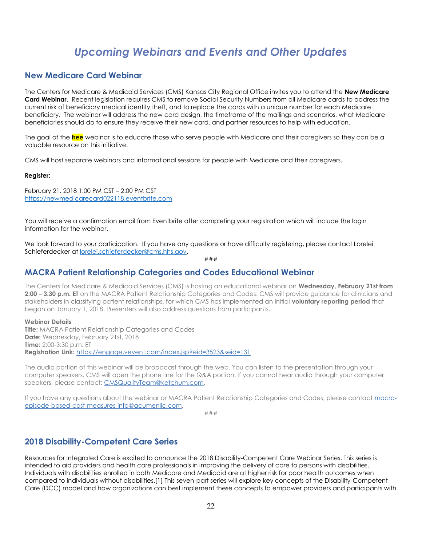## *Upcoming Webinars and Events and Other Updates*

### <span id="page-21-1"></span><span id="page-21-0"></span>**New Medicare Card Webinar**

The Centers for Medicare & Medicaid Services (CMS) Kansas City Regional Office invites you to attend the **New Medicare Card Webinar**. Recent legislation requires CMS to remove Social Security Numbers from all Medicare cards to address the current risk of beneficiary medical identity theft, and to replace the cards with a unique number for each Medicare beneficiary. The webinar will address the new card design, the timeframe of the mailings and scenarios, what Medicare beneficiaries should do to ensure they receive their new card, and partner resources to help with education.

The goal of the **free** webinar is to educate those who serve people with Medicare and their caregivers so they can be a valuable resource on this initiative.

CMS will host separate webinars and informational sessions for people with Medicare and their caregivers.

#### **Register:**

February 21, 2018 1:00 PM CST – 2:00 PM CST [https://newmedicarecard022118.eventbrite.com](https://newmedicarecard022118.eventbrite.com/)

You will receive a confirmation email from Eventbrite after completing your registration which will include the login information for the webinar.

We look forward to your participation. If you have any questions or have difficulty registering, please contact Lorelei Schieferdecker at [lorelei.schieferdecker@cms.hhs.gov.](mailto:lorelei.schieferdecker@cms.hhs.gov)

###

### <span id="page-21-2"></span>**MACRA Patient Relationship Categories and Codes Educational Webinar**

The Centers for Medicare & Medicaid Services (CMS) is hosting an educational webinar on **Wednesday, February 21st from 2:00 – 3:30 p.m. ET** on the MACRA Patient Relationship Categories and Codes. CMS will provide guidance for clinicians and stakeholders in classifying patient relationships, for which CMS has implemented an initial **voluntary reporting period** that began on January 1, 2018. Presenters will also address questions from participants.

#### **Webinar Details**

**Title:** MACRA Patient Relationship Categories and Codes **Date:** Wednesday, February 21st, 2018 **Time:** 2:00-3:30 p.m. ET **Registration Link:** [https://engage.vevent.com/index.jsp?eid=3523&seid=131](http://links.govdelivery.com/track?type=click&enid=ZWFzPTEmbXNpZD0mYXVpZD0mbWFpbGluZ2lkPTIwMTgwMjE1Ljg1NDQyNjgxJm1lc3NhZ2VpZD1NREItUFJELUJVTC0yMDE4MDIxNS44NTQ0MjY4MSZkYXRhYmFzZWlkPTEwMDEmc2VyaWFsPTE4MjI4NjY1JmVtYWlsaWQ9bG9yZWxlaS5zY2hpZWZlcmRlY2tlckBjbXMuaGhzLmdvdiZ1c2VyaWQ9bG9yZWxlaS5zY2hpZWZlcmRlY2tlckBjbXMuaGhzLmdvdiZ0YXJnZXRpZD0mZmw9JmV4dHJhPU11bHRpdmFyaWF0ZUlkPSYmJg==&&&100&&&https://engage.vevent.com/index.jsp?eid=3523&seid=131)

The audio portion of this webinar will be broadcast through the web. You can listen to the presentation through your computer speakers. CMS will open the phone line for the Q&A portion. If you cannot hear audio through your computer speakers, please contact: [CMSQualityTeam@ketchum.com.](mailto:CMSQualityTeam@ketchum.com)

If you have any questions about the webinar or MACRA Patient Relationship Categories and Codes, please contact [macra](mailto:macra-episode-based-cost-measures-info@acumenllc.com)[episode-based-cost-measures-info@acumenllc.com.](mailto:macra-episode-based-cost-measures-info@acumenllc.com)

###

### <span id="page-21-3"></span>**2018 Disability-Competent Care Series**

Resources for Integrated Care is excited to announce the 2018 Disability-Competent Care Webinar Series. This series is intended to aid providers and health care professionals in improving the delivery of care to persons with disabilities. Individuals with disabilities enrolled in both Medicare and Medicaid are at higher risk for poor health outcomes when compared to individuals without disabilities.[1] This seven-part series will explore key concepts of the Disability-Competent Care (DCC) model and how organizations can best implement these concepts to empower providers and participants with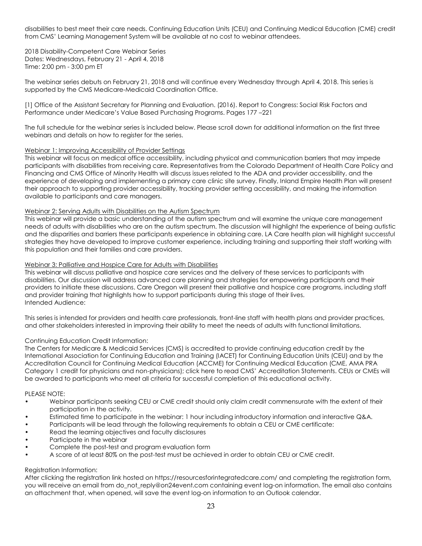disabilities to best meet their care needs. Continuing Education Units (CEU) and Continuing Medical Education (CME) credit from CMS' Learning Management System will be available at no cost to webinar attendees.

2018 Disability-Competent Care Webinar Series Dates: Wednesdays, February 21 - April 4, 2018 Time: 2:00 pm - 3:00 pm ET

The webinar series debuts on February 21, 2018 and will continue every Wednesday through April 4, 2018. This series is supported by the CMS Medicare-Medicaid Coordination Office.

[1] Office of the Assistant Secretary for Planning and Evaluation. (2016). Report to Congress: Social Risk Factors and Performance under Medicare's Value Based Purchasing Programs. Pages 177 –221

The full schedule for the webinar series is included below. Please scroll down for additional information on the first three webinars and details on how to reaister for the series.

#### Webinar 1: Improving Accessibility of Provider Settings

This webinar will focus on medical office accessibility, including physical and communication barriers that may impede participants with disabilities from receiving care. Representatives from the Colorado Department of Health Care Policy and Financing and CMS Office of Minority Health will discuss issues related to the ADA and provider accessibility, and the experience of developing and implementing a primary care clinic site survey. Finally, Inland Empire Health Plan will present their approach to supporting provider accessibility, tracking provider setting accessibility, and making the information available to participants and care managers.

#### Webinar 2: Serving Adults with Disabilities on the Autism Spectrum

This webinar will provide a basic understanding of the autism spectrum and will examine the unique care management needs of adults with disabilities who are on the autism spectrum. The discussion will highlight the experience of being autistic and the disparities and barriers these participants experience in obtaining care. LA Care health plan will highlight successful strategies they have developed to improve customer experience, including training and supporting their staff working with this population and their families and care providers.

#### Webinar 3: Palliative and Hospice Care for Adults with Disabilities

This webinar will discuss palliative and hospice care services and the delivery of these services to participants with disabilities. Our discussion will address advanced care planning and strategies for empowering participants and their providers to initiate these discussions. Care Oregon will present their palliative and hospice care programs, including staff and provider training that highlights how to support participants during this stage of their lives. Intended Audience:

This series is intended for providers and health care professionals, front-line staff with health plans and provider practices, and other stakeholders interested in improving their ability to meet the needs of adults with functional limitations.

### Continuing Education Credit Information:

The Centers for Medicare & Medicaid Services (CMS) is accredited to provide continuing education credit by the International Association for Continuing Education and Training (IACET) for Continuing Education Units (CEU) and by the Accreditation Council for Continuing Medical Education (ACCME) for Continuing Medical Education (CME, AMA PRA Category 1 credit for physicians and non-physicians); click here to read CMS' Accreditation Statements. CEUs or CMEs will be awarded to participants who meet all criteria for successful completion of this educational activity.

#### PLEASE NOTE:

- Webinar participants seeking CEU or CME credit should only claim credit commensurate with the extent of their participation in the activity.
- Estimated time to participate in the webinar: 1 hour including introductory information and interactive Q&A.
- Participants will be lead through the following requirements to obtain a CEU or CME certificate:
- Read the learning objectives and faculty disclosures
- Participate in the webinar
- Complete the post-test and program evaluation form
- A score of at least 80% on the post-test must be achieved in order to obtain CEU or CME credit.

#### Registration Information:

After clicking the registration link hosted on https://resourcesforintegratedcare.com/ and completing the registration form, you will receive an email from do\_not\_reply@on24event.com containing event log-on information. The email also contains an attachment that, when opened, will save the event log-on information to an Outlook calendar.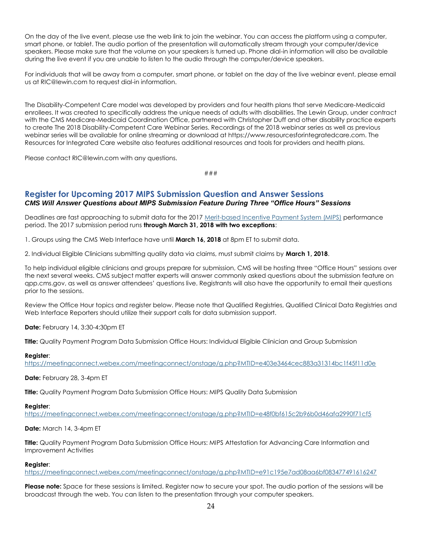On the day of the live event, please use the web link to join the webinar. You can access the platform using a computer, smart phone, or tablet. The audio portion of the presentation will automatically stream through your computer/device speakers. Please make sure that the volume on your speakers is turned up. Phone dial-in information will also be available during the live event if you are unable to listen to the audio through the computer/device speakers.

For individuals that will be away from a computer, smart phone, or tablet on the day of the live webinar event, please email us at RIC@lewin.com to request dial-in information.

The Disability-Competent Care model was developed by providers and four health plans that serve Medicare-Medicaid enrollees. It was created to specifically address the unique needs of adults with disabilities. The Lewin Group, under contract with the CMS Medicare-Medicaid Coordination Office, partnered with Christopher Duff and other disability practice experts to create The 2018 Disability-Competent Care Webinar Series. Recordings of the 2018 webinar series as well as previous webinar series will be available for online streaming or download at https://www.resourcesforintegratedcare.com. The Resources for Integrated Care website also features additional resources and tools for providers and health plans.

Please contact RIC@lewin.com with any questions.

###

### <span id="page-23-0"></span>**Register for Upcoming 2017 MIPS Submission Question and Answer Sessions** *CMS Will Answer Questions about MIPS Submission Feature During Three "Office Hours" Sessions*

Deadlines are fast approaching to submit data for the 2017 [Merit-based Incentive Payment System \(MIPS\)](http://links.govdelivery.com/track?type=click&enid=ZWFzPTEmbXNpZD0mYXVpZD0mbWFpbGluZ2lkPTIwMTgwMjA5Ljg1MTE2NDMxJm1lc3NhZ2VpZD1NREItUFJELUJVTC0yMDE4MDIwOS44NTExNjQzMSZkYXRhYmFzZWlkPTEwMDEmc2VyaWFsPTE4MjIxNzcyJmVtYWlsaWQ9bG9yZWxlaS5zY2hpZWZlcmRlY2tlckBjbXMuaGhzLmdvdiZ1c2VyaWQ9bG9yZWxlaS5zY2hpZWZlcmRlY2tlckBjbXMuaGhzLmdvdiZ0YXJnZXRpZD0mZmw9JmV4dHJhPU11bHRpdmFyaWF0ZUlkPSYmJg==&&&100&&&https://qpp.cms.gov/mips/overview) performance period. The 2017 submission period runs **through March 31, 2018 with two exceptions**:

1. Groups using the CMS Web Interface have until **March 16, 2018** at 8pm ET to submit data.

2. Individual Eligible Clinicians submitting quality data via claims, must submit claims by **March 1, 2018**.

To help individual eligible clinicians and groups prepare for submission, CMS will be hosting three "Office Hours" sessions over the next several weeks. CMS subject matter experts will answer commonly asked questions about the submission feature on qpp.cms.gov, as well as answer attendees' questions live. Registrants will also have the opportunity to email their questions prior to the sessions.

Review the Office Hour topics and register below. Please note that Qualified Registries, Qualified Clinical Data Registries and Web Interface Reporters should utilize their support calls for data submission support.

**Date:** February 14, 3:30-4:30pm ET

**Title:** Quality Payment Program Data Submission Office Hours: Individual Eligible Clinician and Group Submission

#### **Register**:

[https://meetingconnect.webex.com/meetingconnect/onstage/g.php?MTID=e403e3464cec883a31314bc1f45f11d0e](http://links.govdelivery.com/track?type=click&enid=ZWFzPTEmbXNpZD0mYXVpZD0mbWFpbGluZ2lkPTIwMTgwMjA5Ljg1MTE2NDMxJm1lc3NhZ2VpZD1NREItUFJELUJVTC0yMDE4MDIwOS44NTExNjQzMSZkYXRhYmFzZWlkPTEwMDEmc2VyaWFsPTE4MjIxNzcyJmVtYWlsaWQ9bG9yZWxlaS5zY2hpZWZlcmRlY2tlckBjbXMuaGhzLmdvdiZ1c2VyaWQ9bG9yZWxlaS5zY2hpZWZlcmRlY2tlckBjbXMuaGhzLmdvdiZ0YXJnZXRpZD0mZmw9JmV4dHJhPU11bHRpdmFyaWF0ZUlkPSYmJg==&&&101&&&https://meetingconnect.webex.com/meetingconnect/onstage/g.php?MTID=e403e3464cec883a31314bc1f45f11d0e)

**Date:** February 28, 3-4pm ET

**Title:** Quality Payment Program Data Submission Office Hours: MIPS Quality Data Submission

#### **Register**:

[https://meetingconnect.webex.com/meetingconnect/onstage/g.php?MTID=e48f0bf615c2b96b0d46afa2990f71cf5](http://links.govdelivery.com/track?type=click&enid=ZWFzPTEmbXNpZD0mYXVpZD0mbWFpbGluZ2lkPTIwMTgwMjA5Ljg1MTE2NDMxJm1lc3NhZ2VpZD1NREItUFJELUJVTC0yMDE4MDIwOS44NTExNjQzMSZkYXRhYmFzZWlkPTEwMDEmc2VyaWFsPTE4MjIxNzcyJmVtYWlsaWQ9bG9yZWxlaS5zY2hpZWZlcmRlY2tlckBjbXMuaGhzLmdvdiZ1c2VyaWQ9bG9yZWxlaS5zY2hpZWZlcmRlY2tlckBjbXMuaGhzLmdvdiZ0YXJnZXRpZD0mZmw9JmV4dHJhPU11bHRpdmFyaWF0ZUlkPSYmJg==&&&102&&&https://meetingconnect.webex.com/meetingconnect/onstage/g.php?MTID=e48f0bf615c2b96b0d46afa2990f71cf5)

### **Date:** March 14, 3-4pm ET

**Title:** Quality Payment Program Data Submission Office Hours: MIPS Attestation for Advancing Care Information and Improvement Activities

#### **Register**:

[https://meetingconnect.webex.com/meetingconnect/onstage/g.php?MTID=e91c195e7ad08aa6bf083477491616247](http://links.govdelivery.com/track?type=click&enid=ZWFzPTEmbXNpZD0mYXVpZD0mbWFpbGluZ2lkPTIwMTgwMjA5Ljg1MTE2NDMxJm1lc3NhZ2VpZD1NREItUFJELUJVTC0yMDE4MDIwOS44NTExNjQzMSZkYXRhYmFzZWlkPTEwMDEmc2VyaWFsPTE4MjIxNzcyJmVtYWlsaWQ9bG9yZWxlaS5zY2hpZWZlcmRlY2tlckBjbXMuaGhzLmdvdiZ1c2VyaWQ9bG9yZWxlaS5zY2hpZWZlcmRlY2tlckBjbXMuaGhzLmdvdiZ0YXJnZXRpZD0mZmw9JmV4dHJhPU11bHRpdmFyaWF0ZUlkPSYmJg==&&&103&&&https://meetingconnect.webex.com/meetingconnect/onstage/g.php?MTID=e91c195e7ad08aa6bf083477491616247)

**Please note:** Space for these sessions is limited. Register now to secure your spot. The audio portion of the sessions will be broadcast through the web. You can listen to the presentation through your computer speakers.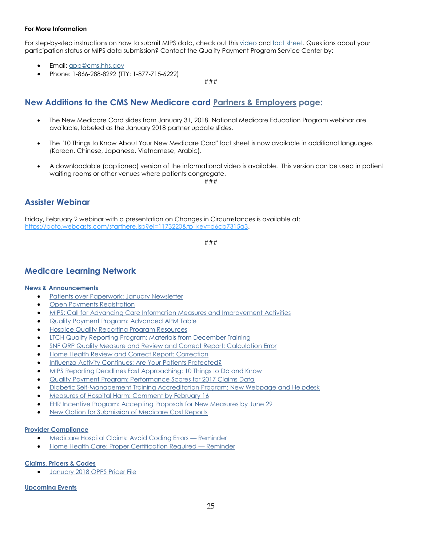### **For More Information**

For step-by-step instructions on how to submit MIPS data, check out this [video](http://links.govdelivery.com/track?type=click&enid=ZWFzPTEmbXNpZD0mYXVpZD0mbWFpbGluZ2lkPTIwMTgwMjA5Ljg1MTE2NDMxJm1lc3NhZ2VpZD1NREItUFJELUJVTC0yMDE4MDIwOS44NTExNjQzMSZkYXRhYmFzZWlkPTEwMDEmc2VyaWFsPTE4MjIxNzcyJmVtYWlsaWQ9bG9yZWxlaS5zY2hpZWZlcmRlY2tlckBjbXMuaGhzLmdvdiZ1c2VyaWQ9bG9yZWxlaS5zY2hpZWZlcmRlY2tlckBjbXMuaGhzLmdvdiZ0YXJnZXRpZD0mZmw9JmV4dHJhPU11bHRpdmFyaWF0ZUlkPSYmJg==&&&104&&&https://www.youtube.com/watch?v=q0Cvke6fnrg) an[d fact sheet.](http://links.govdelivery.com/track?type=click&enid=ZWFzPTEmbXNpZD0mYXVpZD0mbWFpbGluZ2lkPTIwMTgwMjA5Ljg1MTE2NDMxJm1lc3NhZ2VpZD1NREItUFJELUJVTC0yMDE4MDIwOS44NTExNjQzMSZkYXRhYmFzZWlkPTEwMDEmc2VyaWFsPTE4MjIxNzcyJmVtYWlsaWQ9bG9yZWxlaS5zY2hpZWZlcmRlY2tlckBjbXMuaGhzLmdvdiZ1c2VyaWQ9bG9yZWxlaS5zY2hpZWZlcmRlY2tlckBjbXMuaGhzLmdvdiZ0YXJnZXRpZD0mZmw9JmV4dHJhPU11bHRpdmFyaWF0ZUlkPSYmJg==&&&105&&&https://www.cms.gov/Medicare/Quality-Payment-Program/Resource-Library/QPP-2017-Data-Submission-Factsheet.pdf) Questions about your participation status or MIPS data submission? Contact the Quality Payment Program Service Center by:

- Email: [qpp@cms.hhs.gov](mailto:qpp@cms.hhs.gov)
- Phone: 1-866-288-8292 (TTY: 1-877-715-6222)

###

### <span id="page-24-0"></span>**New Additions to the CMS New Medicare card [Partners & Employers](https://www.cms.gov/Medicare/New-Medicare-Card/Partners-and-Employers/Partners-and-employers.html) page:**

- The New Medicare Card slides from January 31, 2018 National Medicare Education Program webinar are available, labeled as the January 2018 [partner update slides.](https://www.cms.gov/Medicare/New-Medicare-Card/Partners-and-Employers/NMC-Partner-Update-Jan-2018.PPTX)
- The "10 Things to Know About Your New Medicare Card" [fact sheet](https://www.medicare.gov/Pubs/pdf/12018-10-Things-To-Know-About-New-Medicare-Card.pdf) is now available in additional languages (Korean, Chinese, Japanese, Vietnamese, Arabic).
- A downloadable (captioned) version of the informational [video](https://adobe.ly/2FwHAA3) is available. This version can be used in patient waiting rooms or other venues where patients congregate.

###

### <span id="page-24-1"></span>**Assister Webinar**

Friday, February 2 webinar with a presentation on Changes in Circumstances is available at: [https://goto.webcasts.com/starthere.jsp?ei=1173220&tp\\_key=d6cb7315a3.](https://goto.webcasts.com/starthere.jsp?ei=1173220&tp_key=d6cb7315a3)

###

### <span id="page-24-2"></span>**Medicare Learning Network**

### **News & [Announcements](http://links.govdelivery.com/track?type=click&enid=ZWFzPTEmbXNpZD0mYXVpZD0mbWFpbGluZ2lkPTIwMTgwMTI1Ljg0Mjg3MTYxJm1lc3NhZ2VpZD1NREItUFJELUJVTC0yMDE4MDEyNS44NDI4NzE2MSZkYXRhYmFzZWlkPTEwMDEmc2VyaWFsPTE4MjA2MTkyJmVtYWlsaWQ9bG9yZWxlaS5zY2hpZWZlcmRlY2tlckBjbXMuaGhzLmdvdiZ1c2VyaWQ9bG9yZWxlaS5zY2hpZWZlcmRlY2tlckBjbXMuaGhzLmdvdiZ0YXJnZXRpZD0mZmw9JmV4dHJhPU11bHRpdmFyaWF0ZUlkPSYmJg==&&&101&&&https://www.cms.gov/Outreach-and-Education/Outreach/FFSProvPartProg/Provider-Partnership-Email-Archive-Items/2018-01-25-eNews.html?DLPage=1&DLEntries=10&DLSort=0&DLSortDir=descending#_Toc504548610)**

- **•** [Patients over Paperwork: January Newsletter](http://links.govdelivery.com/track?type=click&enid=ZWFzPTEmbXNpZD0mYXVpZD0mbWFpbGluZ2lkPTIwMTgwMjA4Ljg1MDQxMjIxJm1lc3NhZ2VpZD1NREItUFJELUJVTC0yMDE4MDIwOC44NTA0MTIyMSZkYXRhYmFzZWlkPTEwMDEmc2VyaWFsPTE4MjIwNDM5JmVtYWlsaWQ9bG9yZWxlaS5zY2hpZWZlcmRlY2tlckBjbXMuaGhzLmdvdiZ1c2VyaWQ9bG9yZWxlaS5zY2hpZWZlcmRlY2tlckBjbXMuaGhzLmdvdiZ0YXJnZXRpZD0mZmw9JmV4dHJhPU11bHRpdmFyaWF0ZUlkPSYmJg==&&&101&&&https://www.cms.gov/Outreach-and-Education/Outreach/FFSProvPartProg/Provider-Partnership-Email-Archive-Items/2018-02-08-eNews.html?DLPage=1&DLEntries=10&DLSort=0&DLSortDir=descending#_Toc505748837)
- [Open Payments Registration](http://links.govdelivery.com/track?type=click&enid=ZWFzPTEmbXNpZD0mYXVpZD0mbWFpbGluZ2lkPTIwMTgwMjA4Ljg1MDQxMjIxJm1lc3NhZ2VpZD1NREItUFJELUJVTC0yMDE4MDIwOC44NTA0MTIyMSZkYXRhYmFzZWlkPTEwMDEmc2VyaWFsPTE4MjIwNDM5JmVtYWlsaWQ9bG9yZWxlaS5zY2hpZWZlcmRlY2tlckBjbXMuaGhzLmdvdiZ1c2VyaWQ9bG9yZWxlaS5zY2hpZWZlcmRlY2tlckBjbXMuaGhzLmdvdiZ0YXJnZXRpZD0mZmw9JmV4dHJhPU11bHRpdmFyaWF0ZUlkPSYmJg==&&&102&&&https://www.cms.gov/Outreach-and-Education/Outreach/FFSProvPartProg/Provider-Partnership-Email-Archive-Items/2018-02-08-eNews.html?DLPage=1&DLEntries=10&DLSort=0&DLSortDir=descending#_Toc505748838)
- [MIPS: Call for Advancing Care Information Measures and Improvement Activities](http://links.govdelivery.com/track?type=click&enid=ZWFzPTEmbXNpZD0mYXVpZD0mbWFpbGluZ2lkPTIwMTgwMjA4Ljg1MDQxMjIxJm1lc3NhZ2VpZD1NREItUFJELUJVTC0yMDE4MDIwOC44NTA0MTIyMSZkYXRhYmFzZWlkPTEwMDEmc2VyaWFsPTE4MjIwNDM5JmVtYWlsaWQ9bG9yZWxlaS5zY2hpZWZlcmRlY2tlckBjbXMuaGhzLmdvdiZ1c2VyaWQ9bG9yZWxlaS5zY2hpZWZlcmRlY2tlckBjbXMuaGhzLmdvdiZ0YXJnZXRpZD0mZmw9JmV4dHJhPU11bHRpdmFyaWF0ZUlkPSYmJg==&&&103&&&https://www.cms.gov/Outreach-and-Education/Outreach/FFSProvPartProg/Provider-Partnership-Email-Archive-Items/2018-02-08-eNews.html?DLPage=1&DLEntries=10&DLSort=0&DLSortDir=descending#_Toc505748839)
- [Quality Payment Program: Advanced APM Table](http://links.govdelivery.com/track?type=click&enid=ZWFzPTEmbXNpZD0mYXVpZD0mbWFpbGluZ2lkPTIwMTgwMjA4Ljg1MDQxMjIxJm1lc3NhZ2VpZD1NREItUFJELUJVTC0yMDE4MDIwOC44NTA0MTIyMSZkYXRhYmFzZWlkPTEwMDEmc2VyaWFsPTE4MjIwNDM5JmVtYWlsaWQ9bG9yZWxlaS5zY2hpZWZlcmRlY2tlckBjbXMuaGhzLmdvdiZ1c2VyaWQ9bG9yZWxlaS5zY2hpZWZlcmRlY2tlckBjbXMuaGhzLmdvdiZ0YXJnZXRpZD0mZmw9JmV4dHJhPU11bHRpdmFyaWF0ZUlkPSYmJg==&&&104&&&https://www.cms.gov/Outreach-and-Education/Outreach/FFSProvPartProg/Provider-Partnership-Email-Archive-Items/2018-02-08-eNews.html?DLPage=1&DLEntries=10&DLSort=0&DLSortDir=descending#_Toc505748840)
- [Hospice Quality Reporting Program Resources](http://links.govdelivery.com/track?type=click&enid=ZWFzPTEmbXNpZD0mYXVpZD0mbWFpbGluZ2lkPTIwMTgwMjA4Ljg1MDQxMjIxJm1lc3NhZ2VpZD1NREItUFJELUJVTC0yMDE4MDIwOC44NTA0MTIyMSZkYXRhYmFzZWlkPTEwMDEmc2VyaWFsPTE4MjIwNDM5JmVtYWlsaWQ9bG9yZWxlaS5zY2hpZWZlcmRlY2tlckBjbXMuaGhzLmdvdiZ1c2VyaWQ9bG9yZWxlaS5zY2hpZWZlcmRlY2tlckBjbXMuaGhzLmdvdiZ0YXJnZXRpZD0mZmw9JmV4dHJhPU11bHRpdmFyaWF0ZUlkPSYmJg==&&&105&&&https://www.cms.gov/Outreach-and-Education/Outreach/FFSProvPartProg/Provider-Partnership-Email-Archive-Items/2018-02-08-eNews.html?DLPage=1&DLEntries=10&DLSort=0&DLSortDir=descending#_Toc505748841)
- [LTCH Quality Reporting Program: Materials from December Training](http://links.govdelivery.com/track?type=click&enid=ZWFzPTEmbXNpZD0mYXVpZD0mbWFpbGluZ2lkPTIwMTgwMjA4Ljg1MDQxMjIxJm1lc3NhZ2VpZD1NREItUFJELUJVTC0yMDE4MDIwOC44NTA0MTIyMSZkYXRhYmFzZWlkPTEwMDEmc2VyaWFsPTE4MjIwNDM5JmVtYWlsaWQ9bG9yZWxlaS5zY2hpZWZlcmRlY2tlckBjbXMuaGhzLmdvdiZ1c2VyaWQ9bG9yZWxlaS5zY2hpZWZlcmRlY2tlckBjbXMuaGhzLmdvdiZ0YXJnZXRpZD0mZmw9JmV4dHJhPU11bHRpdmFyaWF0ZUlkPSYmJg==&&&106&&&https://www.cms.gov/Outreach-and-Education/Outreach/FFSProvPartProg/Provider-Partnership-Email-Archive-Items/2018-02-08-eNews.html?DLPage=1&DLEntries=10&DLSort=0&DLSortDir=descending#_Toc505748842)
- [SNF QRP Quality Measure and Review and Correct Report: Calculation Error](http://links.govdelivery.com/track?type=click&enid=ZWFzPTEmbXNpZD0mYXVpZD0mbWFpbGluZ2lkPTIwMTgwMjA4Ljg1MDQxMjIxJm1lc3NhZ2VpZD1NREItUFJELUJVTC0yMDE4MDIwOC44NTA0MTIyMSZkYXRhYmFzZWlkPTEwMDEmc2VyaWFsPTE4MjIwNDM5JmVtYWlsaWQ9bG9yZWxlaS5zY2hpZWZlcmRlY2tlckBjbXMuaGhzLmdvdiZ1c2VyaWQ9bG9yZWxlaS5zY2hpZWZlcmRlY2tlckBjbXMuaGhzLmdvdiZ0YXJnZXRpZD0mZmw9JmV4dHJhPU11bHRpdmFyaWF0ZUlkPSYmJg==&&&107&&&https://www.cms.gov/Outreach-and-Education/Outreach/FFSProvPartProg/Provider-Partnership-Email-Archive-Items/2018-02-08-eNews.html?DLPage=1&DLEntries=10&DLSort=0&DLSortDir=descending#_Toc505748843)
- [Home Health Review and Correct Report: Correction](http://links.govdelivery.com/track?type=click&enid=ZWFzPTEmbXNpZD0mYXVpZD0mbWFpbGluZ2lkPTIwMTgwMjA4Ljg1MDQxMjIxJm1lc3NhZ2VpZD1NREItUFJELUJVTC0yMDE4MDIwOC44NTA0MTIyMSZkYXRhYmFzZWlkPTEwMDEmc2VyaWFsPTE4MjIwNDM5JmVtYWlsaWQ9bG9yZWxlaS5zY2hpZWZlcmRlY2tlckBjbXMuaGhzLmdvdiZ1c2VyaWQ9bG9yZWxlaS5zY2hpZWZlcmRlY2tlckBjbXMuaGhzLmdvdiZ0YXJnZXRpZD0mZmw9JmV4dHJhPU11bHRpdmFyaWF0ZUlkPSYmJg==&&&108&&&https://www.cms.gov/Outreach-and-Education/Outreach/FFSProvPartProg/Provider-Partnership-Email-Archive-Items/2018-02-08-eNews.html?DLPage=1&DLEntries=10&DLSort=0&DLSortDir=descending#_Toc505748844)
- [Influenza Activity Continues: Are Your Patients Protected?](http://links.govdelivery.com/track?type=click&enid=ZWFzPTEmbXNpZD0mYXVpZD0mbWFpbGluZ2lkPTIwMTgwMjA4Ljg1MDQxMjIxJm1lc3NhZ2VpZD1NREItUFJELUJVTC0yMDE4MDIwOC44NTA0MTIyMSZkYXRhYmFzZWlkPTEwMDEmc2VyaWFsPTE4MjIwNDM5JmVtYWlsaWQ9bG9yZWxlaS5zY2hpZWZlcmRlY2tlckBjbXMuaGhzLmdvdiZ1c2VyaWQ9bG9yZWxlaS5zY2hpZWZlcmRlY2tlckBjbXMuaGhzLmdvdiZ0YXJnZXRpZD0mZmw9JmV4dHJhPU11bHRpdmFyaWF0ZUlkPSYmJg==&&&109&&&https://www.cms.gov/Outreach-and-Education/Outreach/FFSProvPartProg/Provider-Partnership-Email-Archive-Items/2018-02-08-eNews.html?DLPage=1&DLEntries=10&DLSort=0&DLSortDir=descending#_Toc505748845)
- [MIPS Reporting Deadlines Fast Approaching: 10 Things to Do and Know](http://links.govdelivery.com/track?type=click&enid=ZWFzPTEmbXNpZD0mYXVpZD0mbWFpbGluZ2lkPTIwMTgwMjE1Ljg1NDI1NjcxJm1lc3NhZ2VpZD1NREItUFJELUJVTC0yMDE4MDIxNS44NTQyNTY3MSZkYXRhYmFzZWlkPTEwMDEmc2VyaWFsPTE4MjI4MzU1JmVtYWlsaWQ9bG9yZWxlaS5zY2hpZWZlcmRlY2tlckBjbXMuaGhzLmdvdiZ1c2VyaWQ9bG9yZWxlaS5zY2hpZWZlcmRlY2tlckBjbXMuaGhzLmdvdiZ0YXJnZXRpZD0mZmw9JmV4dHJhPU11bHRpdmFyaWF0ZUlkPSYmJg==&&&102&&&https://www.cms.gov/Outreach-and-Education/Outreach/FFSProvPartProg/Provider-Partnership-Email-Archive-Items/2018-02-15-eNews.html?DLPage=1&DLEntries=10&DLSort=0&DLSortDir=descending#_Toc506304509)
- [Quality Payment Program: Performance Scores for 2017 Claims Data](http://links.govdelivery.com/track?type=click&enid=ZWFzPTEmbXNpZD0mYXVpZD0mbWFpbGluZ2lkPTIwMTgwMjE1Ljg1NDI1NjcxJm1lc3NhZ2VpZD1NREItUFJELUJVTC0yMDE4MDIxNS44NTQyNTY3MSZkYXRhYmFzZWlkPTEwMDEmc2VyaWFsPTE4MjI4MzU1JmVtYWlsaWQ9bG9yZWxlaS5zY2hpZWZlcmRlY2tlckBjbXMuaGhzLmdvdiZ1c2VyaWQ9bG9yZWxlaS5zY2hpZWZlcmRlY2tlckBjbXMuaGhzLmdvdiZ0YXJnZXRpZD0mZmw9JmV4dHJhPU11bHRpdmFyaWF0ZUlkPSYmJg==&&&103&&&https://www.cms.gov/Outreach-and-Education/Outreach/FFSProvPartProg/Provider-Partnership-Email-Archive-Items/2018-02-15-eNews.html?DLPage=1&DLEntries=10&DLSort=0&DLSortDir=descending#_Toc506304510)
- [Diabetic Self-Management Training Accreditation Program: New Webpage and Helpdesk](http://links.govdelivery.com/track?type=click&enid=ZWFzPTEmbXNpZD0mYXVpZD0mbWFpbGluZ2lkPTIwMTgwMjE1Ljg1NDI1NjcxJm1lc3NhZ2VpZD1NREItUFJELUJVTC0yMDE4MDIxNS44NTQyNTY3MSZkYXRhYmFzZWlkPTEwMDEmc2VyaWFsPTE4MjI4MzU1JmVtYWlsaWQ9bG9yZWxlaS5zY2hpZWZlcmRlY2tlckBjbXMuaGhzLmdvdiZ1c2VyaWQ9bG9yZWxlaS5zY2hpZWZlcmRlY2tlckBjbXMuaGhzLmdvdiZ0YXJnZXRpZD0mZmw9JmV4dHJhPU11bHRpdmFyaWF0ZUlkPSYmJg==&&&104&&&https://www.cms.gov/Outreach-and-Education/Outreach/FFSProvPartProg/Provider-Partnership-Email-Archive-Items/2018-02-15-eNews.html?DLPage=1&DLEntries=10&DLSort=0&DLSortDir=descending#_Toc506304511)
- [Measures of Hospital Harm: Comment by February 16](http://links.govdelivery.com/track?type=click&enid=ZWFzPTEmbXNpZD0mYXVpZD0mbWFpbGluZ2lkPTIwMTgwMjE1Ljg1NDI1NjcxJm1lc3NhZ2VpZD1NREItUFJELUJVTC0yMDE4MDIxNS44NTQyNTY3MSZkYXRhYmFzZWlkPTEwMDEmc2VyaWFsPTE4MjI4MzU1JmVtYWlsaWQ9bG9yZWxlaS5zY2hpZWZlcmRlY2tlckBjbXMuaGhzLmdvdiZ1c2VyaWQ9bG9yZWxlaS5zY2hpZWZlcmRlY2tlckBjbXMuaGhzLmdvdiZ0YXJnZXRpZD0mZmw9JmV4dHJhPU11bHRpdmFyaWF0ZUlkPSYmJg==&&&105&&&https://www.cms.gov/Outreach-and-Education/Outreach/FFSProvPartProg/Provider-Partnership-Email-Archive-Items/2018-02-15-eNews.html?DLPage=1&DLEntries=10&DLSort=0&DLSortDir=descending#_Toc506304512)
- [EHR Incentive Program: Accepting Proposals for New Measures by June 29](http://links.govdelivery.com/track?type=click&enid=ZWFzPTEmbXNpZD0mYXVpZD0mbWFpbGluZ2lkPTIwMTgwMjE1Ljg1NDI1NjcxJm1lc3NhZ2VpZD1NREItUFJELUJVTC0yMDE4MDIxNS44NTQyNTY3MSZkYXRhYmFzZWlkPTEwMDEmc2VyaWFsPTE4MjI4MzU1JmVtYWlsaWQ9bG9yZWxlaS5zY2hpZWZlcmRlY2tlckBjbXMuaGhzLmdvdiZ1c2VyaWQ9bG9yZWxlaS5zY2hpZWZlcmRlY2tlckBjbXMuaGhzLmdvdiZ0YXJnZXRpZD0mZmw9JmV4dHJhPU11bHRpdmFyaWF0ZUlkPSYmJg==&&&106&&&https://www.cms.gov/Outreach-and-Education/Outreach/FFSProvPartProg/Provider-Partnership-Email-Archive-Items/2018-02-15-eNews.html?DLPage=1&DLEntries=10&DLSort=0&DLSortDir=descending#_Toc506304513)
- [New Option for Submission of Medicare Cost Reports](http://links.govdelivery.com/track?type=click&enid=ZWFzPTEmbXNpZD0mYXVpZD0mbWFpbGluZ2lkPTIwMTgwMjE1Ljg1NDI1NjcxJm1lc3NhZ2VpZD1NREItUFJELUJVTC0yMDE4MDIxNS44NTQyNTY3MSZkYXRhYmFzZWlkPTEwMDEmc2VyaWFsPTE4MjI4MzU1JmVtYWlsaWQ9bG9yZWxlaS5zY2hpZWZlcmRlY2tlckBjbXMuaGhzLmdvdiZ1c2VyaWQ9bG9yZWxlaS5zY2hpZWZlcmRlY2tlckBjbXMuaGhzLmdvdiZ0YXJnZXRpZD0mZmw9JmV4dHJhPU11bHRpdmFyaWF0ZUlkPSYmJg==&&&107&&&https://www.cms.gov/Outreach-and-Education/Outreach/FFSProvPartProg/Provider-Partnership-Email-Archive-Items/2018-02-15-eNews.html?DLPage=1&DLEntries=10&DLSort=0&DLSortDir=descending#_Toc506304514)

#### **[Provider Compliance](http://links.govdelivery.com/track?type=click&enid=ZWFzPTEmbXNpZD0mYXVpZD0mbWFpbGluZ2lkPTIwMTgwMTI1Ljg0Mjg3MTYxJm1lc3NhZ2VpZD1NREItUFJELUJVTC0yMDE4MDEyNS44NDI4NzE2MSZkYXRhYmFzZWlkPTEwMDEmc2VyaWFsPTE4MjA2MTkyJmVtYWlsaWQ9bG9yZWxlaS5zY2hpZWZlcmRlY2tlckBjbXMuaGhzLmdvdiZ1c2VyaWQ9bG9yZWxlaS5zY2hpZWZlcmRlY2tlckBjbXMuaGhzLmdvdiZ0YXJnZXRpZD0mZmw9JmV4dHJhPU11bHRpdmFyaWF0ZUlkPSYmJg==&&&110&&&https://www.cms.gov/Outreach-and-Education/Outreach/FFSProvPartProg/Provider-Partnership-Email-Archive-Items/2018-01-25-eNews.html?DLPage=1&DLEntries=10&DLSort=0&DLSortDir=descending#_Toc504548619)**

- [Medicare Hospital Claims: Avoid Coding Errors](http://links.govdelivery.com/track?type=click&enid=ZWFzPTEmbXNpZD0mYXVpZD0mbWFpbGluZ2lkPTIwMTgwMjA4Ljg1MDQxMjIxJm1lc3NhZ2VpZD1NREItUFJELUJVTC0yMDE4MDIwOC44NTA0MTIyMSZkYXRhYmFzZWlkPTEwMDEmc2VyaWFsPTE4MjIwNDM5JmVtYWlsaWQ9bG9yZWxlaS5zY2hpZWZlcmRlY2tlckBjbXMuaGhzLmdvdiZ1c2VyaWQ9bG9yZWxlaS5zY2hpZWZlcmRlY2tlckBjbXMuaGhzLmdvdiZ0YXJnZXRpZD0mZmw9JmV4dHJhPU11bHRpdmFyaWF0ZUlkPSYmJg==&&&111&&&https://www.cms.gov/Outreach-and-Education/Outreach/FFSProvPartProg/Provider-Partnership-Email-Archive-Items/2018-02-08-eNews.html?DLPage=1&DLEntries=10&DLSort=0&DLSortDir=descending#_Toc505748847)  Reminder
- [Home Health Care: Proper Certification Required](http://links.govdelivery.com/track?type=click&enid=ZWFzPTEmbXNpZD0mYXVpZD0mbWFpbGluZ2lkPTIwMTgwMjE1Ljg1NDI1NjcxJm1lc3NhZ2VpZD1NREItUFJELUJVTC0yMDE4MDIxNS44NTQyNTY3MSZkYXRhYmFzZWlkPTEwMDEmc2VyaWFsPTE4MjI4MzU1JmVtYWlsaWQ9bG9yZWxlaS5zY2hpZWZlcmRlY2tlckBjbXMuaGhzLmdvdiZ1c2VyaWQ9bG9yZWxlaS5zY2hpZWZlcmRlY2tlckBjbXMuaGhzLmdvdiZ0YXJnZXRpZD0mZmw9JmV4dHJhPU11bHRpdmFyaWF0ZUlkPSYmJg==&&&109&&&https://www.cms.gov/Outreach-and-Education/Outreach/FFSProvPartProg/Provider-Partnership-Email-Archive-Items/2018-02-15-eNews.html?DLPage=1&DLEntries=10&DLSort=0&DLSortDir=descending#_Toc506304516)  Reminder

#### **[Claims, Pricers & Codes](http://links.govdelivery.com/track?type=click&enid=ZWFzPTEmbXNpZD0mYXVpZD0mbWFpbGluZ2lkPTIwMTgwMjE1Ljg1NDI1NjcxJm1lc3NhZ2VpZD1NREItUFJELUJVTC0yMDE4MDIxNS44NTQyNTY3MSZkYXRhYmFzZWlkPTEwMDEmc2VyaWFsPTE4MjI4MzU1JmVtYWlsaWQ9bG9yZWxlaS5zY2hpZWZlcmRlY2tlckBjbXMuaGhzLmdvdiZ1c2VyaWQ9bG9yZWxlaS5zY2hpZWZlcmRlY2tlckBjbXMuaGhzLmdvdiZ0YXJnZXRpZD0mZmw9JmV4dHJhPU11bHRpdmFyaWF0ZUlkPSYmJg==&&&110&&&https://www.cms.gov/Outreach-and-Education/Outreach/FFSProvPartProg/Provider-Partnership-Email-Archive-Items/2018-02-15-eNews.html?DLPage=1&DLEntries=10&DLSort=0&DLSortDir=descending#_Toc506304517)**

[January 2018 OPPS Pricer File](http://links.govdelivery.com/track?type=click&enid=ZWFzPTEmbXNpZD0mYXVpZD0mbWFpbGluZ2lkPTIwMTgwMjE1Ljg1NDI1NjcxJm1lc3NhZ2VpZD1NREItUFJELUJVTC0yMDE4MDIxNS44NTQyNTY3MSZkYXRhYmFzZWlkPTEwMDEmc2VyaWFsPTE4MjI4MzU1JmVtYWlsaWQ9bG9yZWxlaS5zY2hpZWZlcmRlY2tlckBjbXMuaGhzLmdvdiZ1c2VyaWQ9bG9yZWxlaS5zY2hpZWZlcmRlY2tlckBjbXMuaGhzLmdvdiZ0YXJnZXRpZD0mZmw9JmV4dHJhPU11bHRpdmFyaWF0ZUlkPSYmJg==&&&111&&&https://www.cms.gov/Outreach-and-Education/Outreach/FFSProvPartProg/Provider-Partnership-Email-Archive-Items/2018-02-15-eNews.html?DLPage=1&DLEntries=10&DLSort=0&DLSortDir=descending#_Toc506304518)

#### **[Upcoming Events](http://links.govdelivery.com/track?type=click&enid=ZWFzPTEmbXNpZD0mYXVpZD0mbWFpbGluZ2lkPTIwMTgwMTI1Ljg0Mjg3MTYxJm1lc3NhZ2VpZD1NREItUFJELUJVTC0yMDE4MDEyNS44NDI4NzE2MSZkYXRhYmFzZWlkPTEwMDEmc2VyaWFsPTE4MjA2MTkyJmVtYWlsaWQ9bG9yZWxlaS5zY2hpZWZlcmRlY2tlckBjbXMuaGhzLmdvdiZ1c2VyaWQ9bG9yZWxlaS5zY2hpZWZlcmRlY2tlckBjbXMuaGhzLmdvdiZ0YXJnZXRpZD0mZmw9JmV4dHJhPU11bHRpdmFyaWF0ZUlkPSYmJg==&&&112&&&https://www.cms.gov/Outreach-and-Education/Outreach/FFSProvPartProg/Provider-Partnership-Email-Archive-Items/2018-01-25-eNews.html?DLPage=1&DLEntries=10&DLSort=0&DLSortDir=descending#_Toc504548621)**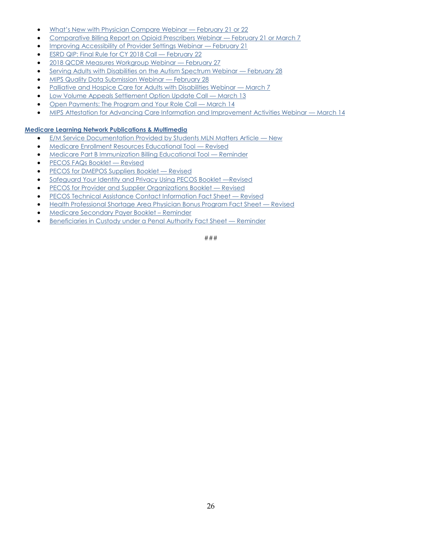- [What's New with Physician Compare Webinar —](http://links.govdelivery.com/track?type=click&enid=ZWFzPTEmbXNpZD0mYXVpZD0mbWFpbGluZ2lkPTIwMTgwMjA4Ljg1MDQxMjIxJm1lc3NhZ2VpZD1NREItUFJELUJVTC0yMDE4MDIwOC44NTA0MTIyMSZkYXRhYmFzZWlkPTEwMDEmc2VyaWFsPTE4MjIwNDM5JmVtYWlsaWQ9bG9yZWxlaS5zY2hpZWZlcmRlY2tlckBjbXMuaGhzLmdvdiZ1c2VyaWQ9bG9yZWxlaS5zY2hpZWZlcmRlY2tlckBjbXMuaGhzLmdvdiZ0YXJnZXRpZD0mZmw9JmV4dHJhPU11bHRpdmFyaWF0ZUlkPSYmJg==&&&114&&&https://www.cms.gov/Outreach-and-Education/Outreach/FFSProvPartProg/Provider-Partnership-Email-Archive-Items/2018-02-08-eNews.html?DLPage=1&DLEntries=10&DLSort=0&DLSortDir=descending#_Toc505748850) February 21 or 22
- [Comparative Billing Report on Opioid Prescribers Webinar](http://links.govdelivery.com/track?type=click&enid=ZWFzPTEmbXNpZD0mYXVpZD0mbWFpbGluZ2lkPTIwMTgwMjA4Ljg1MDQxMjIxJm1lc3NhZ2VpZD1NREItUFJELUJVTC0yMDE4MDIwOC44NTA0MTIyMSZkYXRhYmFzZWlkPTEwMDEmc2VyaWFsPTE4MjIwNDM5JmVtYWlsaWQ9bG9yZWxlaS5zY2hpZWZlcmRlY2tlckBjbXMuaGhzLmdvdiZ1c2VyaWQ9bG9yZWxlaS5zY2hpZWZlcmRlY2tlckBjbXMuaGhzLmdvdiZ0YXJnZXRpZD0mZmw9JmV4dHJhPU11bHRpdmFyaWF0ZUlkPSYmJg==&&&115&&&https://www.cms.gov/Outreach-and-Education/Outreach/FFSProvPartProg/Provider-Partnership-Email-Archive-Items/2018-02-08-eNews.html?DLPage=1&DLEntries=10&DLSort=0&DLSortDir=descending#_Toc505748851)  February 21 or March 7
- [Improving Accessibility of Provider Settings Webinar](http://links.govdelivery.com/track?type=click&enid=ZWFzPTEmbXNpZD0mYXVpZD0mbWFpbGluZ2lkPTIwMTgwMjE1Ljg1NDI1NjcxJm1lc3NhZ2VpZD1NREItUFJELUJVTC0yMDE4MDIxNS44NTQyNTY3MSZkYXRhYmFzZWlkPTEwMDEmc2VyaWFsPTE4MjI4MzU1JmVtYWlsaWQ9bG9yZWxlaS5zY2hpZWZlcmRlY2tlckBjbXMuaGhzLmdvdiZ1c2VyaWQ9bG9yZWxlaS5zY2hpZWZlcmRlY2tlckBjbXMuaGhzLmdvdiZ0YXJnZXRpZD0mZmw9JmV4dHJhPU11bHRpdmFyaWF0ZUlkPSYmJg==&&&113&&&https://www.cms.gov/Outreach-and-Education/Outreach/FFSProvPartProg/Provider-Partnership-Email-Archive-Items/2018-02-15-eNews.html?DLPage=1&DLEntries=10&DLSort=0&DLSortDir=descending#_Toc506304520)  February 21
- [ESRD QIP: Final Rule for CY 2018 Call](http://links.govdelivery.com/track?type=click&enid=ZWFzPTEmbXNpZD0mYXVpZD0mbWFpbGluZ2lkPTIwMTgwMjE1Ljg1NDI1NjcxJm1lc3NhZ2VpZD1NREItUFJELUJVTC0yMDE4MDIxNS44NTQyNTY3MSZkYXRhYmFzZWlkPTEwMDEmc2VyaWFsPTE4MjI4MzU1JmVtYWlsaWQ9bG9yZWxlaS5zY2hpZWZlcmRlY2tlckBjbXMuaGhzLmdvdiZ1c2VyaWQ9bG9yZWxlaS5zY2hpZWZlcmRlY2tlckBjbXMuaGhzLmdvdiZ0YXJnZXRpZD0mZmw9JmV4dHJhPU11bHRpdmFyaWF0ZUlkPSYmJg==&&&114&&&https://www.cms.gov/Outreach-and-Education/Outreach/FFSProvPartProg/Provider-Partnership-Email-Archive-Items/2018-02-15-eNews.html?DLPage=1&DLEntries=10&DLSort=0&DLSortDir=descending#_Toc506304521)  February 22
- [2018 QCDR Measures Workgroup Webinar](http://links.govdelivery.com/track?type=click&enid=ZWFzPTEmbXNpZD0mYXVpZD0mbWFpbGluZ2lkPTIwMTgwMjE1Ljg1NDI1NjcxJm1lc3NhZ2VpZD1NREItUFJELUJVTC0yMDE4MDIxNS44NTQyNTY3MSZkYXRhYmFzZWlkPTEwMDEmc2VyaWFsPTE4MjI4MzU1JmVtYWlsaWQ9bG9yZWxlaS5zY2hpZWZlcmRlY2tlckBjbXMuaGhzLmdvdiZ1c2VyaWQ9bG9yZWxlaS5zY2hpZWZlcmRlY2tlckBjbXMuaGhzLmdvdiZ0YXJnZXRpZD0mZmw9JmV4dHJhPU11bHRpdmFyaWF0ZUlkPSYmJg==&&&115&&&https://www.cms.gov/Outreach-and-Education/Outreach/FFSProvPartProg/Provider-Partnership-Email-Archive-Items/2018-02-15-eNews.html?DLPage=1&DLEntries=10&DLSort=0&DLSortDir=descending#_Toc506304522)  February 27
- [Serving Adults with Disabilities on the Autism Spectrum Webinar](http://links.govdelivery.com/track?type=click&enid=ZWFzPTEmbXNpZD0mYXVpZD0mbWFpbGluZ2lkPTIwMTgwMjE1Ljg1NDI1NjcxJm1lc3NhZ2VpZD1NREItUFJELUJVTC0yMDE4MDIxNS44NTQyNTY3MSZkYXRhYmFzZWlkPTEwMDEmc2VyaWFsPTE4MjI4MzU1JmVtYWlsaWQ9bG9yZWxlaS5zY2hpZWZlcmRlY2tlckBjbXMuaGhzLmdvdiZ1c2VyaWQ9bG9yZWxlaS5zY2hpZWZlcmRlY2tlckBjbXMuaGhzLmdvdiZ0YXJnZXRpZD0mZmw9JmV4dHJhPU11bHRpdmFyaWF0ZUlkPSYmJg==&&&116&&&https://www.cms.gov/Outreach-and-Education/Outreach/FFSProvPartProg/Provider-Partnership-Email-Archive-Items/2018-02-15-eNews.html?DLPage=1&DLEntries=10&DLSort=0&DLSortDir=descending#_Toc506304523)  February 28
- [MIPS Quality Data Submission Webinar](http://links.govdelivery.com/track?type=click&enid=ZWFzPTEmbXNpZD0mYXVpZD0mbWFpbGluZ2lkPTIwMTgwMjE1Ljg1NDI1NjcxJm1lc3NhZ2VpZD1NREItUFJELUJVTC0yMDE4MDIxNS44NTQyNTY3MSZkYXRhYmFzZWlkPTEwMDEmc2VyaWFsPTE4MjI4MzU1JmVtYWlsaWQ9bG9yZWxlaS5zY2hpZWZlcmRlY2tlckBjbXMuaGhzLmdvdiZ1c2VyaWQ9bG9yZWxlaS5zY2hpZWZlcmRlY2tlckBjbXMuaGhzLmdvdiZ0YXJnZXRpZD0mZmw9JmV4dHJhPU11bHRpdmFyaWF0ZUlkPSYmJg==&&&117&&&https://www.cms.gov/Outreach-and-Education/Outreach/FFSProvPartProg/Provider-Partnership-Email-Archive-Items/2018-02-15-eNews.html?DLPage=1&DLEntries=10&DLSort=0&DLSortDir=descending#_Toc506304524)  February 28
- [Palliative and Hospice Care for Adults with Disabilities Webinar](http://links.govdelivery.com/track?type=click&enid=ZWFzPTEmbXNpZD0mYXVpZD0mbWFpbGluZ2lkPTIwMTgwMjE1Ljg1NDI1NjcxJm1lc3NhZ2VpZD1NREItUFJELUJVTC0yMDE4MDIxNS44NTQyNTY3MSZkYXRhYmFzZWlkPTEwMDEmc2VyaWFsPTE4MjI4MzU1JmVtYWlsaWQ9bG9yZWxlaS5zY2hpZWZlcmRlY2tlckBjbXMuaGhzLmdvdiZ1c2VyaWQ9bG9yZWxlaS5zY2hpZWZlcmRlY2tlckBjbXMuaGhzLmdvdiZ0YXJnZXRpZD0mZmw9JmV4dHJhPU11bHRpdmFyaWF0ZUlkPSYmJg==&&&118&&&https://www.cms.gov/Outreach-and-Education/Outreach/FFSProvPartProg/Provider-Partnership-Email-Archive-Items/2018-02-15-eNews.html?DLPage=1&DLEntries=10&DLSort=0&DLSortDir=descending#_Toc506304525)  March 7
- [Low Volume Appeals Settlement Option Update Call](http://links.govdelivery.com/track?type=click&enid=ZWFzPTEmbXNpZD0mYXVpZD0mbWFpbGluZ2lkPTIwMTgwMjE1Ljg1NDI1NjcxJm1lc3NhZ2VpZD1NREItUFJELUJVTC0yMDE4MDIxNS44NTQyNTY3MSZkYXRhYmFzZWlkPTEwMDEmc2VyaWFsPTE4MjI4MzU1JmVtYWlsaWQ9bG9yZWxlaS5zY2hpZWZlcmRlY2tlckBjbXMuaGhzLmdvdiZ1c2VyaWQ9bG9yZWxlaS5zY2hpZWZlcmRlY2tlckBjbXMuaGhzLmdvdiZ0YXJnZXRpZD0mZmw9JmV4dHJhPU11bHRpdmFyaWF0ZUlkPSYmJg==&&&119&&&https://www.cms.gov/Outreach-and-Education/Outreach/FFSProvPartProg/Provider-Partnership-Email-Archive-Items/2018-02-15-eNews.html?DLPage=1&DLEntries=10&DLSort=0&DLSortDir=descending#_Toc506304526)  March 13
- [Open Payments: The Program and Your Role Call](http://links.govdelivery.com/track?type=click&enid=ZWFzPTEmbXNpZD0mYXVpZD0mbWFpbGluZ2lkPTIwMTgwMjE1Ljg1NDI1NjcxJm1lc3NhZ2VpZD1NREItUFJELUJVTC0yMDE4MDIxNS44NTQyNTY3MSZkYXRhYmFzZWlkPTEwMDEmc2VyaWFsPTE4MjI4MzU1JmVtYWlsaWQ9bG9yZWxlaS5zY2hpZWZlcmRlY2tlckBjbXMuaGhzLmdvdiZ1c2VyaWQ9bG9yZWxlaS5zY2hpZWZlcmRlY2tlckBjbXMuaGhzLmdvdiZ0YXJnZXRpZD0mZmw9JmV4dHJhPU11bHRpdmFyaWF0ZUlkPSYmJg==&&&120&&&https://www.cms.gov/Outreach-and-Education/Outreach/FFSProvPartProg/Provider-Partnership-Email-Archive-Items/2018-02-15-eNews.html?DLPage=1&DLEntries=10&DLSort=0&DLSortDir=descending#_Toc506304527)  March 14
- [MIPS Attestation for Advancing Care Information and Improvement Activities Webinar](http://links.govdelivery.com/track?type=click&enid=ZWFzPTEmbXNpZD0mYXVpZD0mbWFpbGluZ2lkPTIwMTgwMjE1Ljg1NDI1NjcxJm1lc3NhZ2VpZD1NREItUFJELUJVTC0yMDE4MDIxNS44NTQyNTY3MSZkYXRhYmFzZWlkPTEwMDEmc2VyaWFsPTE4MjI4MzU1JmVtYWlsaWQ9bG9yZWxlaS5zY2hpZWZlcmRlY2tlckBjbXMuaGhzLmdvdiZ1c2VyaWQ9bG9yZWxlaS5zY2hpZWZlcmRlY2tlckBjbXMuaGhzLmdvdiZ0YXJnZXRpZD0mZmw9JmV4dHJhPU11bHRpdmFyaWF0ZUlkPSYmJg==&&&121&&&https://www.cms.gov/Outreach-and-Education/Outreach/FFSProvPartProg/Provider-Partnership-Email-Archive-Items/2018-02-15-eNews.html?DLPage=1&DLEntries=10&DLSort=0&DLSortDir=descending#_Toc506304528)  March 14

### **[Medicare Learning Network Publications & Multimedia](http://links.govdelivery.com/track?type=click&enid=ZWFzPTEmbXNpZD0mYXVpZD0mbWFpbGluZ2lkPTIwMTgwMTI1Ljg0Mjg3MTYxJm1lc3NhZ2VpZD1NREItUFJELUJVTC0yMDE4MDEyNS44NDI4NzE2MSZkYXRhYmFzZWlkPTEwMDEmc2VyaWFsPTE4MjA2MTkyJmVtYWlsaWQ9bG9yZWxlaS5zY2hpZWZlcmRlY2tlckBjbXMuaGhzLmdvdiZ1c2VyaWQ9bG9yZWxlaS5zY2hpZWZlcmRlY2tlckBjbXMuaGhzLmdvdiZ0YXJnZXRpZD0mZmw9JmV4dHJhPU11bHRpdmFyaWF0ZUlkPSYmJg==&&&115&&&https://www.cms.gov/Outreach-and-Education/Outreach/FFSProvPartProg/Provider-Partnership-Email-Archive-Items/2018-01-25-eNews.html?DLPage=1&DLEntries=10&DLSort=0&DLSortDir=descending#_Toc504548624)**

- [E/M Service Documentation Provided by Students MLN Matters Article](http://links.govdelivery.com/track?type=click&enid=ZWFzPTEmbXNpZD0mYXVpZD0mbWFpbGluZ2lkPTIwMTgwMjA4Ljg1MDQxMjIxJm1lc3NhZ2VpZD1NREItUFJELUJVTC0yMDE4MDIwOC44NTA0MTIyMSZkYXRhYmFzZWlkPTEwMDEmc2VyaWFsPTE4MjIwNDM5JmVtYWlsaWQ9bG9yZWxlaS5zY2hpZWZlcmRlY2tlckBjbXMuaGhzLmdvdiZ1c2VyaWQ9bG9yZWxlaS5zY2hpZWZlcmRlY2tlckBjbXMuaGhzLmdvdiZ0YXJnZXRpZD0mZmw9JmV4dHJhPU11bHRpdmFyaWF0ZUlkPSYmJg==&&&118&&&https://www.cms.gov/Outreach-and-Education/Outreach/FFSProvPartProg/Provider-Partnership-Email-Archive-Items/2018-02-08-eNews.html?DLPage=1&DLEntries=10&DLSort=0&DLSortDir=descending#_Toc505748854)  New
- [Medicare Enrollment Resources Educational Tool](http://links.govdelivery.com/track?type=click&enid=ZWFzPTEmbXNpZD0mYXVpZD0mbWFpbGluZ2lkPTIwMTgwMjA4Ljg1MDQxMjIxJm1lc3NhZ2VpZD1NREItUFJELUJVTC0yMDE4MDIwOC44NTA0MTIyMSZkYXRhYmFzZWlkPTEwMDEmc2VyaWFsPTE4MjIwNDM5JmVtYWlsaWQ9bG9yZWxlaS5zY2hpZWZlcmRlY2tlckBjbXMuaGhzLmdvdiZ1c2VyaWQ9bG9yZWxlaS5zY2hpZWZlcmRlY2tlckBjbXMuaGhzLmdvdiZ0YXJnZXRpZD0mZmw9JmV4dHJhPU11bHRpdmFyaWF0ZUlkPSYmJg==&&&119&&&https://www.cms.gov/Outreach-and-Education/Outreach/FFSProvPartProg/Provider-Partnership-Email-Archive-Items/2018-02-08-eNews.html?DLPage=1&DLEntries=10&DLSort=0&DLSortDir=descending#_Toc505748855)  Revised
- [Medicare Part B Immunization Billing Educational Tool](http://links.govdelivery.com/track?type=click&enid=ZWFzPTEmbXNpZD0mYXVpZD0mbWFpbGluZ2lkPTIwMTgwMjA4Ljg1MDQxMjIxJm1lc3NhZ2VpZD1NREItUFJELUJVTC0yMDE4MDIwOC44NTA0MTIyMSZkYXRhYmFzZWlkPTEwMDEmc2VyaWFsPTE4MjIwNDM5JmVtYWlsaWQ9bG9yZWxlaS5zY2hpZWZlcmRlY2tlckBjbXMuaGhzLmdvdiZ1c2VyaWQ9bG9yZWxlaS5zY2hpZWZlcmRlY2tlckBjbXMuaGhzLmdvdiZ0YXJnZXRpZD0mZmw9JmV4dHJhPU11bHRpdmFyaWF0ZUlkPSYmJg==&&&120&&&https://www.cms.gov/Outreach-and-Education/Outreach/FFSProvPartProg/Provider-Partnership-Email-Archive-Items/2018-02-08-eNews.html?DLPage=1&DLEntries=10&DLSort=0&DLSortDir=descending#_Toc505748856)  Reminder
- [PECOS FAQs Booklet](http://links.govdelivery.com/track?type=click&enid=ZWFzPTEmbXNpZD0mYXVpZD0mbWFpbGluZ2lkPTIwMTgwMjE1Ljg1NDI1NjcxJm1lc3NhZ2VpZD1NREItUFJELUJVTC0yMDE4MDIxNS44NTQyNTY3MSZkYXRhYmFzZWlkPTEwMDEmc2VyaWFsPTE4MjI4MzU1JmVtYWlsaWQ9bG9yZWxlaS5zY2hpZWZlcmRlY2tlckBjbXMuaGhzLmdvdiZ1c2VyaWQ9bG9yZWxlaS5zY2hpZWZlcmRlY2tlckBjbXMuaGhzLmdvdiZ0YXJnZXRpZD0mZmw9JmV4dHJhPU11bHRpdmFyaWF0ZUlkPSYmJg==&&&124&&&https://www.cms.gov/Outreach-and-Education/Outreach/FFSProvPartProg/Provider-Partnership-Email-Archive-Items/2018-02-15-eNews.html?DLPage=1&DLEntries=10&DLSort=0&DLSortDir=descending#_Toc506304531)  Revised
- [PECOS for DMEPOS Suppliers Booklet](http://links.govdelivery.com/track?type=click&enid=ZWFzPTEmbXNpZD0mYXVpZD0mbWFpbGluZ2lkPTIwMTgwMjE1Ljg1NDI1NjcxJm1lc3NhZ2VpZD1NREItUFJELUJVTC0yMDE4MDIxNS44NTQyNTY3MSZkYXRhYmFzZWlkPTEwMDEmc2VyaWFsPTE4MjI4MzU1JmVtYWlsaWQ9bG9yZWxlaS5zY2hpZWZlcmRlY2tlckBjbXMuaGhzLmdvdiZ1c2VyaWQ9bG9yZWxlaS5zY2hpZWZlcmRlY2tlckBjbXMuaGhzLmdvdiZ0YXJnZXRpZD0mZmw9JmV4dHJhPU11bHRpdmFyaWF0ZUlkPSYmJg==&&&125&&&https://www.cms.gov/Outreach-and-Education/Outreach/FFSProvPartProg/Provider-Partnership-Email-Archive-Items/2018-02-15-eNews.html?DLPage=1&DLEntries=10&DLSort=0&DLSortDir=descending#_Toc506304532)  Revised
- [Safeguard Your Identity and Privacy Using PECOS Booklet](http://links.govdelivery.com/track?type=click&enid=ZWFzPTEmbXNpZD0mYXVpZD0mbWFpbGluZ2lkPTIwMTgwMjE1Ljg1NDI1NjcxJm1lc3NhZ2VpZD1NREItUFJELUJVTC0yMDE4MDIxNS44NTQyNTY3MSZkYXRhYmFzZWlkPTEwMDEmc2VyaWFsPTE4MjI4MzU1JmVtYWlsaWQ9bG9yZWxlaS5zY2hpZWZlcmRlY2tlckBjbXMuaGhzLmdvdiZ1c2VyaWQ9bG9yZWxlaS5zY2hpZWZlcmRlY2tlckBjbXMuaGhzLmdvdiZ0YXJnZXRpZD0mZmw9JmV4dHJhPU11bHRpdmFyaWF0ZUlkPSYmJg==&&&126&&&https://www.cms.gov/Outreach-and-Education/Outreach/FFSProvPartProg/Provider-Partnership-Email-Archive-Items/2018-02-15-eNews.html?DLPage=1&DLEntries=10&DLSort=0&DLSortDir=descending#_Toc506304533) —Revised
- [PECOS for Provider and Supplier Organizations Booklet](http://links.govdelivery.com/track?type=click&enid=ZWFzPTEmbXNpZD0mYXVpZD0mbWFpbGluZ2lkPTIwMTgwMjE1Ljg1NDI1NjcxJm1lc3NhZ2VpZD1NREItUFJELUJVTC0yMDE4MDIxNS44NTQyNTY3MSZkYXRhYmFzZWlkPTEwMDEmc2VyaWFsPTE4MjI4MzU1JmVtYWlsaWQ9bG9yZWxlaS5zY2hpZWZlcmRlY2tlckBjbXMuaGhzLmdvdiZ1c2VyaWQ9bG9yZWxlaS5zY2hpZWZlcmRlY2tlckBjbXMuaGhzLmdvdiZ0YXJnZXRpZD0mZmw9JmV4dHJhPU11bHRpdmFyaWF0ZUlkPSYmJg==&&&127&&&https://www.cms.gov/Outreach-and-Education/Outreach/FFSProvPartProg/Provider-Partnership-Email-Archive-Items/2018-02-15-eNews.html?DLPage=1&DLEntries=10&DLSort=0&DLSortDir=descending#_Toc506304534)  Revised
- [PECOS Technical Assistance Contact Information Fact Sheet](http://links.govdelivery.com/track?type=click&enid=ZWFzPTEmbXNpZD0mYXVpZD0mbWFpbGluZ2lkPTIwMTgwMjE1Ljg1NDI1NjcxJm1lc3NhZ2VpZD1NREItUFJELUJVTC0yMDE4MDIxNS44NTQyNTY3MSZkYXRhYmFzZWlkPTEwMDEmc2VyaWFsPTE4MjI4MzU1JmVtYWlsaWQ9bG9yZWxlaS5zY2hpZWZlcmRlY2tlckBjbXMuaGhzLmdvdiZ1c2VyaWQ9bG9yZWxlaS5zY2hpZWZlcmRlY2tlckBjbXMuaGhzLmdvdiZ0YXJnZXRpZD0mZmw9JmV4dHJhPU11bHRpdmFyaWF0ZUlkPSYmJg==&&&128&&&https://www.cms.gov/Outreach-and-Education/Outreach/FFSProvPartProg/Provider-Partnership-Email-Archive-Items/2018-02-15-eNews.html?DLPage=1&DLEntries=10&DLSort=0&DLSortDir=descending#_Toc506304535)  Revised
- [Health Professional Shortage Area Physician Bonus Program Fact Sheet](http://links.govdelivery.com/track?type=click&enid=ZWFzPTEmbXNpZD0mYXVpZD0mbWFpbGluZ2lkPTIwMTgwMjE1Ljg1NDI1NjcxJm1lc3NhZ2VpZD1NREItUFJELUJVTC0yMDE4MDIxNS44NTQyNTY3MSZkYXRhYmFzZWlkPTEwMDEmc2VyaWFsPTE4MjI4MzU1JmVtYWlsaWQ9bG9yZWxlaS5zY2hpZWZlcmRlY2tlckBjbXMuaGhzLmdvdiZ1c2VyaWQ9bG9yZWxlaS5zY2hpZWZlcmRlY2tlckBjbXMuaGhzLmdvdiZ0YXJnZXRpZD0mZmw9JmV4dHJhPU11bHRpdmFyaWF0ZUlkPSYmJg==&&&129&&&https://www.cms.gov/Outreach-and-Education/Outreach/FFSProvPartProg/Provider-Partnership-Email-Archive-Items/2018-02-15-eNews.html?DLPage=1&DLEntries=10&DLSort=0&DLSortDir=descending#_Toc506304536)  Revised
- [Medicare Secondary Payer Booklet](http://links.govdelivery.com/track?type=click&enid=ZWFzPTEmbXNpZD0mYXVpZD0mbWFpbGluZ2lkPTIwMTgwMjE1Ljg1NDI1NjcxJm1lc3NhZ2VpZD1NREItUFJELUJVTC0yMDE4MDIxNS44NTQyNTY3MSZkYXRhYmFzZWlkPTEwMDEmc2VyaWFsPTE4MjI4MzU1JmVtYWlsaWQ9bG9yZWxlaS5zY2hpZWZlcmRlY2tlckBjbXMuaGhzLmdvdiZ1c2VyaWQ9bG9yZWxlaS5zY2hpZWZlcmRlY2tlckBjbXMuaGhzLmdvdiZ0YXJnZXRpZD0mZmw9JmV4dHJhPU11bHRpdmFyaWF0ZUlkPSYmJg==&&&130&&&https://www.cms.gov/Outreach-and-Education/Outreach/FFSProvPartProg/Provider-Partnership-Email-Archive-Items/2018-02-15-eNews.html?DLPage=1&DLEntries=10&DLSort=0&DLSortDir=descending#_Toc506304537)  Reminder
- [Beneficiaries in Custody under a Penal Authority Fact Sheet](http://links.govdelivery.com/track?type=click&enid=ZWFzPTEmbXNpZD0mYXVpZD0mbWFpbGluZ2lkPTIwMTgwMjE1Ljg1NDI1NjcxJm1lc3NhZ2VpZD1NREItUFJELUJVTC0yMDE4MDIxNS44NTQyNTY3MSZkYXRhYmFzZWlkPTEwMDEmc2VyaWFsPTE4MjI4MzU1JmVtYWlsaWQ9bG9yZWxlaS5zY2hpZWZlcmRlY2tlckBjbXMuaGhzLmdvdiZ1c2VyaWQ9bG9yZWxlaS5zY2hpZWZlcmRlY2tlckBjbXMuaGhzLmdvdiZ0YXJnZXRpZD0mZmw9JmV4dHJhPU11bHRpdmFyaWF0ZUlkPSYmJg==&&&131&&&https://www.cms.gov/Outreach-and-Education/Outreach/FFSProvPartProg/Provider-Partnership-Email-Archive-Items/2018-02-15-eNews.html?DLPage=1&DLEntries=10&DLSort=0&DLSortDir=descending#_Toc506304538)  Reminder

###